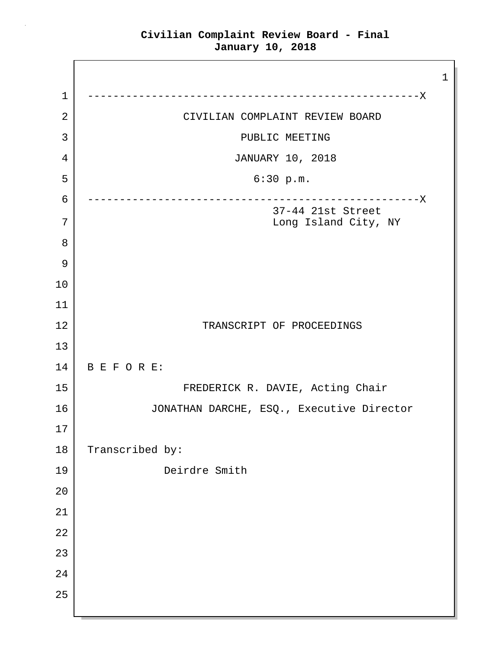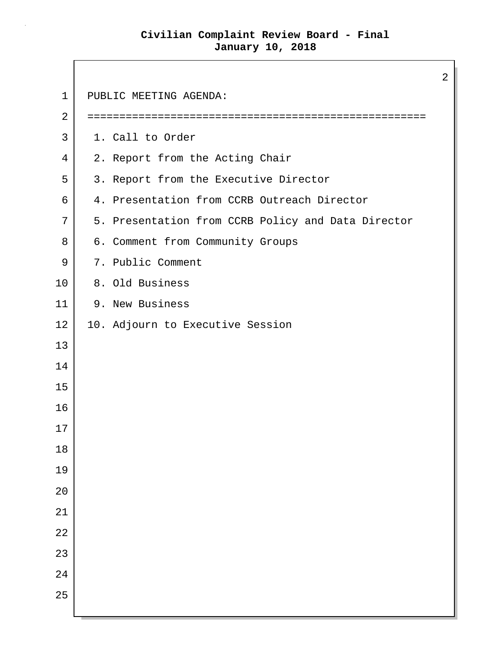Г

|                |                                                    | $\overline{2}$ |
|----------------|----------------------------------------------------|----------------|
| $\mathbf{1}$   | PUBLIC MEETING AGENDA:                             |                |
| $\overline{2}$ |                                                    |                |
| 3              | 1. Call to Order                                   |                |
| 4              | 2. Report from the Acting Chair                    |                |
| 5              | 3. Report from the Executive Director              |                |
| 6              | 4. Presentation from CCRB Outreach Director        |                |
| 7              | 5. Presentation from CCRB Policy and Data Director |                |
| 8              | 6. Comment from Community Groups                   |                |
| 9              | 7. Public Comment                                  |                |
| 10             | 8. Old Business                                    |                |
| 11             | 9. New Business                                    |                |
| 12             | 10. Adjourn to Executive Session                   |                |
| 13             |                                                    |                |
| 14             |                                                    |                |
| 15             |                                                    |                |
| 16             |                                                    |                |
| 17             |                                                    |                |
| 18             |                                                    |                |
| 19             |                                                    |                |
| 20             |                                                    |                |
| 21             |                                                    |                |
| 22             |                                                    |                |
| 23             |                                                    |                |
| 24             |                                                    |                |
| 25             |                                                    |                |
|                |                                                    |                |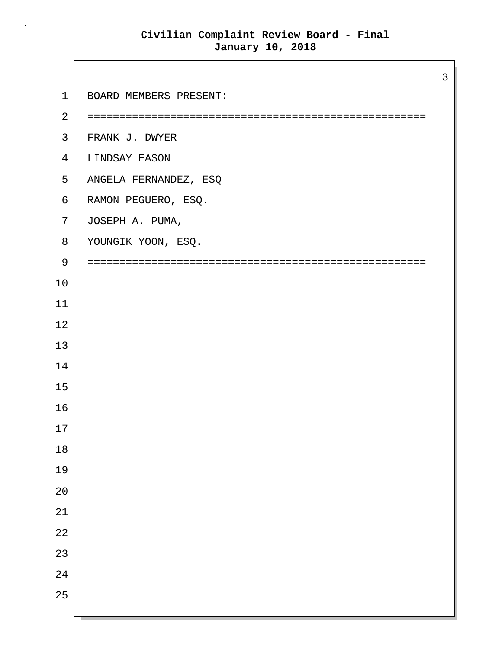Г

|                |                        | 3 |
|----------------|------------------------|---|
| $\mathbf 1$    | BOARD MEMBERS PRESENT: |   |
| $\overline{2}$ |                        |   |
| 3              | FRANK J. DWYER         |   |
| 4              | LINDSAY EASON          |   |
| 5              | ANGELA FERNANDEZ, ESQ  |   |
| 6              | RAMON PEGUERO, ESQ.    |   |
| 7              | JOSEPH A. PUMA,        |   |
| 8              | YOUNGIK YOON, ESQ.     |   |
| 9              |                        |   |
| 10             |                        |   |
| 11             |                        |   |
| 12             |                        |   |
| 13             |                        |   |
| 14             |                        |   |
| 15             |                        |   |
| 16             |                        |   |
| 17             |                        |   |
| $18\,$         |                        |   |
| 19             |                        |   |
| $20$           |                        |   |
| $2\sqrt{1}$    |                        |   |
| 22             |                        |   |
| 23             |                        |   |
| 24             |                        |   |
| 25             |                        |   |
|                |                        |   |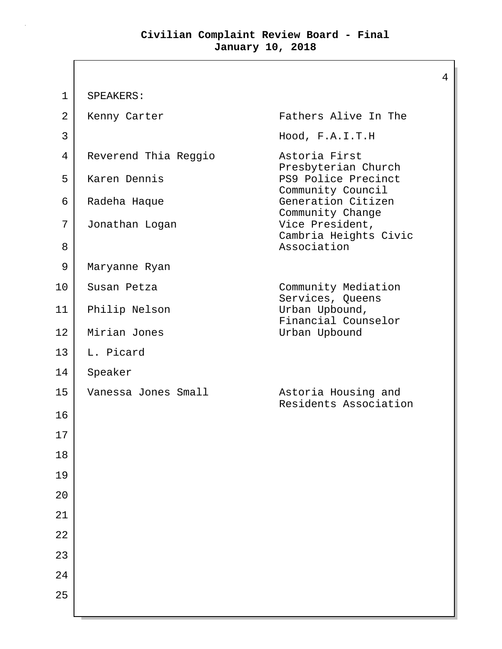$\mathbf{I}$ 

| $\mathbf 1$ | SPEAKERS:            |                                                             |
|-------------|----------------------|-------------------------------------------------------------|
| 2           | Kenny Carter         | Fathers Alive In The                                        |
| 3           |                      | Hood, F.A.I.T.H                                             |
| 4           | Reverend Thia Reggio | Astoria First<br>Presbyterian Church                        |
| 5           | Karen Dennis         | PS9 Police Precinct                                         |
| 6           | Radeha Haque         | Community Council<br>Generation Citizen<br>Community Change |
| 7           | Jonathan Logan       | Vice President,<br>Cambria Heights Civic                    |
| 8           |                      | Association                                                 |
| 9           | Maryanne Ryan        |                                                             |
| 10          | Susan Petza          | Community Mediation<br>Services, Queens                     |
| 11          | Philip Nelson        | Urban Upbound,<br>Financial Counselor                       |
| 12          | Mirian Jones         | Urban Upbound                                               |
| 13          | L. Picard            |                                                             |
| 14          | Speaker              |                                                             |
| 15          | Vanessa Jones Small  | Astoria Housing and<br>Residents Association                |
| 16          |                      |                                                             |
| 17          |                      |                                                             |
| 18          |                      |                                                             |
| 19          |                      |                                                             |
| 20          |                      |                                                             |
| 21          |                      |                                                             |
| 22          |                      |                                                             |
| 23          |                      |                                                             |
| 24          |                      |                                                             |
| 25          |                      |                                                             |
|             |                      |                                                             |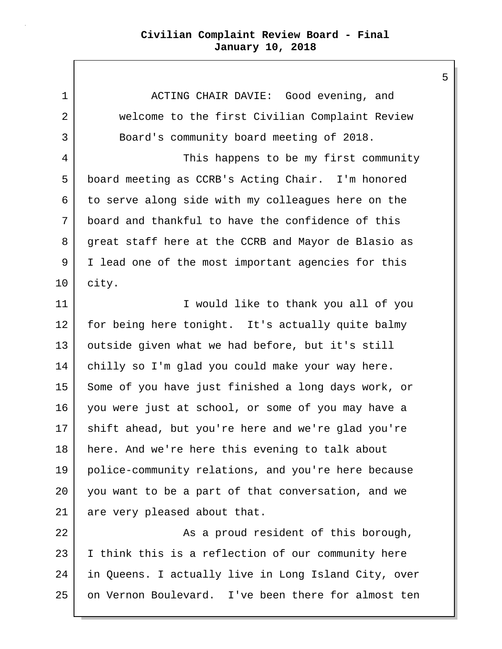1 ACTING CHAIR DAVIE: Good evening, and 2 | welcome to the first Civilian Complaint Review 3 Board's community board meeting of 2018.

4 This happens to be my first community 5 board meeting as CCRB's Acting Chair. I'm honored  $6$  to serve along side with my colleagues here on the 7 board and thankful to have the confidence of this 8 great staff here at the CCRB and Mayor de Blasio as 9 I lead one of the most important agencies for this 10 city.

11 | Communist Communist University Tuber to thank you all of you 12 for being here tonight. It's actually quite balmy 13 outside given what we had before, but it's still 14 | chilly so I'm glad you could make your way here. 15 Some of you have just finished a long days work, or 16 you were just at school, or some of you may have a 17 shift ahead, but you're here and we're glad you're 18 | here. And we're here this evening to talk about 19 police-community relations, and you're here because 20 you want to be a part of that conversation, and we 21 are very pleased about that.

22 as a proud resident of this borough, 23 I think this is a reflection of our community here 24 in Queens. I actually live in Long Island City, over 25 on Vernon Boulevard. I've been there for almost ten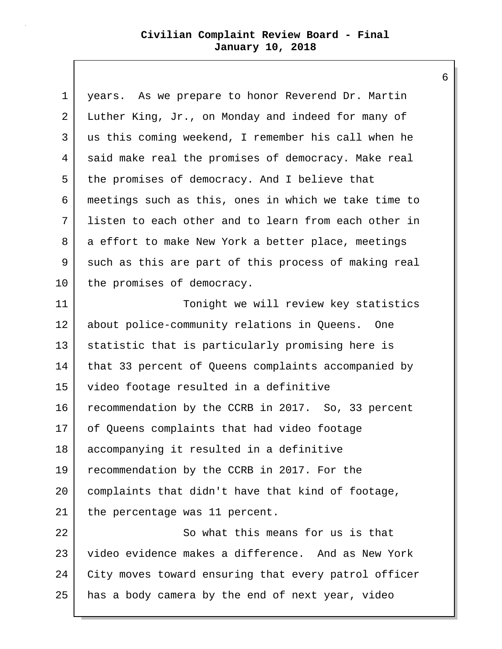| $\mathbf 1$ | years. As we prepare to honor Reverend Dr. Martin    |
|-------------|------------------------------------------------------|
| 2           | Luther King, Jr., on Monday and indeed for many of   |
| 3           | us this coming weekend, I remember his call when he  |
| 4           | said make real the promises of democracy. Make real  |
| 5           | the promises of democracy. And I believe that        |
| 6           | meetings such as this, ones in which we take time to |
| 7           | listen to each other and to learn from each other in |
| 8           | a effort to make New York a better place, meetings   |
| 9           | such as this are part of this process of making real |
| 10          | the promises of democracy.                           |
| 11          | Tonight we will review key statistics                |
| 12          | about police-community relations in Queens. One      |
| 13          | statistic that is particularly promising here is     |
| 14          | that 33 percent of Queens complaints accompanied by  |
| 15          | video footage resulted in a definitive               |
| 16          | recommendation by the CCRB in 2017. So, 33 percent   |
| 17          | of Queens complaints that had video footage          |
| 18          | accompanying it resulted in a definitive             |
| 19          | recommendation by the CCRB in 2017. For the          |
| 20          | complaints that didn't have that kind of footage,    |
| 21          | the percentage was 11 percent.                       |
| 22          | So what this means for us is that                    |
| 23          | video evidence makes a difference. And as New York   |
| 24          | City moves toward ensuring that every patrol officer |
| 25          | has a body camera by the end of next year, video     |
|             |                                                      |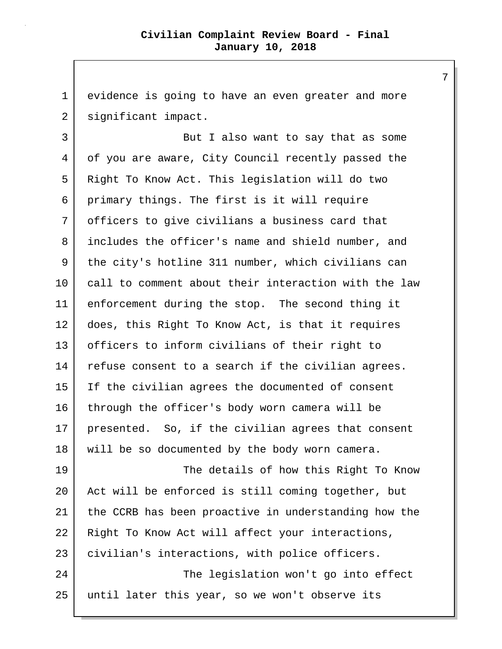1 evidence is going to have an even greater and more 2 | significant impact.

3 But I also want to say that as some 4 of you are aware, City Council recently passed the 5 Right To Know Act. This legislation will do two 6 primary things. The first is it will require 7 officers to give civilians a business card that 8 includes the officer's name and shield number, and 9 the city's hotline 311 number, which civilians can 10 call to comment about their interaction with the law 11 enforcement during the stop. The second thing it 12 does, this Right To Know Act, is that it requires 13 officers to inform civilians of their right to 14 refuse consent to a search if the civilian agrees. 15 If the civilian agrees the documented of consent 16 through the officer's body worn camera will be 17 presented. So, if the civilian agrees that consent 18 | will be so documented by the body worn camera. 19 The details of how this Right To Know

20 Act will be enforced is still coming together, but 21 the CCRB has been proactive in understanding how the 22 | Right To Know Act will affect your interactions, 23 | civilian's interactions, with police officers. 24 | The legislation won't go into effect 25 until later this year, so we won't observe its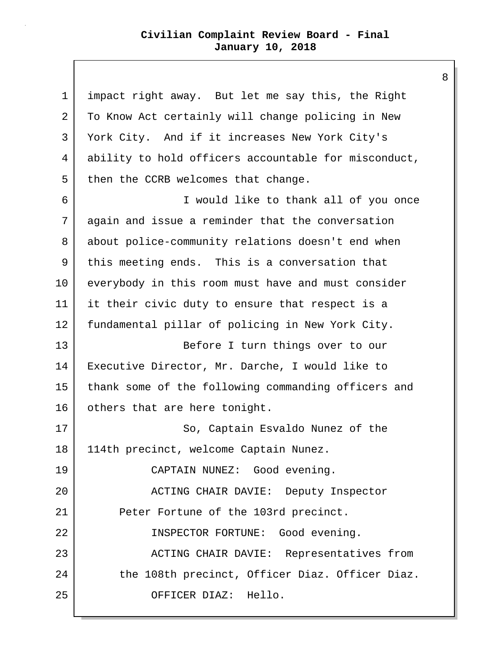| $\mathbf 1$ | impact right away. But let me say this, the Right    |
|-------------|------------------------------------------------------|
| 2           | To Know Act certainly will change policing in New    |
| 3           | York City. And if it increases New York City's       |
| 4           | ability to hold officers accountable for misconduct, |
| 5           | then the CCRB welcomes that change.                  |
| 6           | I would like to thank all of you once                |
| 7           | again and issue a reminder that the conversation     |
| 8           | about police-community relations doesn't end when    |
| 9           | this meeting ends. This is a conversation that       |
| 10          | everybody in this room must have and must consider   |
| 11          | it their civic duty to ensure that respect is a      |
| 12          | fundamental pillar of policing in New York City.     |
| 13          | Before I turn things over to our                     |
| 14          | Executive Director, Mr. Darche, I would like to      |
| 15          | thank some of the following commanding officers and  |
| 16          | others that are here tonight.                        |
| 17          | So, Captain Esvaldo Nunez of the                     |
| 18          | 114th precinct, welcome Captain Nunez.               |
| 19          | CAPTAIN NUNEZ: Good evening.                         |
| 20          | ACTING CHAIR DAVIE: Deputy Inspector                 |
| 21          | Peter Fortune of the 103rd precinct.                 |
| 22          | INSPECTOR FORTUNE: Good evening.                     |
| 23          | ACTING CHAIR DAVIE: Representatives from             |
| 24          | the 108th precinct, Officer Diaz. Officer Diaz.      |
| 25          | OFFICER DIAZ: Hello.                                 |
|             |                                                      |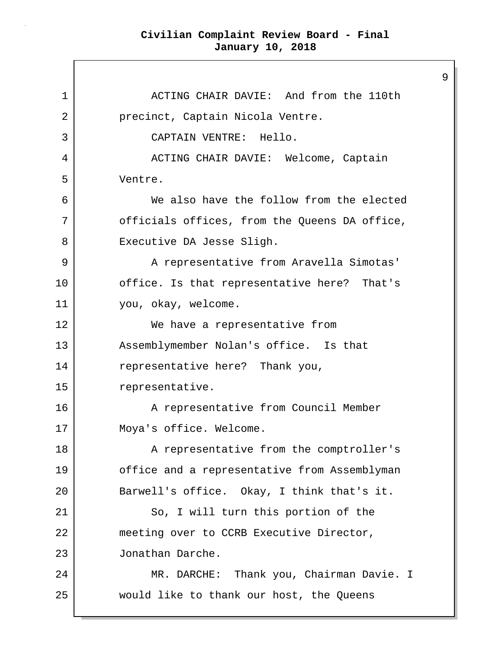1 **ACTING CHAIR DAVIE:** And from the 110th 2 | precinct, Captain Nicola Ventre. 3 CAPTAIN VENTRE: Hello. 4 | ACTING CHAIR DAVIE: Welcome, Captain 5 Ventre. 6 We also have the follow from the elected 7 | Cofficials offices, from the Queens DA office, 8 | Executive DA Jesse Sligh. 9 | A representative from Aravella Simotas' 10 office. Is that representative here? That's 11 you, okay, welcome. 12 We have a representative from 13 Assemblymember Nolan's office. Is that 14 representative here? Thank you, 15 representative. 16 A representative from Council Member 17 Moya's office. Welcome. 18 | The A representative from the comptroller's 19 office and a representative from Assemblyman 20 Barwell's office. Okay, I think that's it. 21 So, I will turn this portion of the 22 meeting over to CCRB Executive Director, 23 Jonathan Darche. 24 | MR. DARCHE: Thank you, Chairman Davie. I 25 would like to thank our host, the Queens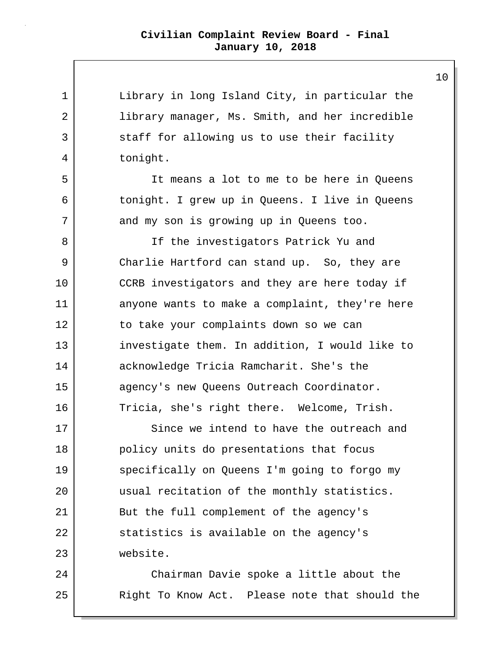| $\mathbf 1$ | Library in long Island City, in particular the |
|-------------|------------------------------------------------|
| 2           | library manager, Ms. Smith, and her incredible |
| 3           | staff for allowing us to use their facility    |
| 4           | tonight.                                       |
| 5           | It means a lot to me to be here in Queens      |
| 6           | tonight. I grew up in Queens. I live in Queens |
| 7           | and my son is growing up in Queens too.        |
| 8           | If the investigators Patrick Yu and            |
| 9           | Charlie Hartford can stand up. So, they are    |
| 10          | CCRB investigators and they are here today if  |
| 11          | anyone wants to make a complaint, they're here |
| 12          | to take your complaints down so we can         |
| 13          | investigate them. In addition, I would like to |
| 14          | acknowledge Tricia Ramcharit. She's the        |
| 15          | agency's new Queens Outreach Coordinator.      |
| 16          | Tricia, she's right there. Welcome, Trish.     |
| 17          | Since we intend to have the outreach and       |
| 18          | policy units do presentations that focus       |
| 19          | specifically on Queens I'm going to forgo my   |
| 20          | usual recitation of the monthly statistics.    |
| 21          | But the full complement of the agency's        |
| 22          | statistics is available on the agency's        |
| 23          | website.                                       |
| 24          | Chairman Davie spoke a little about the        |
| 25          | Right To Know Act. Please note that should the |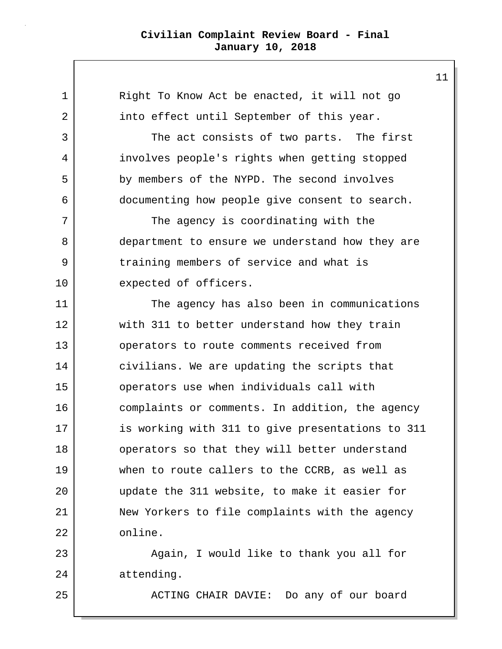| $\mathbf 1$ | Right To Know Act be enacted, it will not go     |
|-------------|--------------------------------------------------|
| 2           | into effect until September of this year.        |
| 3           | The act consists of two parts. The first         |
| 4           | involves people's rights when getting stopped    |
| 5           | by members of the NYPD. The second involves      |
| 6           | documenting how people give consent to search.   |
| 7           | The agency is coordinating with the              |
| 8           | department to ensure we understand how they are  |
| 9           | training members of service and what is          |
| 10          | expected of officers.                            |
| 11          | The agency has also been in communications       |
| 12          | with 311 to better understand how they train     |
| 13          | operators to route comments received from        |
| 14          | civilians. We are updating the scripts that      |
| 15          | operators use when individuals call with         |
| 16          | complaints or comments. In addition, the agency  |
| 17          | is working with 311 to give presentations to 311 |
| 18          | operators so that they will better understand    |
| 19          | when to route callers to the CCRB, as well as    |
| 20          | update the 311 website, to make it easier for    |
| 21          | New Yorkers to file complaints with the agency   |
| 22          | online.                                          |
| 23          | Again, I would like to thank you all for         |
| 24          | attending.                                       |
| 25          | ACTING CHAIR DAVIE: Do any of our board          |
|             |                                                  |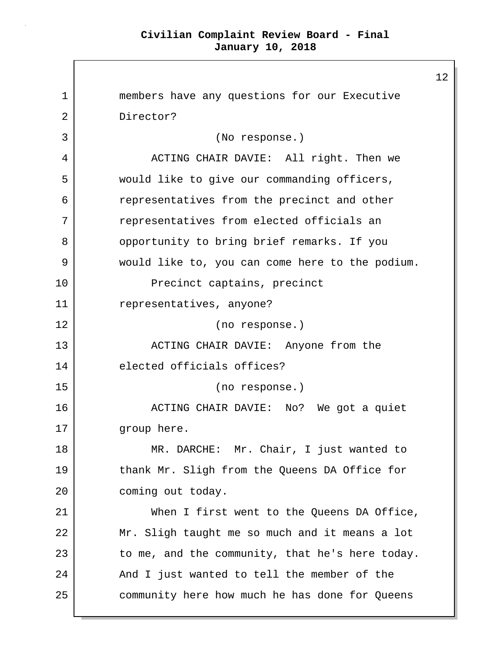1 members have any questions for our Executive 2 Director? 3 (No response.) 4 ACTING CHAIR DAVIE: All right. Then we 5 would like to give our commanding officers, 6 | representatives from the precinct and other 7 representatives from elected officials an 8 | opportunity to bring brief remarks. If you 9 would like to, you can come here to the podium. 10 Precinct captains, precinct 11 representatives, anyone? 12 (no response.) 13 | ACTING CHAIR DAVIE: Anyone from the 14 elected officials offices? 15 (no response.) 16 ACTING CHAIR DAVIE: No? We got a quiet 17 group here. 18 | MR. DARCHE: Mr. Chair, I just wanted to 19 thank Mr. Sligh from the Queens DA Office for 20 coming out today. 21 When I first went to the Queens DA Office, 22 Mr. Sligh taught me so much and it means a lot  $23$  to me, and the community, that he's here today. 24 And I just wanted to tell the member of the 25 community here how much he has done for Queens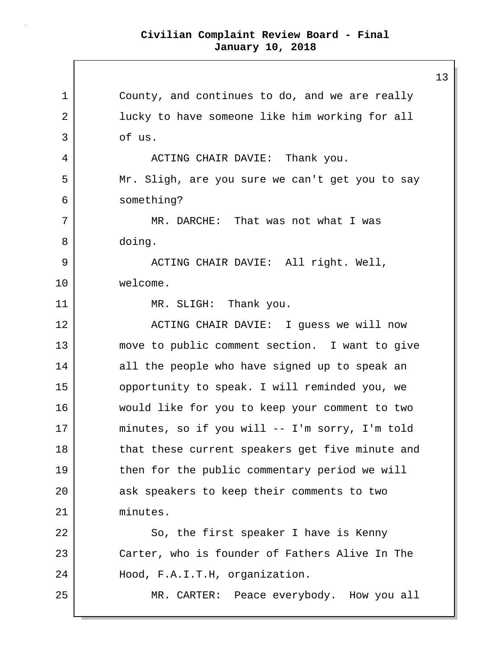1 County, and continues to do, and we are really 2 | lucky to have someone like him working for all 3 of us. 4 | ACTING CHAIR DAVIE: Thank you. 5 Mr. Sligh, are you sure we can't get you to say 6 something? 7 MR. DARCHE: That was not what I was 8 doing. 9 ACTING CHAIR DAVIE: All right. Well, 10 welcome. 11 MR. SLIGH: Thank you. 12 ACTING CHAIR DAVIE: I quess we will now 13 move to public comment section. I want to give 14 all the people who have signed up to speak an 15 | opportunity to speak. I will reminded you, we 16 would like for you to keep your comment to two 17 minutes, so if you will -- I'm sorry, I'm told 18 that these current speakers get five minute and 19 then for the public commentary period we will 20 ask speakers to keep their comments to two 21 minutes. 22 So, the first speaker I have is Kenny 23 Carter, who is founder of Fathers Alive In The 24 Hood, F.A.I.T.H, organization. 25 MR. CARTER: Peace everybody. How you all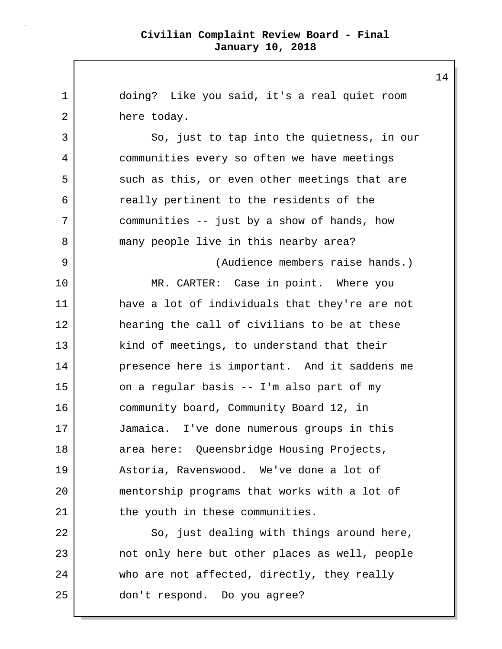1 doing? Like you said, it's a real quiet room 2 here today. 3 So, just to tap into the quietness, in our 4 communities every so often we have meetings 5 such as this, or even other meetings that are 6 really pertinent to the residents of the 7 communities -- just by a show of hands, how 8 many people live in this nearby area? 9 (Audience members raise hands.) 10 MR. CARTER: Case in point. Where you 11 have a lot of individuals that they're are not 12 hearing the call of civilians to be at these 13 kind of meetings, to understand that their 14 presence here is important. And it saddens me 15 on a regular basis -- I'm also part of my 16 community board, Community Board 12, in 17 Jamaica. I've done numerous groups in this 18 area here: Queensbridge Housing Projects, 19 Astoria, Ravenswood. We've done a lot of 20 mentorship programs that works with a lot of 21 the youth in these communities. 22 So, just dealing with things around here, 23 not only here but other places as well, people 24 who are not affected, directly, they really 25 don't respond. Do you agree?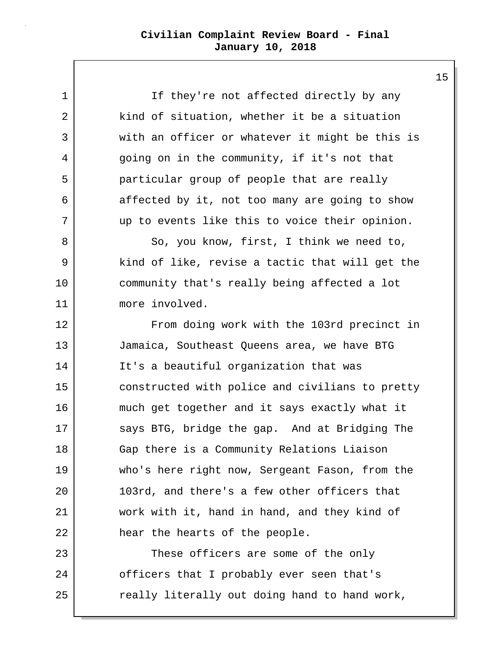1 I If they're not affected directly by any 2 | kind of situation, whether it be a situation 3 with an officer or whatever it might be this is 4 going on in the community, if it's not that 5 particular group of people that are really 6 affected by it, not too many are going to show 7 up to events like this to voice their opinion.

8 | So, you know, first, I think we need to, 9 kind of like, revise a tactic that will get the 10 community that's really being affected a lot 11 more involved.

12 From doing work with the 103rd precinct in 13 Jamaica, Southeast Queens area, we have BTG 14 It's a beautiful organization that was 15 constructed with police and civilians to pretty 16 much get together and it says exactly what it 17 says BTG, bridge the gap. And at Bridging The 18 Gap there is a Community Relations Liaison 19 who's here right now, Sergeant Fason, from the 20 103rd, and there's a few other officers that 21 work with it, hand in hand, and they kind of 22 hear the hearts of the people.

23 These officers are some of the only 24 officers that I probably ever seen that's 25 | The really literally out doing hand to hand work,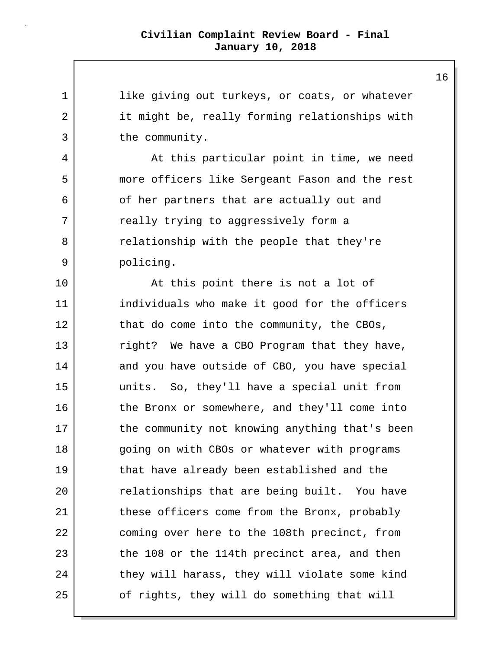1 like giving out turkeys, or coats, or whatever 2 it might be, really forming relationships with 3 the community. 4 At this particular point in time, we need 5 more officers like Sergeant Fason and the rest 6 of her partners that are actually out and 7 really trying to aggressively form a 8 | The relationship with the people that they're 9 policing. 10 At this point there is not a lot of 11 individuals who make it good for the officers 12 that do come into the community, the CBOs, 13 | right? We have a CBO Program that they have, 14 and you have outside of CBO, you have special 15 units. So, they'll have a special unit from 16 the Bronx or somewhere, and they'll come into 17 the community not knowing anything that's been 18 | going on with CBOs or whatever with programs 19 that have already been established and the 20 relationships that are being built. You have 21 these officers come from the Bronx, probably 22 coming over here to the 108th precinct, from 23 the 108 or the 114th precinct area, and then 24 they will harass, they will violate some kind 25 of rights, they will do something that will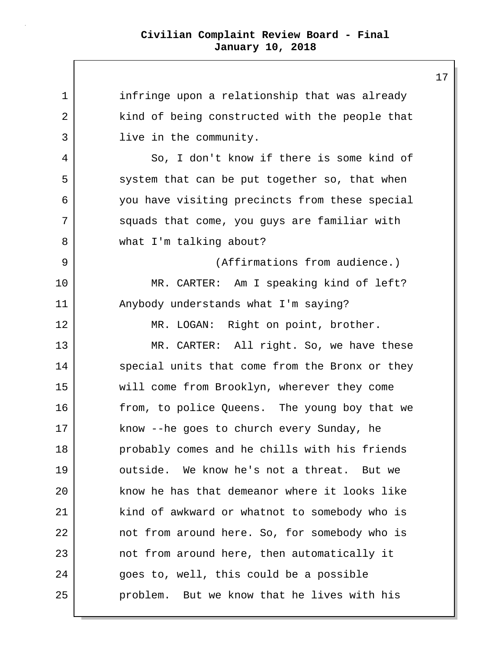| $\mathbf 1$ | infringe upon a relationship that was already  |
|-------------|------------------------------------------------|
| 2           | kind of being constructed with the people that |
| 3           | live in the community.                         |
| 4           | So, I don't know if there is some kind of      |
| 5           | system that can be put together so, that when  |
| 6           | you have visiting precincts from these special |
| 7           | squads that come, you guys are familiar with   |
| 8           | what I'm talking about?                        |
| 9           | (Affirmations from audience.)                  |
| 10          | MR. CARTER: Am I speaking kind of left?        |
| 11          | Anybody understands what I'm saying?           |
| 12          | MR. LOGAN: Right on point, brother.            |
| 13          | MR. CARTER: All right. So, we have these       |
| 14          | special units that come from the Bronx or they |
| 15          | will come from Brooklyn, wherever they come    |
| 16          | from, to police Queens. The young boy that we  |
| 17          | know --he goes to church every Sunday, he      |
| 18          | probably comes and he chills with his friends  |
| 19          | outside. We know he's not a threat. But we     |
| 20          | know he has that demeanor where it looks like  |
| 21          | kind of awkward or whatnot to somebody who is  |
| 22          | not from around here. So, for somebody who is  |
| 23          | not from around here, then automatically it    |
| 24          | goes to, well, this could be a possible        |
| 25          | problem. But we know that he lives with his    |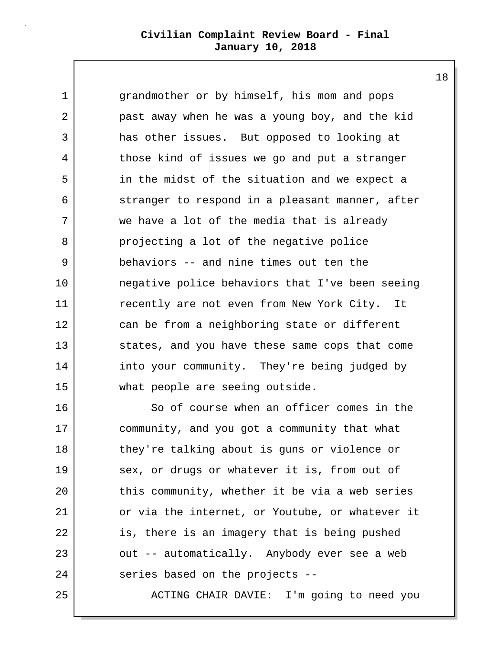18

1 erandmother or by himself, his mom and pops 2 past away when he was a young boy, and the kid 3 has other issues. But opposed to looking at 4 those kind of issues we go and put a stranger 5 in the midst of the situation and we expect a 6 stranger to respond in a pleasant manner, after 7 we have a lot of the media that is already 8 projecting a lot of the negative police 9 behaviors -- and nine times out ten the 10 negative police behaviors that I've been seeing 11 recently are not even from New York City. It 12 can be from a neighboring state or different 13 states, and you have these same cops that come 14 into your community. They're being judged by 15 what people are seeing outside.

16 So of course when an officer comes in the 17 community, and you got a community that what 18 they're talking about is guns or violence or 19 sex, or drugs or whatever it is, from out of 20 this community, whether it be via a web series 21 | or via the internet, or Youtube, or whatever it 22 is, there is an imagery that is being pushed 23 | out -- automatically. Anybody ever see a web 24 series based on the projects --

25 ACTING CHAIR DAVIE: I'm going to need you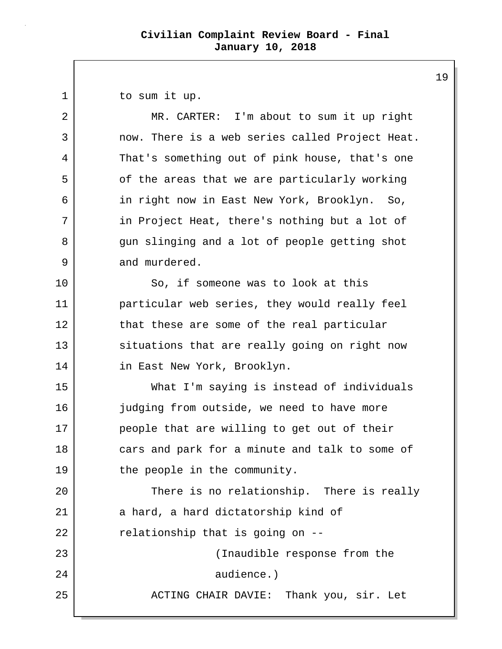1 to sum it up.

2 MR. CARTER: I'm about to sum it up right 3 now. There is a web series called Project Heat. 4 That's something out of pink house, that's one 5 | of the areas that we are particularly working 6 in right now in East New York, Brooklyn. So, 7 in Project Heat, there's nothing but a lot of 8 gun slinging and a lot of people getting shot 9 and murdered.

10 So, if someone was to look at this 11 particular web series, they would really feel 12 that these are some of the real particular 13 situations that are really going on right now 14 in East New York, Brooklyn.

15 What I'm saying is instead of individuals 16 judging from outside, we need to have more 17 people that are willing to get out of their 18 cars and park for a minute and talk to some of 19 the people in the community.

20 There is no relationship. There is really 21 a hard, a hard dictatorship kind of  $22$  relationship that is going on  $-$ 23 (Inaudible response from the 24 audience.) 25 | ACTING CHAIR DAVIE: Thank you, sir. Let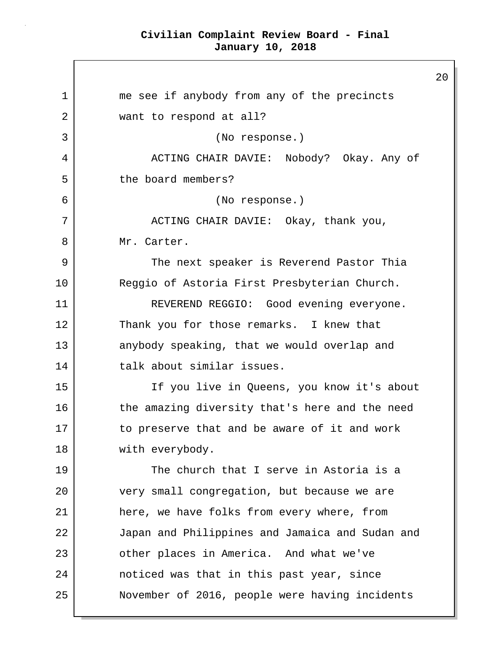$\mathsf{I}$ 

|    |                                                 | $\overline{a}$ |
|----|-------------------------------------------------|----------------|
| 1  | me see if anybody from any of the precincts     |                |
| 2  | want to respond at all?                         |                |
| 3  | (No response.)                                  |                |
| 4  | ACTING CHAIR DAVIE: Nobody? Okay. Any of        |                |
| 5  | the board members?                              |                |
| 6  | (No response.)                                  |                |
| 7  | ACTING CHAIR DAVIE: Okay, thank you,            |                |
| 8  | Mr. Carter.                                     |                |
| 9  | The next speaker is Reverend Pastor Thia        |                |
| 10 | Reggio of Astoria First Presbyterian Church.    |                |
| 11 | REVEREND REGGIO: Good evening everyone.         |                |
| 12 | Thank you for those remarks. I knew that        |                |
| 13 | anybody speaking, that we would overlap and     |                |
| 14 | talk about similar issues.                      |                |
| 15 | If you live in Queens, you know it's about      |                |
| 16 | the amazing diversity that's here and the need  |                |
| 17 | to preserve that and be aware of it and work    |                |
| 18 | with everybody.                                 |                |
| 19 | The church that I serve in Astoria is a         |                |
| 20 | very small congregation, but because we are     |                |
| 21 | here, we have folks from every where, from      |                |
| 22 | Japan and Philippines and Jamaica and Sudan and |                |
| 23 | other places in America. And what we've         |                |
| 24 | noticed was that in this past year, since       |                |
| 25 | November of 2016, people were having incidents  |                |
|    |                                                 |                |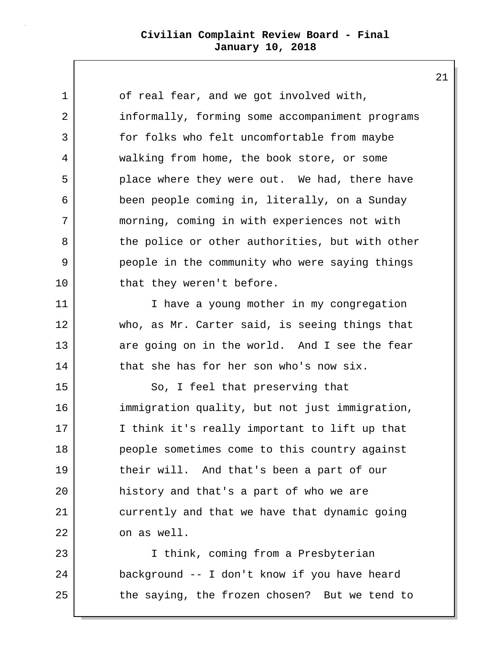1 of real fear, and we got involved with, 2 informally, forming some accompaniment programs 3 for folks who felt uncomfortable from maybe 4 walking from home, the book store, or some 5 place where they were out. We had, there have 6 been people coming in, literally, on a Sunday 7 morning, coming in with experiences not with 8 the police or other authorities, but with other 9 people in the community who were saying things 10 that they weren't before. 11 | Thave a young mother in my congregation 12 who, as Mr. Carter said, is seeing things that 13 are going on in the world. And I see the fear 14 that she has for her son who's now six. 15 So, I feel that preserving that 16 immigration quality, but not just immigration, 17 I think it's really important to lift up that 18 people sometimes come to this country against 19 their will. And that's been a part of our 20 history and that's a part of who we are 21 currently and that we have that dynamic going 22 on as well. 23 I think, coming from a Presbyterian 24 background -- I don't know if you have heard

21

25 the saying, the frozen chosen? But we tend to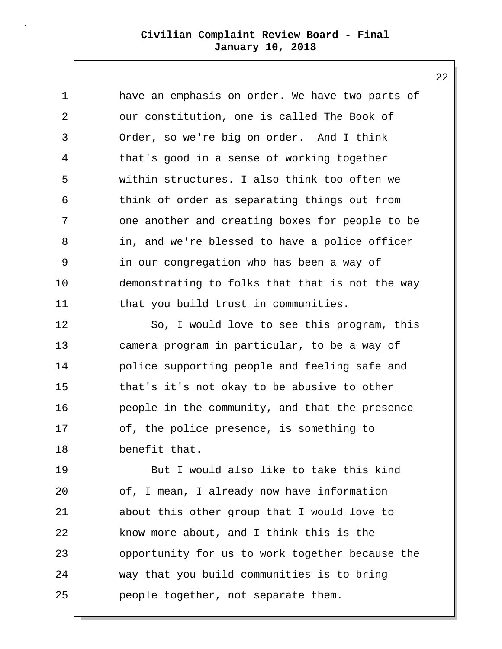1 have an emphasis on order. We have two parts of 2 | our constitution, one is called The Book of 3 Order, so we're big on order. And I think 4 that's good in a sense of working together 5 within structures. I also think too often we 6 think of order as separating things out from 7 one another and creating boxes for people to be 8 in, and we're blessed to have a police officer 9 in our congregation who has been a way of 10 demonstrating to folks that that is not the way 11 | that you build trust in communities.

12 So, I would love to see this program, this 13 camera program in particular, to be a way of 14 police supporting people and feeling safe and 15 that's it's not okay to be abusive to other 16 people in the community, and that the presence 17 of, the police presence, is something to 18 benefit that.

19 But I would also like to take this kind 20 of, I mean, I already now have information 21 about this other group that I would love to 22 know more about, and I think this is the 23 opportunity for us to work together because the 24 way that you build communities is to bring 25 people together, not separate them.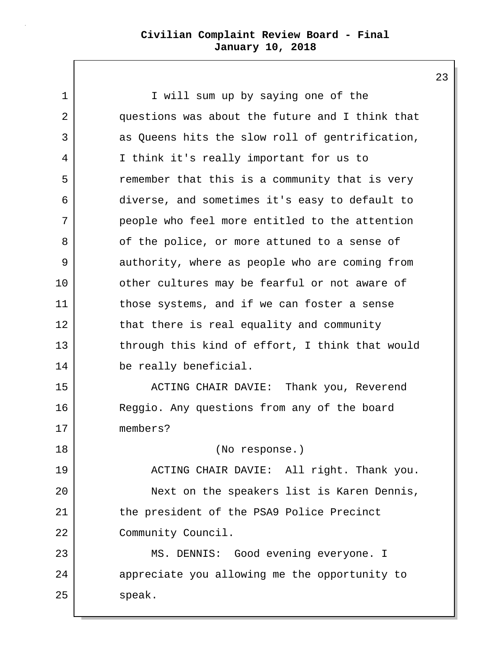1 I will sum up by saying one of the 2 questions was about the future and I think that 3 as Queens hits the slow roll of gentrification, 4 I think it's really important for us to 5 | The remember that this is a community that is very 6 diverse, and sometimes it's easy to default to 7 people who feel more entitled to the attention 8 of the police, or more attuned to a sense of 9 authority, where as people who are coming from 10 other cultures may be fearful or not aware of 11 those systems, and if we can foster a sense 12 that there is real equality and community 13 through this kind of effort, I think that would 14 be really beneficial. 15 | ACTING CHAIR DAVIE: Thank you, Reverend 16 Reggio. Any questions from any of the board 17 members? 18 (No response.) 19 ACTING CHAIR DAVIE: All right. Thank you. 20 Next on the speakers list is Karen Dennis, 21 the president of the PSA9 Police Precinct 22 Community Council. 23 | MS. DENNIS: Good evening everyone. I 24 appreciate you allowing me the opportunity to 25 speak.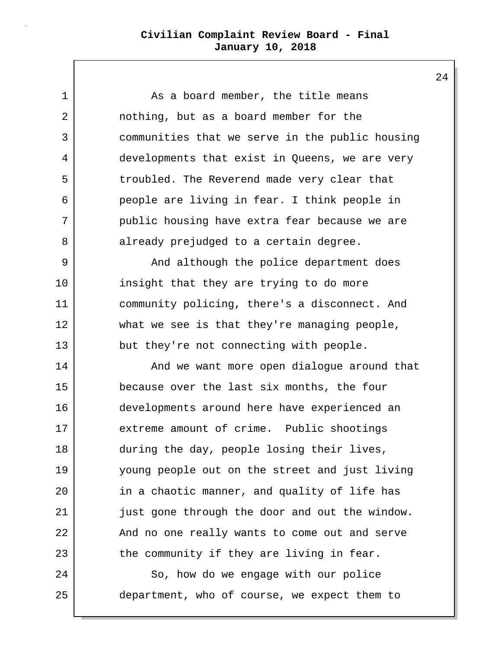1 As a board member, the title means 2 nothing, but as a board member for the 3 communities that we serve in the public housing 4 developments that exist in Queens, we are very 5 troubled. The Reverend made very clear that 6 people are living in fear. I think people in 7 public housing have extra fear because we are 8 already prejudged to a certain degree. 9 | And although the police department does 10 insight that they are trying to do more 11 community policing, there's a disconnect. And 12 what we see is that they're managing people, 13 but they're not connecting with people. 14 And we want more open dialogue around that 15 because over the last six months, the four 16 developments around here have experienced an 17 extreme amount of crime. Public shootings 18 during the day, people losing their lives, 19 young people out on the street and just living 20 in a chaotic manner, and quality of life has 21 just gone through the door and out the window. 22 And no one really wants to come out and serve 23 the community if they are living in fear. 24 So, how do we engage with our police 25 department, who of course, we expect them to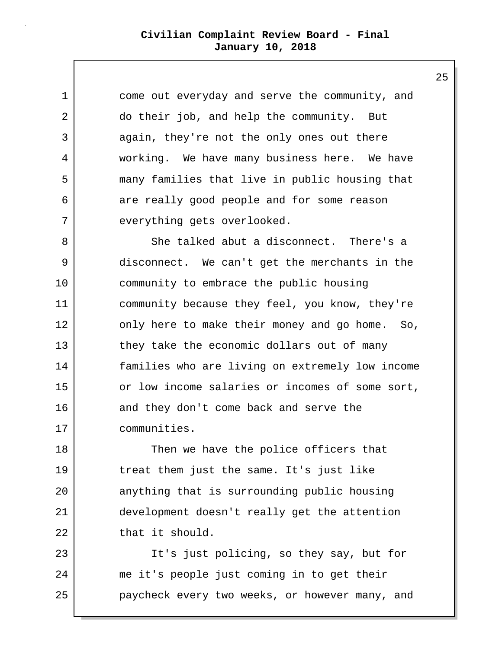1 come out everyday and serve the community, and 2 do their job, and help the community. But 3 again, they're not the only ones out there 4 working. We have many business here. We have 5 many families that live in public housing that 6 are really good people and for some reason 7 everything gets overlooked.

8 She talked abut a disconnect. There's a 9 disconnect. We can't get the merchants in the 10 community to embrace the public housing 11 community because they feel, you know, they're 12 only here to make their money and go home. So, 13 they take the economic dollars out of many 14 families who are living on extremely low income 15 or low income salaries or incomes of some sort, 16 and they don't come back and serve the 17 communities.

18 Then we have the police officers that 19 treat them just the same. It's just like 20 anything that is surrounding public housing 21 development doesn't really get the attention 22 that it should.

23 | The It's just policing, so they say, but for 24 me it's people just coming in to get their 25 **paycheck every two weeks, or however many, and**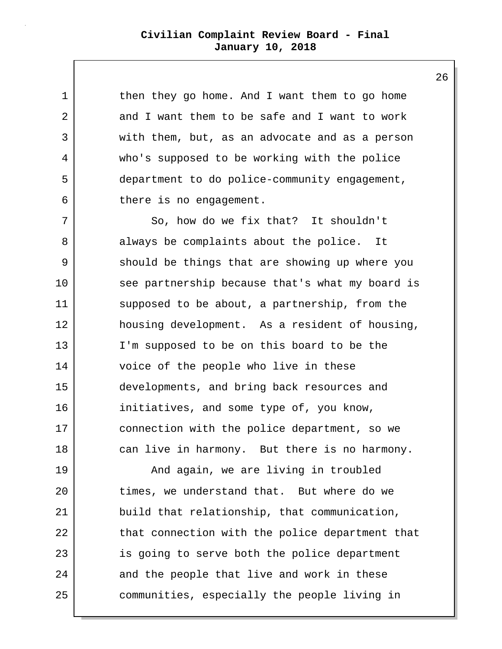1 | then they go home. And I want them to go home 2 and I want them to be safe and I want to work 3 with them, but, as an advocate and as a person 4 who's supposed to be working with the police 5 department to do police-community engagement, 6 there is no engagement. 7 So, how do we fix that? It shouldn't 8 always be complaints about the police. It 9 should be things that are showing up where you 10 see partnership because that's what my board is 11 supposed to be about, a partnership, from the 12 housing development. As a resident of housing, 13 I'm supposed to be on this board to be the 14 voice of the people who live in these

15 developments, and bring back resources and 16 initiatives, and some type of, you know, 17 connection with the police department, so we 18 can live in harmony. But there is no harmony.

19 | The Mand again, we are living in troubled 20 times, we understand that. But where do we 21 build that relationship, that communication, 22 that connection with the police department that 23 is going to serve both the police department 24 and the people that live and work in these 25 communities, especially the people living in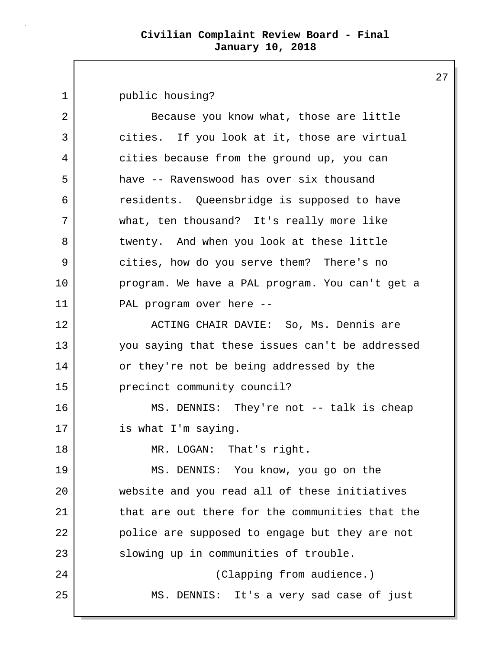1 public housing? 2 Because you know what, those are little 3 cities. If you look at it, those are virtual 4 cities because from the ground up, you can 5 have -- Ravenswood has over six thousand 6 residents. Queensbridge is supposed to have 7 what, ten thousand? It's really more like 8 twenty. And when you look at these little 9 cities, how do you serve them? There's no 10 program. We have a PAL program. You can't get a 11 PAL program over here -- 12 ACTING CHAIR DAVIE: So, Ms. Dennis are 13 you saying that these issues can't be addressed 14 or they're not be being addressed by the 15 precinct community council? 16 | MS. DENNIS: They're not -- talk is cheap 17 is what I'm saying. 18 MR. LOGAN: That's right. 19 MS. DENNIS: You know, you go on the 20 website and you read all of these initiatives 21 that are out there for the communities that the 22 police are supposed to engage but they are not 23 Slowing up in communities of trouble. 24 Clapping from audience.) 25 MS. DENNIS: It's a very sad case of just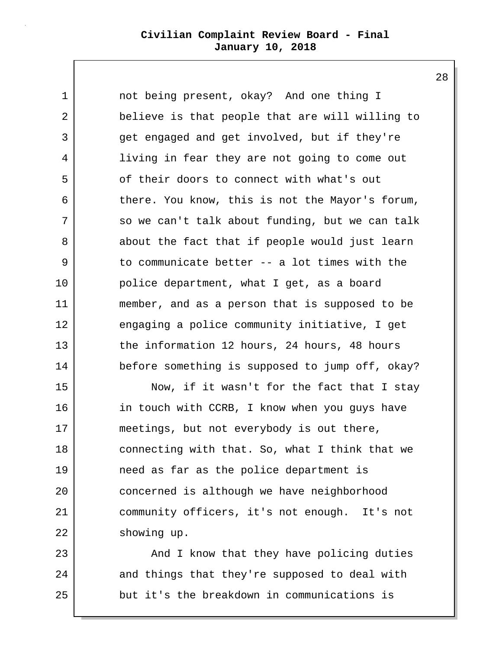28

1 not being present, okay? And one thing I 2 believe is that people that are will willing to 3 get engaged and get involved, but if they're 4 | living in fear they are not going to come out 5 of their doors to connect with what's out 6 there. You know, this is not the Mayor's forum, 7 so we can't talk about funding, but we can talk 8 about the fact that if people would just learn 9 to communicate better -- a lot times with the 10 police department, what I get, as a board 11 member, and as a person that is supposed to be 12 engaging a police community initiative, I get 13 the information 12 hours, 24 hours, 48 hours 14 before something is supposed to jump off, okay?

15 Now, if it wasn't for the fact that I stay 16 in touch with CCRB, I know when you guys have 17 meetings, but not everybody is out there, 18 connecting with that. So, what I think that we 19 need as far as the police department is 20 concerned is although we have neighborhood 21 community officers, it's not enough. It's not 22 showing up.

23 | And I know that they have policing duties 24 and things that they're supposed to deal with 25 but it's the breakdown in communications is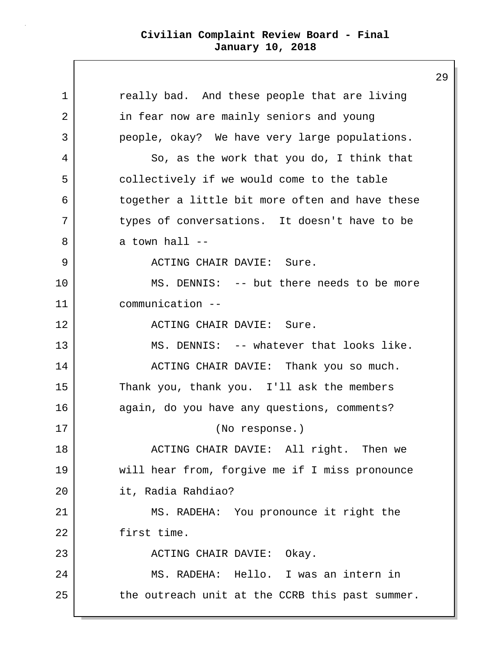1 | really bad. And these people that are living 2 in fear now are mainly seniors and young 3 people, okay? We have very large populations. 4 So, as the work that you do, I think that 5 collectively if we would come to the table 6 together a little bit more often and have these 7 types of conversations. It doesn't have to be  $8$  a town hall  $-$ 9 ACTING CHAIR DAVIE: Sure. 10 MS. DENNIS: -- but there needs to be more 11 communication -- 12 ACTING CHAIR DAVIE: Sure. 13 MS. DENNIS: -- whatever that looks like. 14 | ACTING CHAIR DAVIE: Thank you so much. 15 Thank you, thank you. I'll ask the members 16 again, do you have any questions, comments? 17 (No response.) 18 | ACTING CHAIR DAVIE: All right. Then we 19 | will hear from, forgive me if I miss pronounce 20 it, Radia Rahdiao? 21 MS. RADEHA: You pronounce it right the 22 first time. 23 ACTING CHAIR DAVIE: Okay. 24 MS. RADEHA: Hello. I was an intern in 25 the outreach unit at the CCRB this past summer.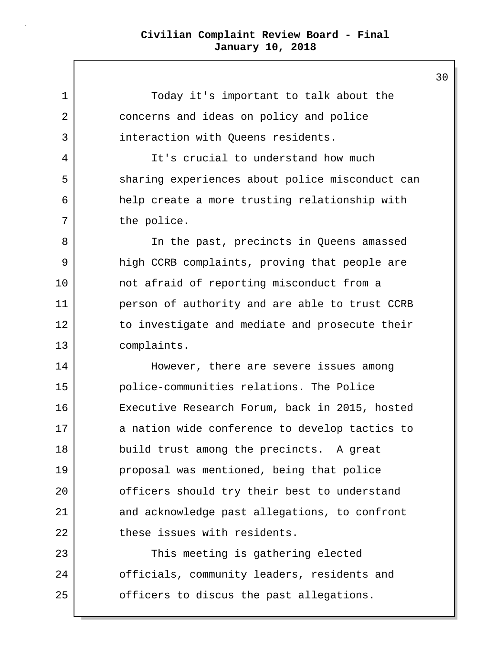1 Today it's important to talk about the 2 concerns and ideas on policy and police 3 interaction with Queens residents. 4 It's crucial to understand how much 5 sharing experiences about police misconduct can 6 help create a more trusting relationship with 7 the police. 8 | The past, precincts in Queens amassed 9 high CCRB complaints, proving that people are 10 not afraid of reporting misconduct from a 11 person of authority and are able to trust CCRB 12 to investigate and mediate and prosecute their 13 complaints. 14 However, there are severe issues among 15 police-communities relations. The Police 16 Executive Research Forum, back in 2015, hosted 17 a nation wide conference to develop tactics to 18 build trust among the precincts. A great 19 proposal was mentioned, being that police 20 officers should try their best to understand 21 and acknowledge past allegations, to confront 22 these issues with residents. 23 This meeting is gathering elected 24 officials, community leaders, residents and 25 officers to discus the past allegations.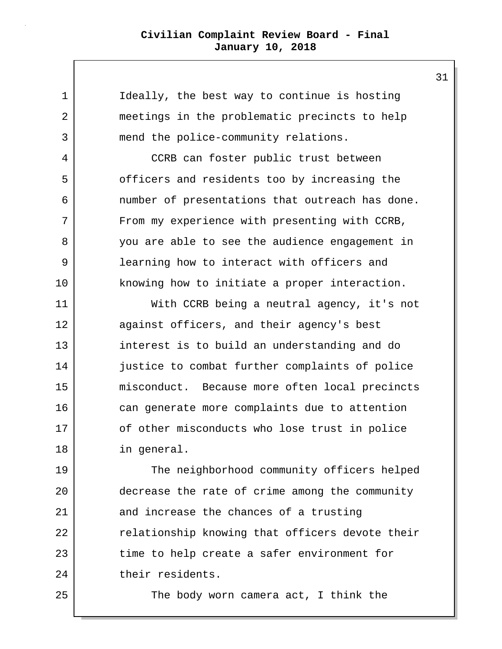1 | Ideally, the best way to continue is hosting 2 meetings in the problematic precincts to help 3 mend the police-community relations. 4 CCRB can foster public trust between 5 | officers and residents too by increasing the 6 number of presentations that outreach has done. 7 From my experience with presenting with CCRB, 8 you are able to see the audience engagement in 9 learning how to interact with officers and 10 knowing how to initiate a proper interaction. 11 With CCRB being a neutral agency, it's not 12 against officers, and their agency's best 13 interest is to build an understanding and do 14 justice to combat further complaints of police 15 | misconduct. Because more often local precincts 16 can generate more complaints due to attention 17 of other misconducts who lose trust in police 18 in general. 19 The neighborhood community officers helped 20 decrease the rate of crime among the community 21 and increase the chances of a trusting 22 | relationship knowing that officers devote their

23 time to help create a safer environment for 24 their residents.

25 The body worn camera act, I think the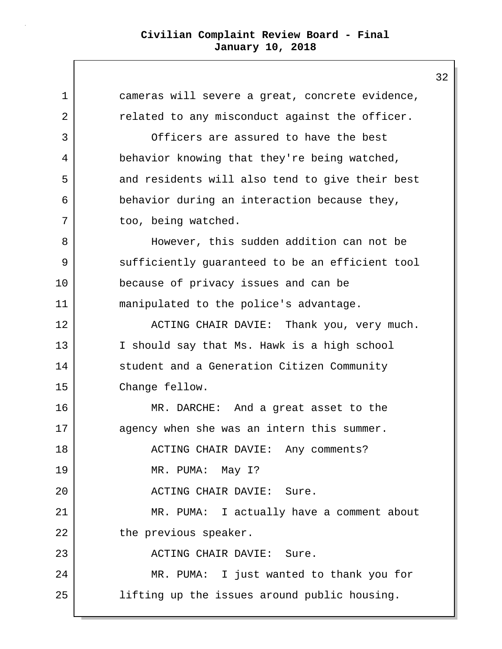1 cameras will severe a great, concrete evidence, 2 related to any misconduct against the officer. 3 Officers are assured to have the best 4 behavior knowing that they're being watched, 5 and residents will also tend to give their best 6 behavior during an interaction because they, 7 too, being watched. 8 | However, this sudden addition can not be 9 sufficiently guaranteed to be an efficient tool 10 because of privacy issues and can be 11 manipulated to the police's advantage. 12 | ACTING CHAIR DAVIE: Thank you, very much. 13 I should say that Ms. Hawk is a high school 14 Student and a Generation Citizen Community 15 Change fellow. 16 MR. DARCHE: And a great asset to the 17 agency when she was an intern this summer. 18 ACTING CHAIR DAVIE: Any comments? 19 MR. PUMA: May I? 20 ACTING CHAIR DAVIE: Sure. 21 MR. PUMA: I actually have a comment about 22 the previous speaker. 23 ACTING CHAIR DAVIE: Sure. 24 MR. PUMA: I just wanted to thank you for 25 lifting up the issues around public housing.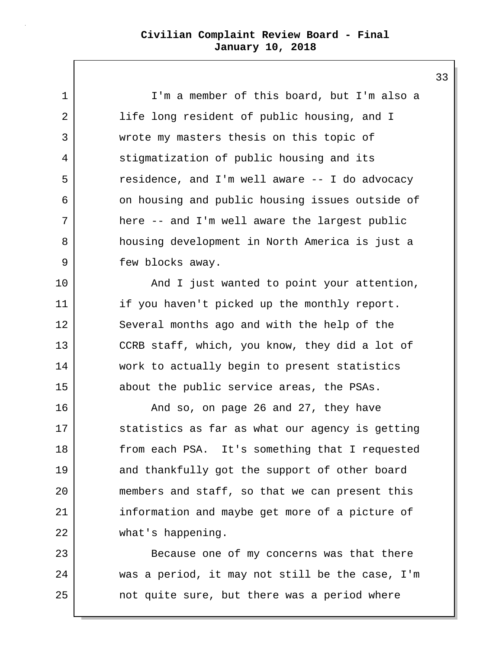1 I'm a member of this board, but I'm also a 2 | life long resident of public housing, and I 3 wrote my masters thesis on this topic of 4 stigmatization of public housing and its 5 | Tesidence, and I'm well aware -- I do advocacy 6 on housing and public housing issues outside of 7 here -- and I'm well aware the largest public 8 housing development in North America is just a 9 few blocks away.

10 | And I just wanted to point your attention, 11 if you haven't picked up the monthly report. 12 Several months ago and with the help of the 13 CCRB staff, which, you know, they did a lot of 14 work to actually begin to present statistics 15 about the public service areas, the PSAs.

16 And so, on page 26 and 27, they have 17 Statistics as far as what our agency is getting 18 from each PSA. It's something that I requested 19 and thankfully got the support of other board 20 members and staff, so that we can present this 21 information and maybe get more of a picture of 22 what's happening.

23 Because one of my concerns was that there 24 was a period, it may not still be the case, I'm 25 not quite sure, but there was a period where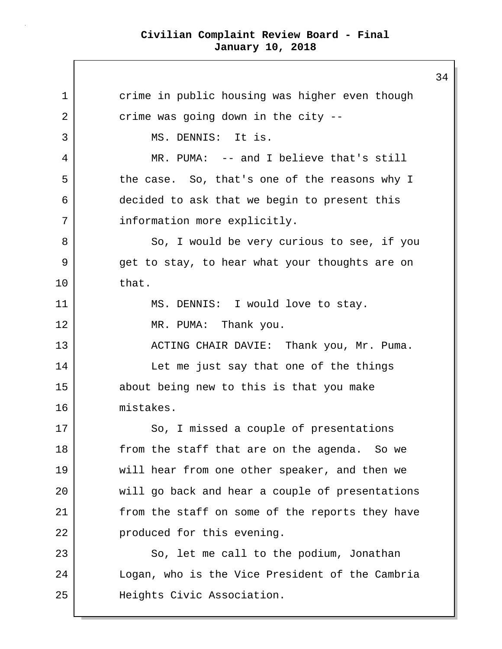1 crime in public housing was higher even though 2 crime was going down in the city --3 MS. DENNIS: It is. 4 MR. PUMA: -- and I believe that's still 5 the case. So, that's one of the reasons why I 6 decided to ask that we begin to present this 7 | information more explicitly. 8 So, I would be very curious to see, if you 9 get to stay, to hear what your thoughts are on 10 that. 11 MS. DENNIS: I would love to stay. 12 MR. PUMA: Thank you. 13 | ACTING CHAIR DAVIE: Thank you, Mr. Puma. 14 Let me just say that one of the things 15 about being new to this is that you make 16 mistakes. 17 So, I missed a couple of presentations 18 from the staff that are on the agenda. So we 19 will hear from one other speaker, and then we 20 will go back and hear a couple of presentations 21 | from the staff on some of the reports they have 22 produced for this evening. 23 So, let me call to the podium, Jonathan 24 Logan, who is the Vice President of the Cambria 25 Heights Civic Association.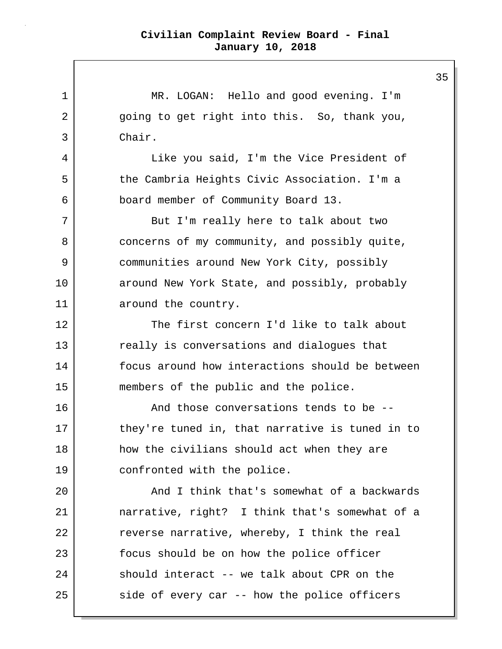1 | MR. LOGAN: Hello and good evening. I'm 2 going to get right into this. So, thank you, 3 Chair. 4 Like you said, I'm the Vice President of 5 the Cambria Heights Civic Association. I'm a 6 board member of Community Board 13. 7 But I'm really here to talk about two 8 concerns of my community, and possibly quite, 9 communities around New York City, possibly 10 around New York State, and possibly, probably 11 around the country. 12 The first concern I'd like to talk about 13 really is conversations and dialogues that 14 focus around how interactions should be between 15 members of the public and the police. 16 And those conversations tends to be --17 they're tuned in, that narrative is tuned in to 18 how the civilians should act when they are 19 confronted with the police. 20 | And I think that's somewhat of a backwards 21 narrative, right? I think that's somewhat of a 22 reverse narrative, whereby, I think the real 23 focus should be on how the police officer 24 should interact -- we talk about CPR on the 25 side of every car -- how the police officers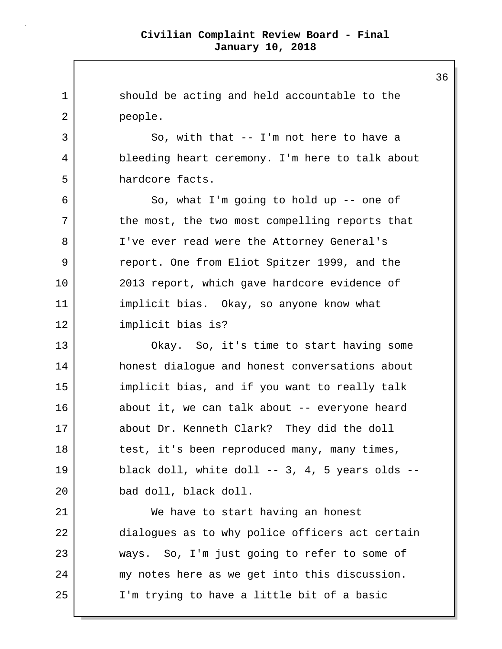1 should be acting and held accountable to the 2 people. 3 So, with that -- I'm not here to have a 4 bleeding heart ceremony. I'm here to talk about 5 hardcore facts. 6 So, what I'm going to hold up -- one of 7 the most, the two most compelling reports that 8 | I've ever read were the Attorney General's 9 Teport. One from Eliot Spitzer 1999, and the 10 2013 report, which gave hardcore evidence of 11 implicit bias. Okay, so anyone know what 12 implicit bias is? 13 Okay. So, it's time to start having some 14 honest dialoque and honest conversations about 15 implicit bias, and if you want to really talk 16 about it, we can talk about -- everyone heard 17 about Dr. Kenneth Clark? They did the doll 18 test, it's been reproduced many, many times, 19 black doll, white doll -- 3, 4, 5 years olds --20 bad doll, black doll. 21 We have to start having an honest 22 dialogues as to why police officers act certain 23 ways. So, I'm just going to refer to some of 24 my notes here as we get into this discussion. 25 I'm trying to have a little bit of a basic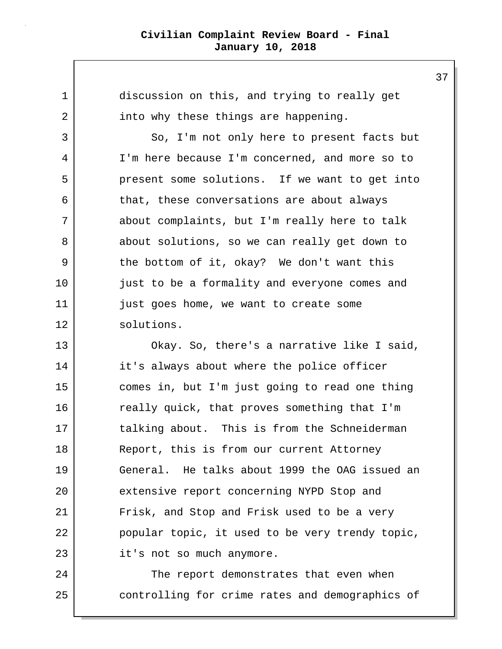1 discussion on this, and trying to really get 2 into why these things are happening.

3 So, I'm not only here to present facts but 4 I'm here because I'm concerned, and more so to 5 present some solutions. If we want to get into 6 that, these conversations are about always 7 about complaints, but I'm really here to talk 8 about solutions, so we can really get down to 9 the bottom of it, okay? We don't want this 10 just to be a formality and everyone comes and 11 | just goes home, we want to create some 12 solutions.

13 Okay. So, there's a narrative like I said, 14 it's always about where the police officer 15 comes in, but I'm just going to read one thing 16 really quick, that proves something that I'm 17 | talking about. This is from the Schneiderman 18 Report, this is from our current Attorney 19 General. He talks about 1999 the OAG issued an 20 extensive report concerning NYPD Stop and 21 Frisk, and Stop and Frisk used to be a very 22 popular topic, it used to be very trendy topic, 23 it's not so much anymore.

24 The report demonstrates that even when 25 controlling for crime rates and demographics of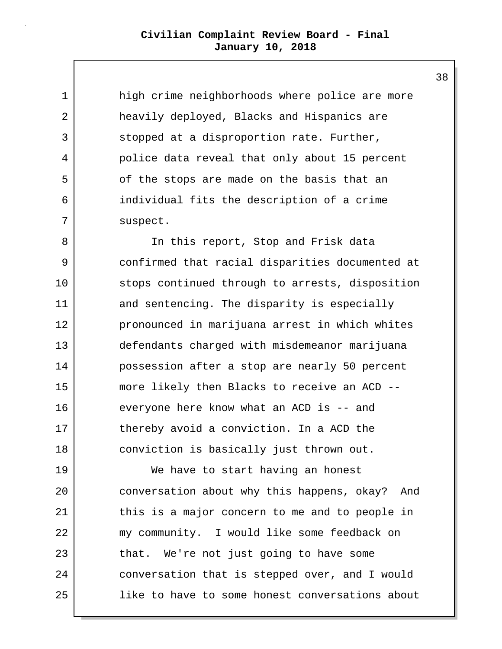1 high crime neighborhoods where police are more 2 heavily deployed, Blacks and Hispanics are 3 Stopped at a disproportion rate. Further, 4 police data reveal that only about 15 percent 5 of the stops are made on the basis that an 6 individual fits the description of a crime 7 suspect.

8 | The this report, Stop and Frisk data 9 confirmed that racial disparities documented at 10 stops continued through to arrests, disposition 11 and sentencing. The disparity is especially 12 pronounced in marijuana arrest in which whites 13 defendants charged with misdemeanor marijuana 14 possession after a stop are nearly 50 percent 15 more likely then Blacks to receive an ACD -- 16 everyone here know what an ACD is -- and 17 thereby avoid a conviction. In a ACD the 18 conviction is basically just thrown out.

19 We have to start having an honest 20 conversation about why this happens, okay? And 21 this is a major concern to me and to people in 22 my community. I would like some feedback on 23 that. We're not just going to have some 24 conversation that is stepped over, and I would 25 like to have to some honest conversations about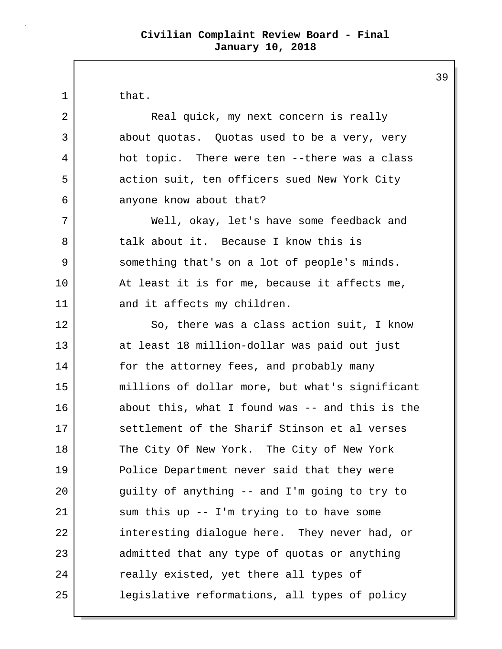1 l that. 2 | Real quick, my next concern is really 3 about quotas. Quotas used to be a very, very 4 hot topic. There were ten --there was a class 5 action suit, ten officers sued New York City 6 anyone know about that? 7 Well, okay, let's have some feedback and 8 talk about it. Because I know this is 9 something that's on a lot of people's minds. 10 At least it is for me, because it affects me, 11 and it affects my children. 12 So, there was a class action suit, I know 13 at least 18 million-dollar was paid out just 14 for the attorney fees, and probably many 15 millions of dollar more, but what's significant 16 about this, what I found was -- and this is the 17 Settlement of the Sharif Stinson et al verses 18 The City Of New York. The City of New York 19 Police Department never said that they were 20 | guilty of anything -- and I'm going to try to 21 | sum this up -- I'm trying to to have some 22 interesting dialogue here. They never had, or 23 admitted that any type of quotas or anything 24 really existed, yet there all types of 25 legislative reformations, all types of policy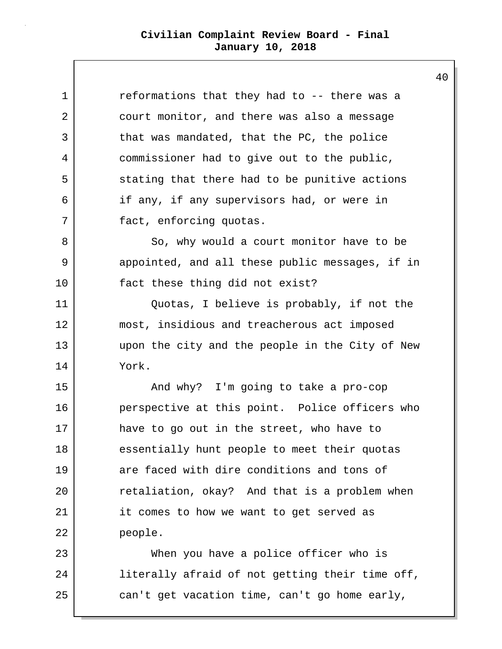| $\mathbf 1$ | reformations that they had to -- there was a    |
|-------------|-------------------------------------------------|
| 2           | court monitor, and there was also a message     |
| 3           | that was mandated, that the PC, the police      |
| 4           | commissioner had to give out to the public,     |
| 5           | stating that there had to be punitive actions   |
| 6           | if any, if any supervisors had, or were in      |
| 7           | fact, enforcing quotas.                         |
| 8           | So, why would a court monitor have to be        |
| 9           | appointed, and all these public messages, if in |
| 10          | fact these thing did not exist?                 |
| 11          | Quotas, I believe is probably, if not the       |
| 12          | most, insidious and treacherous act imposed     |
| 13          | upon the city and the people in the City of New |
| 14          | York.                                           |
| 15          | And why? I'm going to take a pro-cop            |
| 16          | perspective at this point. Police officers who  |
| 17          | have to go out in the street, who have to       |
| 18          | essentially hunt people to meet their quotas    |
| 19          | are faced with dire conditions and tons of      |
| 20          | retaliation, okay? And that is a problem when   |
| 21          | it comes to how we want to get served as        |
| 22          | people.                                         |
| 23          | When you have a police officer who is           |
| 24          | literally afraid of not getting their time off, |
| 25          | can't get vacation time, can't go home early,   |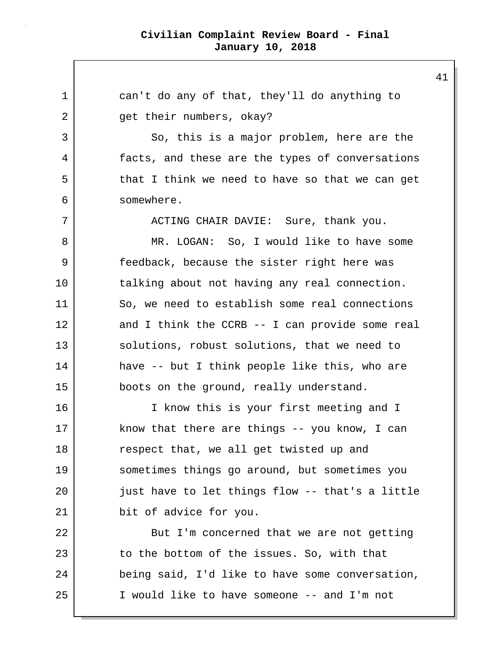1 can't do any of that, they'll do anything to 2 get their numbers, okay? 3 So, this is a major problem, here are the 4 facts, and these are the types of conversations 5 that I think we need to have so that we can get 6 somewhere. 7 ACTING CHAIR DAVIE: Sure, thank you. 8 MR. LOGAN: So, I would like to have some 9 feedback, because the sister right here was 10 talking about not having any real connection. 11 So, we need to establish some real connections 12 and I think the CCRB -- I can provide some real 13 solutions, robust solutions, that we need to 14 have -- but I think people like this, who are 15 boots on the ground, really understand. 16 I know this is your first meeting and I 17 know that there are things -- you know, I can 18 respect that, we all get twisted up and 19 sometimes things go around, but sometimes you 20 just have to let things flow -- that's a little 21 bit of advice for you. 22 But I'm concerned that we are not getting 23 to the bottom of the issues. So, with that 24 being said, I'd like to have some conversation, 25 I would like to have someone -- and I'm not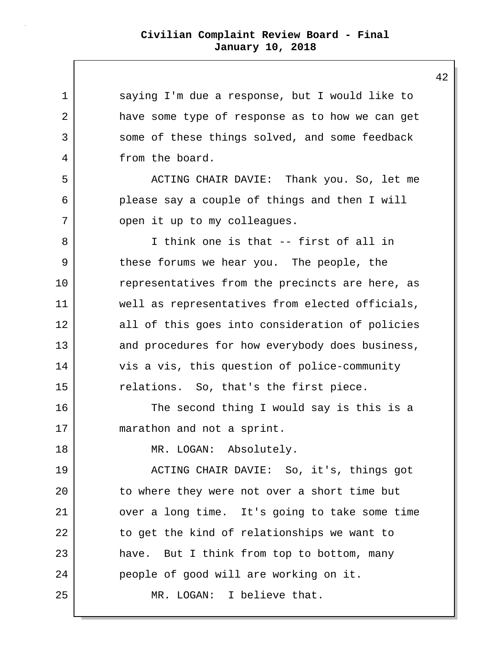| $\mathbf 1$ | saying I'm due a response, but I would like to  |
|-------------|-------------------------------------------------|
| 2           | have some type of response as to how we can get |
| 3           | some of these things solved, and some feedback  |
| 4           | from the board.                                 |
| 5           | ACTING CHAIR DAVIE: Thank you. So, let me       |
| 6           | please say a couple of things and then I will   |
| 7           | open it up to my colleagues.                    |
| 8           | I think one is that -- first of all in          |
| 9           | these forums we hear you. The people, the       |
| $10 \,$     | representatives from the precincts are here, as |
| 11          | well as representatives from elected officials, |
| 12          | all of this goes into consideration of policies |
| 13          | and procedures for how everybody does business, |
| 14          | vis a vis, this question of police-community    |
| 15          | relations. So, that's the first piece.          |
| 16          | The second thing I would say is this is a       |
| 17          | marathon and not a sprint.                      |
| 18          | MR. LOGAN: Absolutely.                          |
| 19          | ACTING CHAIR DAVIE: So, it's, things got        |
| 20          | to where they were not over a short time but    |
| 21          | over a long time. It's going to take some time  |
| 22          | to get the kind of relationships we want to     |
| 23          | have. But I think from top to bottom, many      |
| 24          | people of good will are working on it.          |
| 25          | MR. LOGAN: I believe that.                      |
|             |                                                 |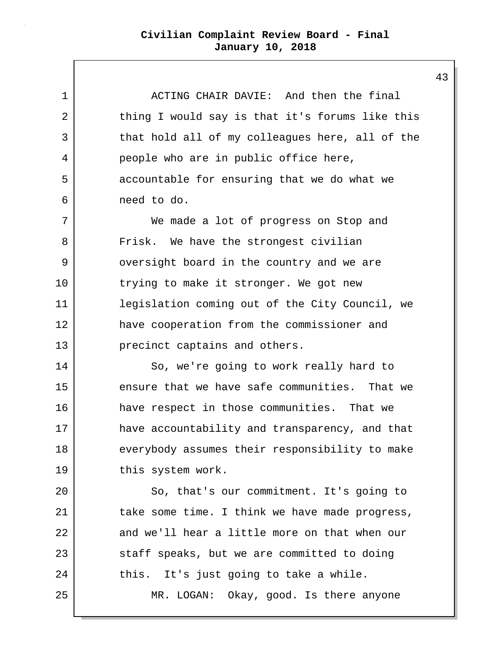1 ACTING CHAIR DAVIE: And then the final 2 thing I would say is that it's forums like this 3 that hold all of my colleagues here, all of the 4 people who are in public office here, 5 accountable for ensuring that we do what we 6 need to do.

7 We made a lot of progress on Stop and 8 | Frisk. We have the strongest civilian 9 versight board in the country and we are 10 trying to make it stronger. We got new 11 legislation coming out of the City Council, we 12 have cooperation from the commissioner and 13 precinct captains and others.

14 So, we're going to work really hard to 15 ensure that we have safe communities. That we 16 have respect in those communities. That we 17 have accountability and transparency, and that 18 everybody assumes their responsibility to make 19 this system work.

20 So, that's our commitment. It's going to 21 take some time. I think we have made progress, 22 and we'll hear a little more on that when our 23 staff speaks, but we are committed to doing 24 this. It's just going to take a while. 25 MR. LOGAN: Okay, good. Is there anyone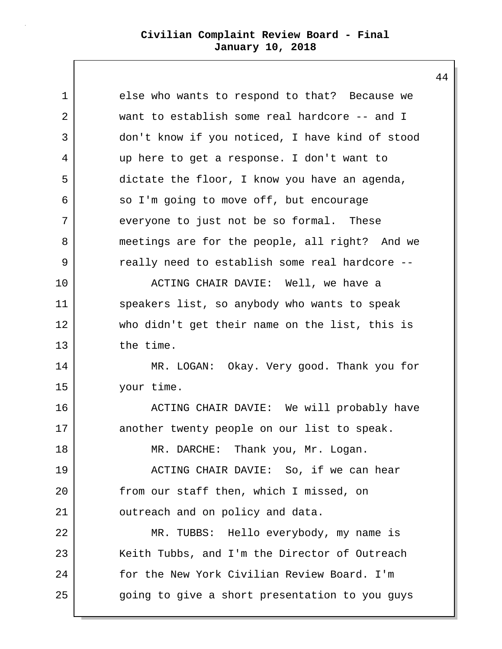1 else who wants to respond to that? Because we 2 want to establish some real hardcore -- and I 3 don't know if you noticed, I have kind of stood 4 up here to get a response. I don't want to 5 dictate the floor, I know you have an agenda, 6 so I'm going to move off, but encourage 7 everyone to just not be so formal. These 8 meetings are for the people, all right? And we 9 ereally need to establish some real hardcore --10 ACTING CHAIR DAVIE: Well, we have a 11 speakers list, so anybody who wants to speak 12 who didn't get their name on the list, this is 13 the time. 14 MR. LOGAN: Okay. Very good. Thank you for 15 your time. 16 ACTING CHAIR DAVIE: We will probably have 17 another twenty people on our list to speak. 18 | MR. DARCHE: Thank you, Mr. Logan. 19 ACTING CHAIR DAVIE: So, if we can hear 20 from our staff then, which I missed, on 21 | outreach and on policy and data. 22 MR. TUBBS: Hello everybody, my name is 23 | Keith Tubbs, and I'm the Director of Outreach 24 for the New York Civilian Review Board. I'm 25 going to give a short presentation to you guys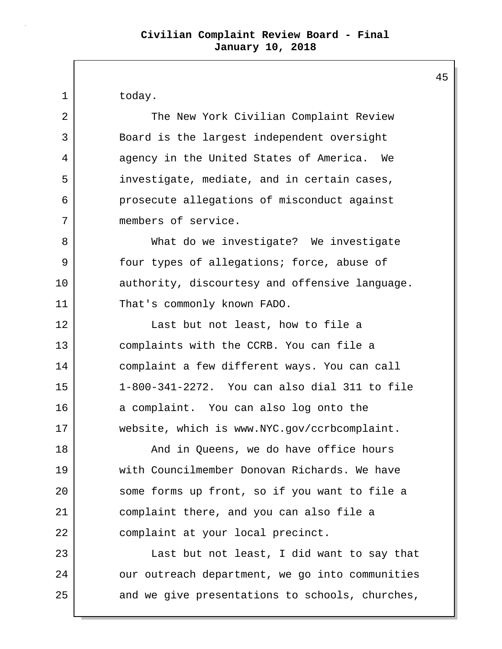1 today.

2 The New York Civilian Complaint Review 3 Board is the largest independent oversight 4 agency in the United States of America. We 5 investigate, mediate, and in certain cases, 6 prosecute allegations of misconduct against 7 members of service.

8 | What do we investigate? We investigate 9 Solut types of allegations; force, abuse of 10 authority, discourtesy and offensive language. 11 That's commonly known FADO.

12 Last but not least, how to file a 13 complaints with the CCRB. You can file a 14 complaint a few different ways. You can call 15 1-800-341-2272. You can also dial 311 to file 16 a complaint. You can also log onto the 17 website, which is www.NYC.gov/ccrbcomplaint.

18 | The Mand in Queens, we do have office hours 19 with Councilmember Donovan Richards. We have 20 some forms up front, so if you want to file a 21 complaint there, and you can also file a 22 complaint at your local precinct.

23 Last but not least, I did want to say that 24 | our outreach department, we go into communities 25 and we give presentations to schools, churches,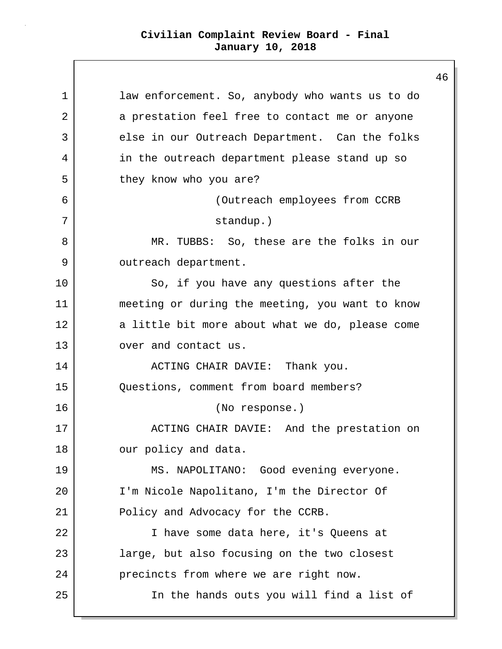1 | law enforcement. So, anybody who wants us to do 2 a prestation feel free to contact me or anyone 3 else in our Outreach Department. Can the folks 4 in the outreach department please stand up so 5 they know who you are? 6 (Outreach employees from CCRB 7 standup.) 8 MR. TUBBS: So, these are the folks in our 9 outreach department. 10 So, if you have any questions after the 11 meeting or during the meeting, you want to know 12 a little bit more about what we do, please come 13 over and contact us. 14 ACTING CHAIR DAVIE: Thank you. 15 Questions, comment from board members? 16 (No response.) 17 | ACTING CHAIR DAVIE: And the prestation on 18 our policy and data. 19 MS. NAPOLITANO: Good evening everyone. 20 I'm Nicole Napolitano, I'm the Director Of 21 Policy and Advocacy for the CCRB. 22 I have some data here, it's Queens at 23 large, but also focusing on the two closest 24 **precincts from where we are right now.** 25 In the hands outs you will find a list of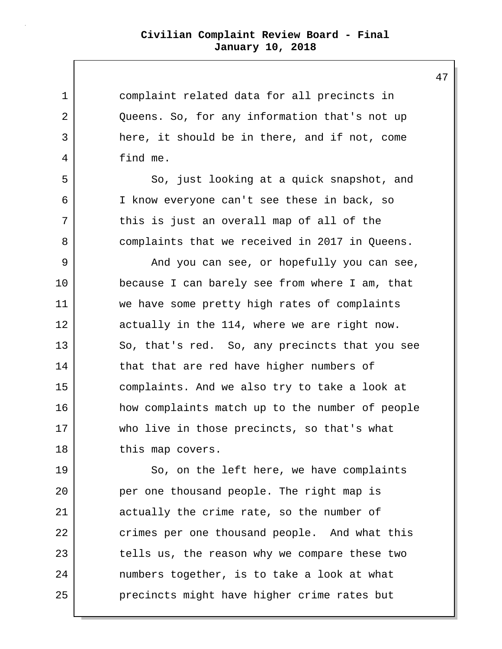1 complaint related data for all precincts in 2 Queens. So, for any information that's not up 3 here, it should be in there, and if not, come 4 find me. 5 So, just looking at a quick snapshot, and 6 I know everyone can't see these in back, so 7 this is just an overall map of all of the 8 complaints that we received in 2017 in Queens. 9 And you can see, or hopefully you can see, 10 because I can barely see from where I am, that 11 we have some pretty high rates of complaints 12 actually in the 114, where we are right now. 13 So, that's red. So, any precincts that you see 14 that that are red have higher numbers of 15 complaints. And we also try to take a look at 16 how complaints match up to the number of people 17 who live in those precincts, so that's what 18 this map covers. 19 So, on the left here, we have complaints 20 per one thousand people. The right map is 21 actually the crime rate, so the number of 22 crimes per one thousand people. And what this 23 tells us, the reason why we compare these two 24 numbers together, is to take a look at what 25 precincts might have higher crime rates but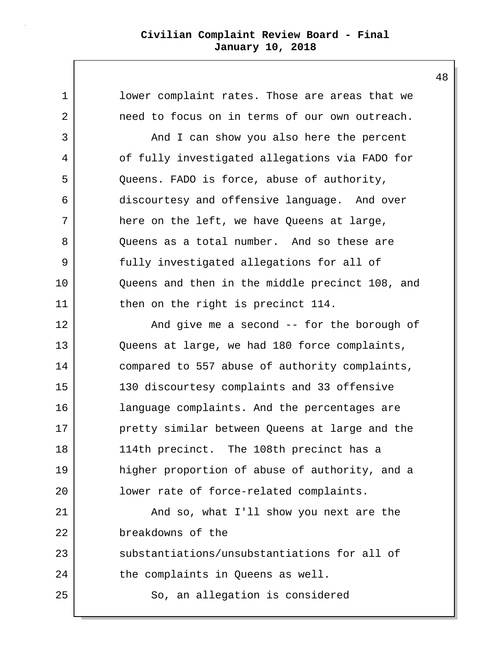1 **lower complaint rates. Those are areas that we** 2 need to focus on in terms of our own outreach. 3 And I can show you also here the percent 4 of fully investigated allegations via FADO for 5 Queens. FADO is force, abuse of authority, 6 discourtesy and offensive language. And over 7 here on the left, we have Queens at large, 8 Oueens as a total number. And so these are 9 fully investigated allegations for all of 10 Queens and then in the middle precinct 108, and 11 then on the right is precinct 114. 12 And give me a second -- for the borough of 13 Queens at large, we had 180 force complaints, 14 compared to 557 abuse of authority complaints, 15 130 discourtesy complaints and 33 offensive 16 | language complaints. And the percentages are 17 pretty similar between Queens at large and the 18 114th precinct. The 108th precinct has a 19 higher proportion of abuse of authority, and a 20 **lower rate of force-related complaints.** 21 | And so, what I'll show you next are the 22 breakdowns of the 23 substantiations/unsubstantiations for all of 24 the complaints in Queens as well. 25 So, an allegation is considered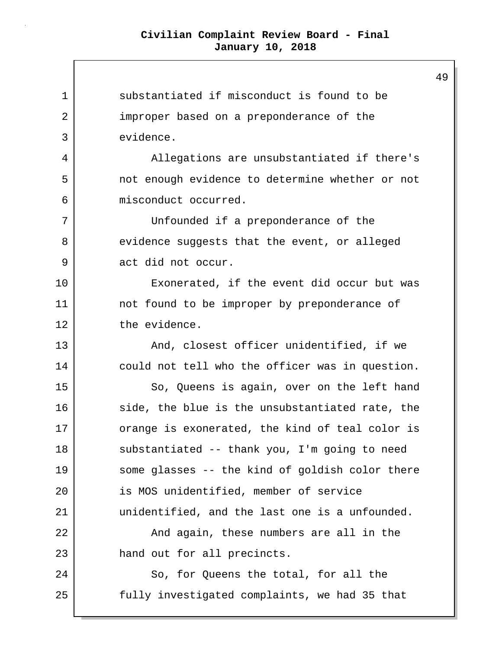1 substantiated if misconduct is found to be 2 improper based on a preponderance of the 3 evidence. 4 Allegations are unsubstantiated if there's 5 not enough evidence to determine whether or not 6 misconduct occurred. 7 Unfounded if a preponderance of the 8 evidence suggests that the event, or alleged 9 act did not occur. 10 Exonerated, if the event did occur but was 11 | not found to be improper by preponderance of 12 the evidence. 13 | The Mand, closest officer unidentified, if we 14 could not tell who the officer was in question. 15 So, Queens is again, over on the left hand 16 side, the blue is the unsubstantiated rate, the 17 orange is exonerated, the kind of teal color is 18 substantiated -- thank you, I'm going to need 19 some glasses -- the kind of goldish color there 20 is MOS unidentified, member of service 21 unidentified, and the last one is a unfounded. 22 And again, these numbers are all in the 23 hand out for all precincts. 24 So, for Queens the total, for all the 25 fully investigated complaints, we had 35 that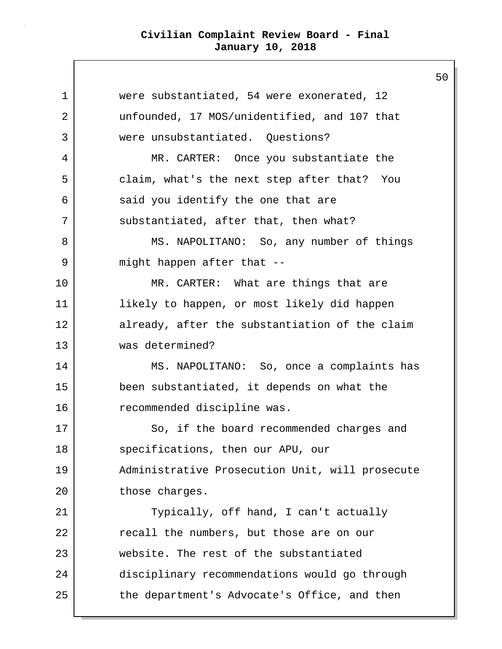1 were substantiated, 54 were exonerated, 12 2 unfounded, 17 MOS/unidentified, and 107 that 3 were unsubstantiated. Questions? 4 MR. CARTER: Once you substantiate the 5 claim, what's the next step after that? You 6 said you identify the one that are 7 substantiated, after that, then what? 8 | MS. NAPOLITANO: So, any number of things 9 might happen after that --10 MR. CARTER: What are things that are 11 likely to happen, or most likely did happen 12 already, after the substantiation of the claim 13 was determined? 14 MS. NAPOLITANO: So, once a complaints has 15 been substantiated, it depends on what the 16 recommended discipline was. 17 So, if the board recommended charges and 18 specifications, then our APU, our 19 Administrative Prosecution Unit, will prosecute 20 those charges. 21 Typically, off hand, I can't actually 22 recall the numbers, but those are on our 23 website. The rest of the substantiated 24 disciplinary recommendations would go through 25 the department's Advocate's Office, and then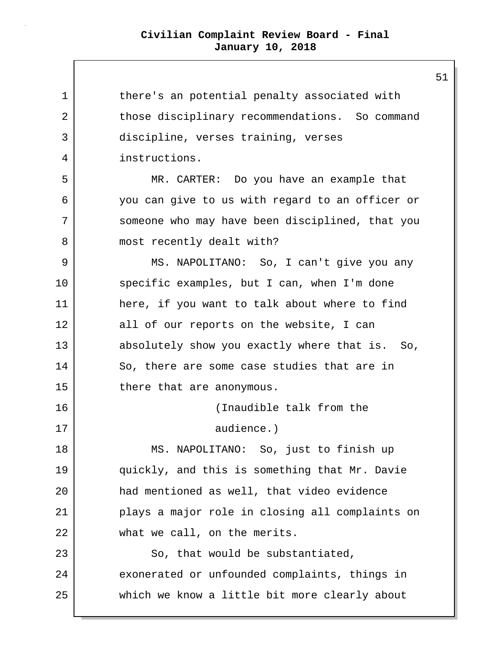1 1 there's an potential penalty associated with 2 those disciplinary recommendations. So command 3 discipline, verses training, verses 4 instructions. 5 MR. CARTER: Do you have an example that 6 you can give to us with regard to an officer or 7 someone who may have been disciplined, that you 8 | most recently dealt with? 9 MS. NAPOLITANO: So, I can't give you any 10 specific examples, but I can, when I'm done 11 here, if you want to talk about where to find 12 all of our reports on the website, I can 13 absolutely show you exactly where that is. So, 14 So, there are some case studies that are in 15 there that are anonymous. 16 (Inaudible talk from the 17 audience.) 18 | MS. NAPOLITANO: So, just to finish up 19 quickly, and this is something that Mr. Davie 20 had mentioned as well, that video evidence 21 plays a major role in closing all complaints on 22 what we call, on the merits. 23 So, that would be substantiated, 24 exonerated or unfounded complaints, things in 25 which we know a little bit more clearly about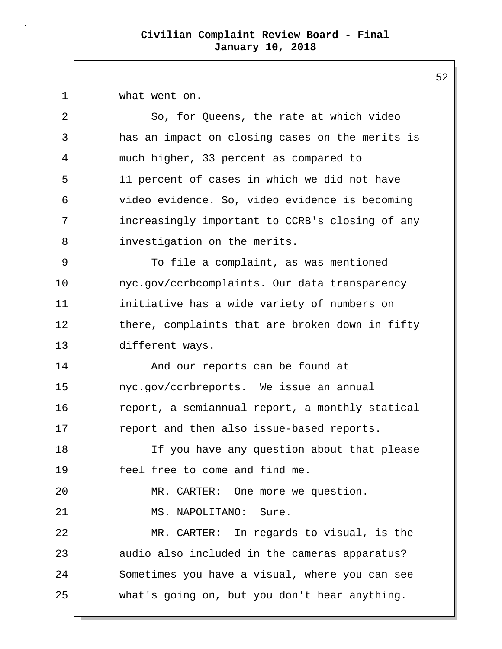1 what went on.

2 So, for Queens, the rate at which video 3 has an impact on closing cases on the merits is 4 much higher, 33 percent as compared to 5 11 percent of cases in which we did not have 6 video evidence. So, video evidence is becoming 7 increasingly important to CCRB's closing of any 8 | investigation on the merits. 9 | To file a complaint, as was mentioned 10 | nyc.gov/ccrbcomplaints. Our data transparency 11 initiative has a wide variety of numbers on 12 there, complaints that are broken down in fifty 13 different ways. 14 And our reports can be found at 15 nyc.gov/ccrbreports. We issue an annual 16 report, a semiannual report, a monthly statical 17 report and then also issue-based reports. 18 If you have any question about that please 19 feel free to come and find me. 20 MR. CARTER: One more we question. 21 | MS. NAPOLITANO: Sure. 22 MR. CARTER: In regards to visual, is the 23 audio also included in the cameras apparatus? 24 Sometimes you have a visual, where you can see 25 what's going on, but you don't hear anything.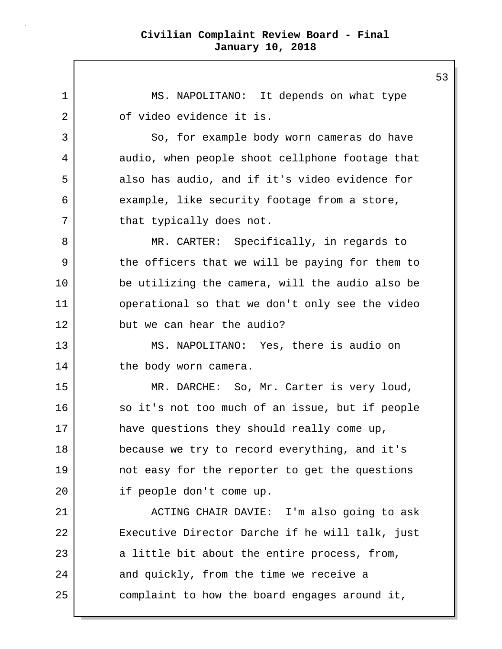1 MS. NAPOLITANO: It depends on what type 2 of video evidence it is. 3 So, for example body worn cameras do have 4 audio, when people shoot cellphone footage that 5 also has audio, and if it's video evidence for 6 example, like security footage from a store, 7 | that typically does not. 8 MR. CARTER: Specifically, in regards to 9 the officers that we will be paying for them to 10 be utilizing the camera, will the audio also be 11 | operational so that we don't only see the video 12 but we can hear the audio? 13 MS. NAPOLITANO: Yes, there is audio on 14 the body worn camera. 15 | MR. DARCHE: So, Mr. Carter is very loud, 16 so it's not too much of an issue, but if people 17 have questions they should really come up, 18 because we try to record everything, and it's 19 not easy for the reporter to get the questions 20 if people don't come up. 21 | ACTING CHAIR DAVIE: I'm also going to ask 22 Executive Director Darche if he will talk, just 23 a little bit about the entire process, from, 24 and quickly, from the time we receive a 25 complaint to how the board engages around it,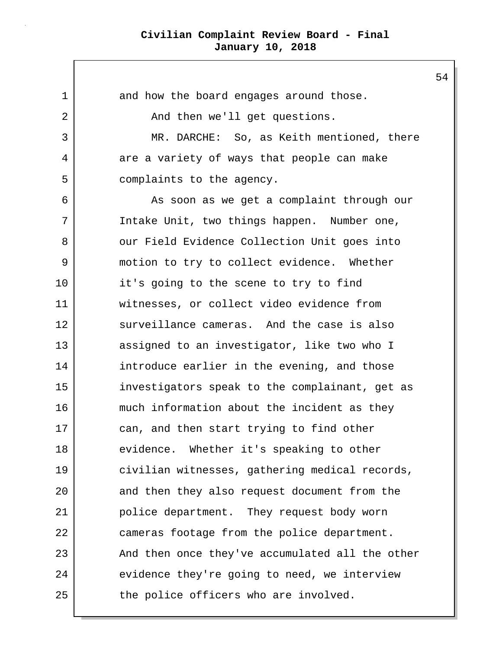1 and how the board engages around those. 2 | The and then we'll get questions. 3 MR. DARCHE: So, as Keith mentioned, there 4 are a variety of ways that people can make 5 complaints to the agency. 6 As soon as we get a complaint through our 7 Intake Unit, two things happen. Number one, 8 | Our Field Evidence Collection Unit goes into 9 motion to try to collect evidence. Whether 10 it's going to the scene to try to find 11 witnesses, or collect video evidence from 12 | surveillance cameras. And the case is also 13 assigned to an investigator, like two who I 14 introduce earlier in the evening, and those 15 investigators speak to the complainant, get as 16 much information about the incident as they 17 can, and then start trying to find other 18 evidence. Whether it's speaking to other 19 civilian witnesses, gathering medical records, 20 and then they also request document from the 21 police department. They request body worn 22 cameras footage from the police department. 23 | And then once they've accumulated all the other 24 evidence they're going to need, we interview 25 the police officers who are involved.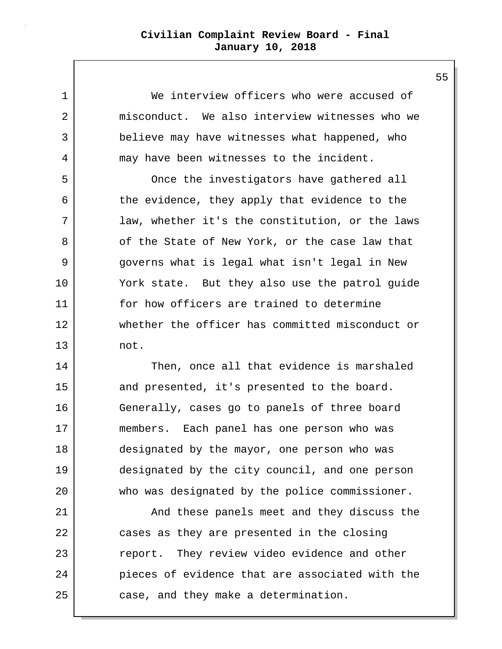1 We interview officers who were accused of 2 misconduct. We also interview witnesses who we 3 believe may have witnesses what happened, who 4 may have been witnesses to the incident.

5 Once the investigators have gathered all 6 the evidence, they apply that evidence to the 7 law, whether it's the constitution, or the laws 8 of the State of New York, or the case law that 9 governs what is legal what isn't legal in New 10 York state. But they also use the patrol guide 11 for how officers are trained to determine 12 whether the officer has committed misconduct or 13 not.

14 Then, once all that evidence is marshaled 15 and presented, it's presented to the board. 16 Generally, cases go to panels of three board 17 members. Each panel has one person who was 18 designated by the mayor, one person who was 19 designated by the city council, and one person 20 who was designated by the police commissioner.

21 | And these panels meet and they discuss the 22 cases as they are presented in the closing 23 ereport. They review video evidence and other 24 pieces of evidence that are associated with the 25 case, and they make a determination.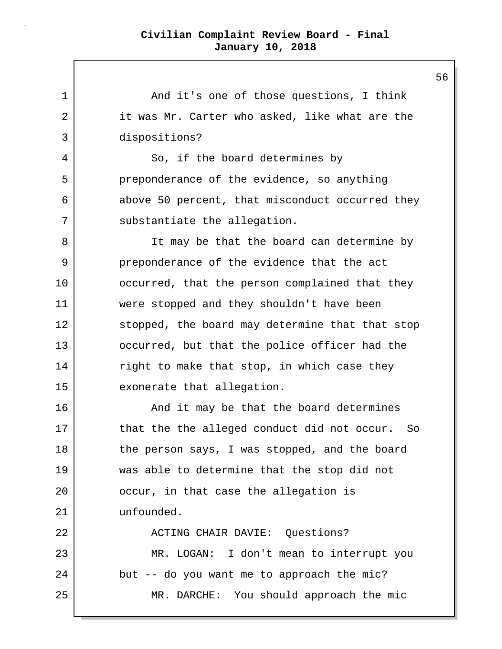1 and it's one of those questions, I think 2 it was Mr. Carter who asked, like what are the 3 dispositions? 4 So, if the board determines by 5 preponderance of the evidence, so anything 6 above 50 percent, that misconduct occurred they 7 substantiate the allegation. 8 It may be that the board can determine by 9 preponderance of the evidence that the act 10 occurred, that the person complained that they 11 were stopped and they shouldn't have been 12 stopped, the board may determine that that stop 13 occurred, but that the police officer had the 14 right to make that stop, in which case they 15 exonerate that allegation. 16 And it may be that the board determines 17 that the the alleged conduct did not occur. So 18 the person says, I was stopped, and the board 19 was able to determine that the stop did not 20 | cocur, in that case the allegation is 21 unfounded. 22 | ACTING CHAIR DAVIE: Ouestions? 23 MR. LOGAN: I don't mean to interrupt you 24 but -- do you want me to approach the mic? 25 MR. DARCHE: You should approach the mic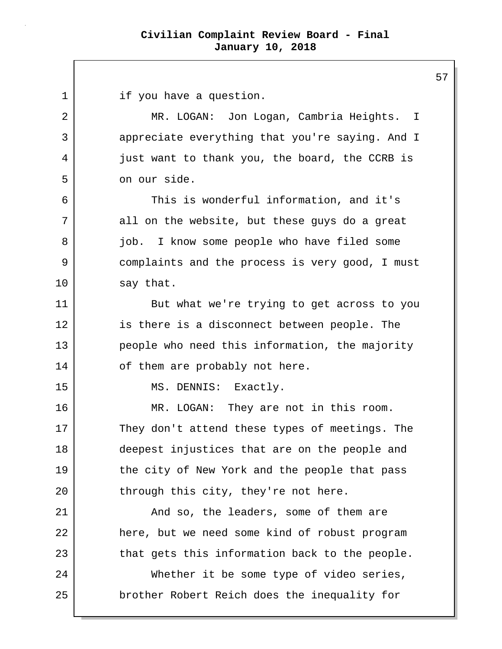1 if you have a question. 2 MR. LOGAN: Jon Logan, Cambria Heights. I 3 appreciate everything that you're saying. And I 4 just want to thank you, the board, the CCRB is 5 on our side. 6 This is wonderful information, and it's 7 all on the website, but these guys do a great 8 job. I know some people who have filed some 9 complaints and the process is very good, I must 10 say that. 11 But what we're trying to get across to you 12 is there is a disconnect between people. The 13 people who need this information, the majority 14 of them are probably not here. 15 MS. DENNIS: Exactly. 16 MR. LOGAN: They are not in this room. 17 They don't attend these types of meetings. The 18 deepest injustices that are on the people and 19 the city of New York and the people that pass 20 through this city, they're not here. 21 | The leaders, some of them are 22 here, but we need some kind of robust program 23 that gets this information back to the people. 24 Whether it be some type of video series, 25 **brother Robert Reich does the inequality for**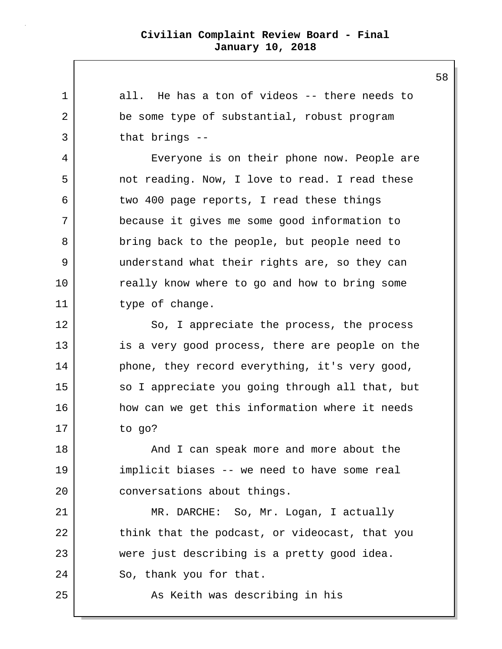1 all. He has a ton of videos -- there needs to 2 be some type of substantial, robust program 3 that brings -- 4 Everyone is on their phone now. People are 5 not reading. Now, I love to read. I read these 6 two 400 page reports, I read these things 7 because it gives me some good information to 8 bring back to the people, but people need to 9 understand what their rights are, so they can 10 really know where to go and how to bring some 11 bype of change. 12 So, I appreciate the process, the process 13 is a very good process, there are people on the 14 phone, they record everything, it's very good, 15 | so I appreciate you going through all that, but 16 how can we get this information where it needs 17 to go? 18 and I can speak more and more about the 19 implicit biases -- we need to have some real 20 conversations about things. 21 MR. DARCHE: So, Mr. Logan, I actually 22 think that the podcast, or videocast, that you 23 were just describing is a pretty good idea. 24 So, thank you for that. 25 | The Solomon As Keith was describing in his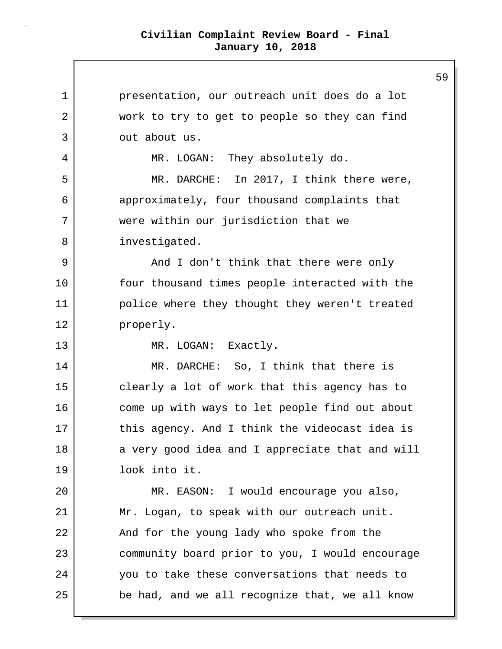| 1  | presentation, our outreach unit does do a lot   |
|----|-------------------------------------------------|
| 2  | work to try to get to people so they can find   |
| 3  | out about us.                                   |
| 4  | MR. LOGAN: They absolutely do.                  |
| 5  | MR. DARCHE: In 2017, I think there were,        |
| 6  | approximately, four thousand complaints that    |
| 7  | were within our jurisdiction that we            |
| 8  | investigated.                                   |
| 9  | And I don't think that there were only          |
| 10 | four thousand times people interacted with the  |
| 11 | police where they thought they weren't treated  |
| 12 | properly.                                       |
| 13 | MR. LOGAN: Exactly.                             |
| 14 | MR. DARCHE: So, I think that there is           |
| 15 | clearly a lot of work that this agency has to   |
| 16 | come up with ways to let people find out about  |
| 17 | this agency. And I think the videocast idea is  |
| 18 | a very good idea and I appreciate that and will |
| 19 | look into it.                                   |
| 20 | MR. EASON: I would encourage you also,          |
| 21 | Mr. Logan, to speak with our outreach unit.     |
| 22 | And for the young lady who spoke from the       |
| 23 | community board prior to you, I would encourage |
| 24 | you to take these conversations that needs to   |
| 25 | be had, and we all recognize that, we all know  |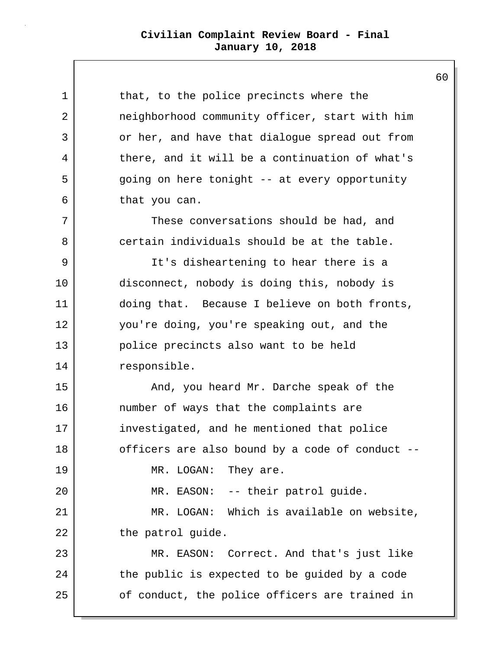| 1  | that, to the police precincts where the         |
|----|-------------------------------------------------|
| 2  | neighborhood community officer, start with him  |
| 3  | or her, and have that dialogue spread out from  |
| 4  | there, and it will be a continuation of what's  |
| 5  | going on here tonight -- at every opportunity   |
| 6  | that you can.                                   |
| 7  | These conversations should be had, and          |
| 8  | certain individuals should be at the table.     |
| 9  | It's disheartening to hear there is a           |
| 10 | disconnect, nobody is doing this, nobody is     |
| 11 | doing that. Because I believe on both fronts,   |
| 12 | you're doing, you're speaking out, and the      |
| 13 | police precincts also want to be held           |
| 14 | responsible.                                    |
| 15 | And, you heard Mr. Darche speak of the          |
| 16 | number of ways that the complaints are          |
| 17 | investigated, and he mentioned that police      |
| 18 | officers are also bound by a code of conduct -- |
| 19 | MR. LOGAN: They are.                            |
| 20 | MR. EASON: -- their patrol guide.               |
| 21 | MR. LOGAN: Which is available on website,       |
| 22 | the patrol guide.                               |
| 23 | MR. EASON: Correct. And that's just like        |
| 24 | the public is expected to be guided by a code   |
| 25 | of conduct, the police officers are trained in  |
|    |                                                 |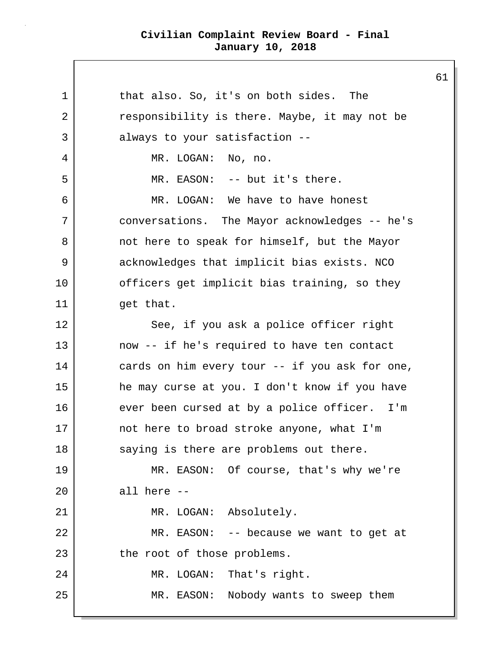1 1 that also. So, it's on both sides. The 2 | The responsibility is there. Maybe, it may not be 3 always to your satisfaction --4 MR. LOGAN: No, no. 5 | MR. EASON: -- but it's there. 6 MR. LOGAN: We have to have honest 7 conversations. The Mayor acknowledges -- he's 8 not here to speak for himself, but the Mayor 9 acknowledges that implicit bias exists. NCO 10 officers get implicit bias training, so they 11 | get that. 12 See, if you ask a police officer right 13 now -- if he's required to have ten contact 14 cards on him every tour -- if you ask for one, 15 he may curse at you. I don't know if you have 16 ever been cursed at by a police officer. I'm 17 not here to broad stroke anyone, what I'm 18 saying is there are problems out there. 19 MR. EASON: Of course, that's why we're  $20$  all here  $-$ 21 | MR. LOGAN: Absolutely. 22 MR. EASON: -- because we want to get at 23 the root of those problems. 24 MR. LOGAN: That's right. 25 | MR. EASON: Nobody wants to sweep them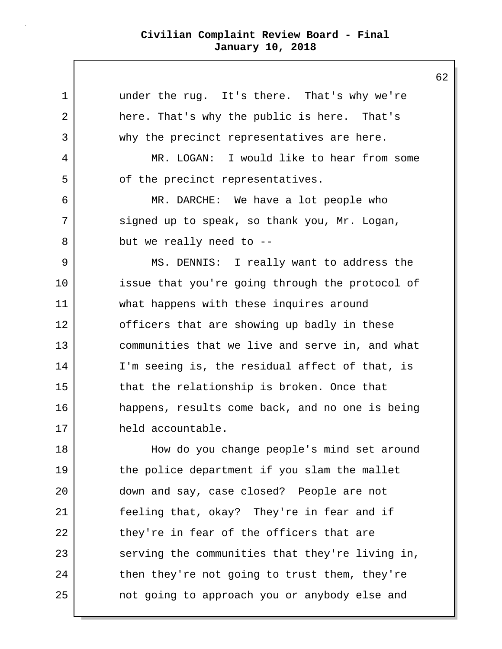1 under the rug. It's there. That's why we're 2 here. That's why the public is here. That's 3 why the precinct representatives are here. 4 MR. LOGAN: I would like to hear from some 5 | of the precinct representatives. 6 MR. DARCHE: We have a lot people who 7 signed up to speak, so thank you, Mr. Logan, 8 but we really need to --9 MS. DENNIS: I really want to address the 10 issue that you're going through the protocol of 11 what happens with these inquires around 12 officers that are showing up badly in these 13 communities that we live and serve in, and what 14 I'm seeing is, the residual affect of that, is 15 that the relationship is broken. Once that 16 happens, results come back, and no one is being 17 held accountable. 18 How do you change people's mind set around 19 the police department if you slam the mallet 20 down and say, case closed? People are not 21 feeling that, okay? They're in fear and if 22 they're in fear of the officers that are 23 serving the communities that they're living in, 24 then they're not going to trust them, they're 25 | contract poing to approach you or anybody else and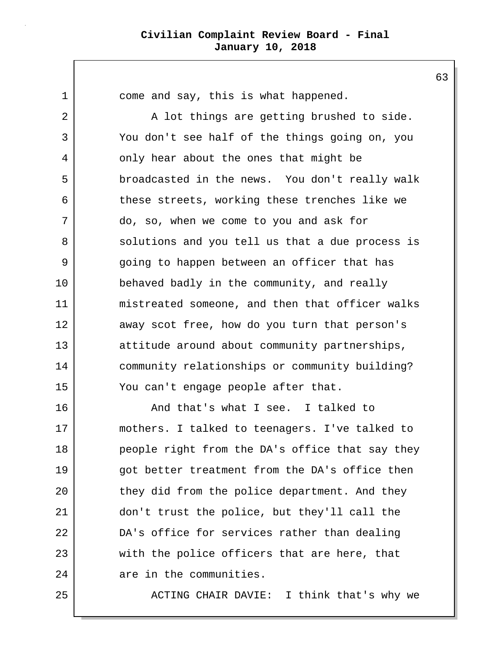1 come and say, this is what happened.

2 A lot things are getting brushed to side. 3 You don't see half of the things going on, you 4 only hear about the ones that might be 5 broadcasted in the news. You don't really walk 6 these streets, working these trenches like we 7 do, so, when we come to you and ask for 8 solutions and you tell us that a due process is 9 going to happen between an officer that has 10 behaved badly in the community, and really 11 mistreated someone, and then that officer walks 12 away scot free, how do you turn that person's 13 attitude around about community partnerships, 14 community relationships or community building? 15 You can't engage people after that.

16 And that's what I see. I talked to 17 mothers. I talked to teenagers. I've talked to 18 people right from the DA's office that say they 19 got better treatment from the DA's office then 20 they did from the police department. And they 21 don't trust the police, but they'll call the 22 DA's office for services rather than dealing 23 with the police officers that are here, that 24 are in the communities.

25 ACTING CHAIR DAVIE: I think that's why we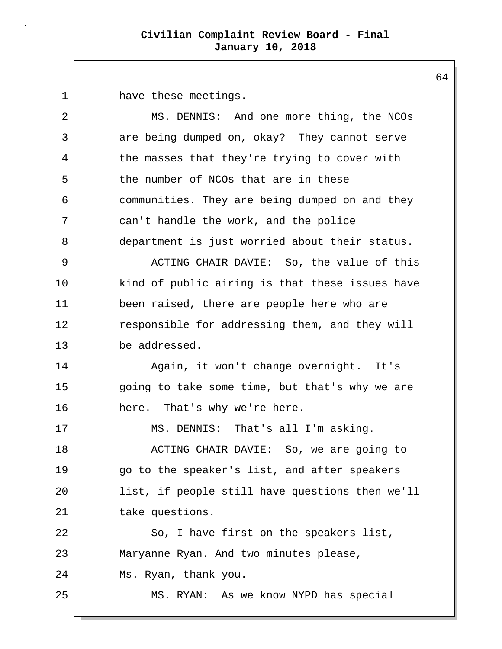1 have these meetings.

2 MS. DENNIS: And one more thing, the NCOs 3 are being dumped on, okay? They cannot serve 4 the masses that they're trying to cover with 5 the number of NCOs that are in these 6 communities. They are being dumped on and they 7 can't handle the work, and the police 8 department is just worried about their status. 9 ACTING CHAIR DAVIE: So, the value of this 10 kind of public airing is that these issues have 11 been raised, there are people here who are 12 responsible for addressing them, and they will 13 be addressed. 14 Again, it won't change overnight. It's 15 | going to take some time, but that's why we are 16 here. That's why we're here. 17 | MS. DENNIS: That's all I'm asking. 18 | ACTING CHAIR DAVIE: So, we are going to 19 go to the speaker's list, and after speakers 20 list, if people still have questions then we'll 21 take questions. 22 So, I have first on the speakers list, 23 Maryanne Ryan. And two minutes please, 24 Ms. Ryan, thank you. 25 MS. RYAN: As we know NYPD has special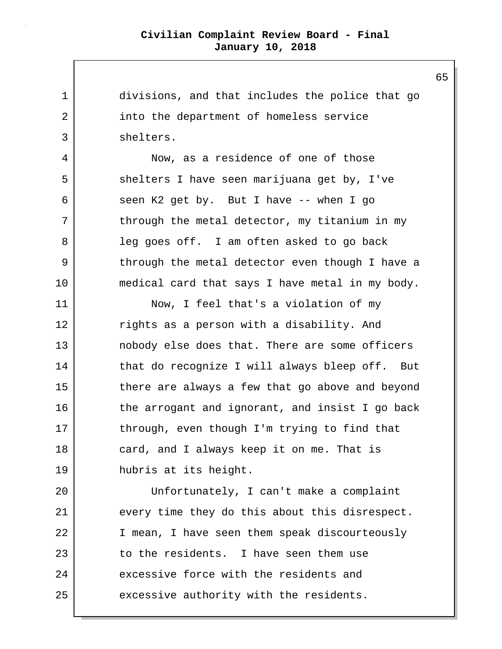1 divisions, and that includes the police that go 2 into the department of homeless service 3 shelters. 4 Now, as a residence of one of those 5 shelters I have seen marijuana get by, I've 6 seen K2 get by. But I have -- when I go  $7$  through the metal detector, my titanium in my 8 leg goes off. I am often asked to go back 9 through the metal detector even though I have a 10 medical card that says I have metal in my body. 11 Now, I feel that's a violation of my 12 rights as a person with a disability. And 13 nobody else does that. There are some officers 14 that do recognize I will always bleep off. But 15 there are always a few that go above and beyond 16 the arrogant and ignorant, and insist I go back 17 through, even though I'm trying to find that 18 card, and I always keep it on me. That is 19 hubris at its height. 20 Unfortunately, I can't make a complaint 21 every time they do this about this disrespect. 22 I mean, I have seen them speak discourteously 23 to the residents. I have seen them use 24 excessive force with the residents and 25 excessive authority with the residents.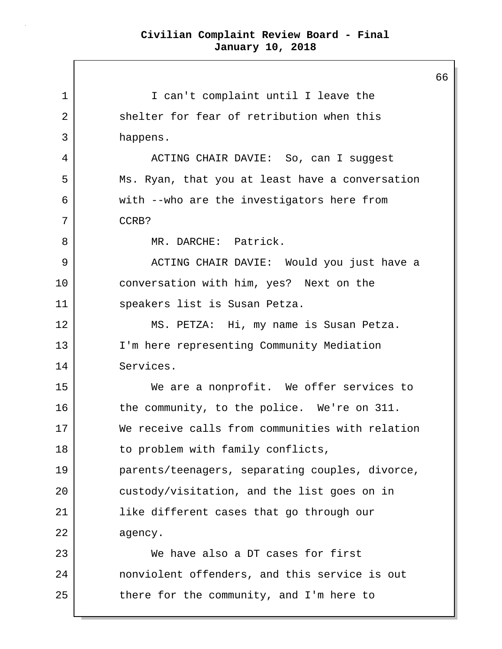1 | I can't complaint until I leave the 2 Shelter for fear of retribution when this 3 happens. 4 ACTING CHAIR DAVIE: So, can I suggest 5 Ms. Ryan, that you at least have a conversation 6 with --who are the investigators here from 7 CCRB? 8 MR. DARCHE: Patrick. 9 ACTING CHAIR DAVIE: Would you just have a 10 conversation with him, yes? Next on the 11 speakers list is Susan Petza. 12 MS. PETZA: Hi, my name is Susan Petza. 13 | I'm here representing Community Mediation 14 Services. 15 | We are a nonprofit. We offer services to 16 the community, to the police. We're on 311. 17 We receive calls from communities with relation 18 to problem with family conflicts, 19 parents/teenagers, separating couples, divorce, 20 custody/visitation, and the list goes on in 21 | like different cases that go through our 22 agency. 23 We have also a DT cases for first 24 nonviolent offenders, and this service is out 25 there for the community, and I'm here to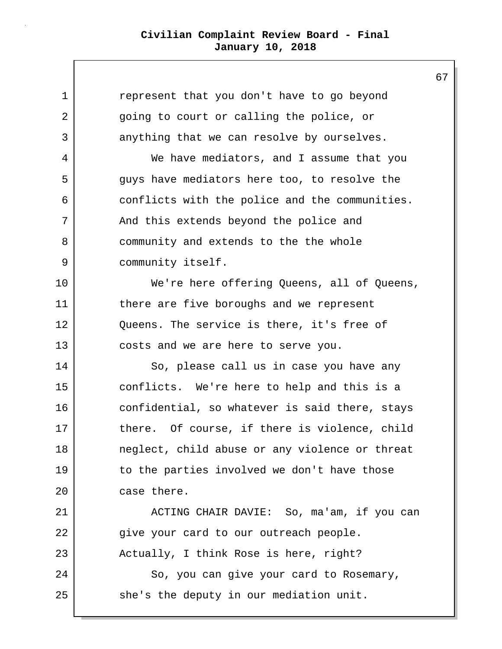1 represent that you don't have to go beyond 2 going to court or calling the police, or 3 anything that we can resolve by ourselves. 4 We have mediators, and I assume that you 5 guys have mediators here too, to resolve the 6 conflicts with the police and the communities. 7 And this extends beyond the police and 8 community and extends to the the whole 9 community itself. 10 We're here offering Queens, all of Queens, 11 there are five boroughs and we represent 12 Queens. The service is there, it's free of 13 costs and we are here to serve you. 14 So, please call us in case you have any 15 conflicts. We're here to help and this is a 16 confidential, so whatever is said there, stays 17 there. Of course, if there is violence, child 18 neglect, child abuse or any violence or threat 19 to the parties involved we don't have those 20 case there. 21 ACTING CHAIR DAVIE: So, ma'am, if you can 22 | give your card to our outreach people. 23 Actually, I think Rose is here, right? 24 So, you can give your card to Rosemary, 25 she's the deputy in our mediation unit.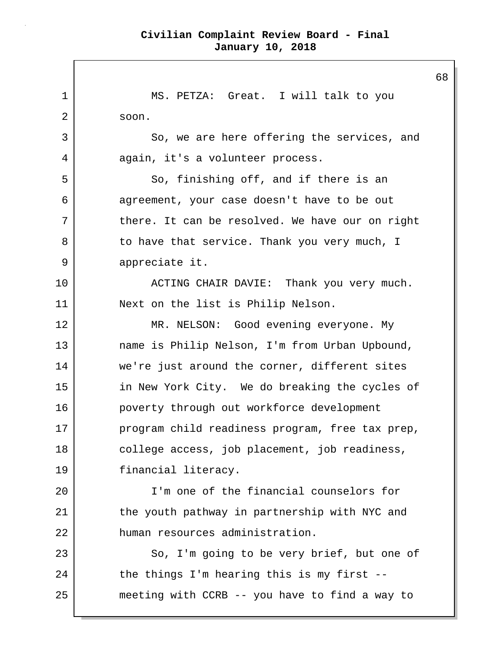1 MS. PETZA: Great. I will talk to you 2 soon. 3 So, we are here offering the services, and 4 again, it's a volunteer process. 5 So, finishing off, and if there is an 6 agreement, your case doesn't have to be out 7 there. It can be resolved. We have our on right 8 to have that service. Thank you very much, I 9 appreciate it. 10 | ACTING CHAIR DAVIE: Thank you very much. 11 Next on the list is Philip Nelson. 12 MR. NELSON: Good evening everyone. My 13 name is Philip Nelson, I'm from Urban Upbound, 14 we're just around the corner, different sites 15 in New York City. We do breaking the cycles of 16 poverty through out workforce development 17 program child readiness program, free tax prep, 18 college access, job placement, job readiness, 19 financial literacy. 20 I'm one of the financial counselors for 21 the youth pathway in partnership with NYC and 22 human resources administration. 23 So, I'm going to be very brief, but one of 24 the things I'm hearing this is my first --25 meeting with CCRB -- you have to find a way to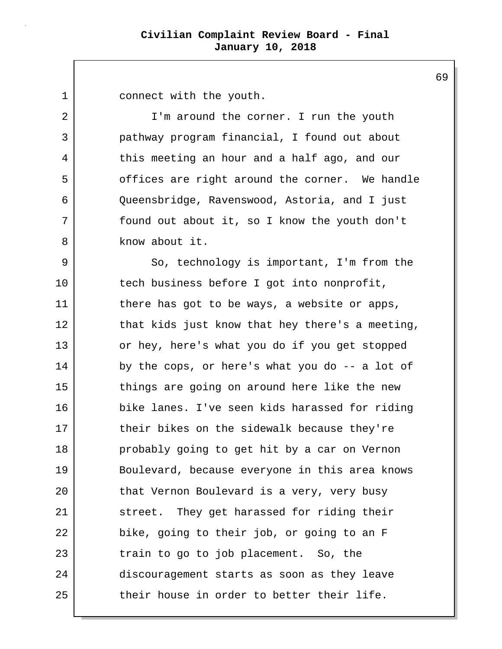1 connect with the youth.

2 | I'm around the corner. I run the youth 3 pathway program financial, I found out about 4 this meeting an hour and a half ago, and our 5 offices are right around the corner. We handle 6 Queensbridge, Ravenswood, Astoria, and I just 7 found out about it, so I know the youth don't 8 know about it.

9 So, technology is important, I'm from the 10 tech business before I got into nonprofit, 11 there has got to be ways, a website or apps, 12 that kids just know that hey there's a meeting, 13 or hey, here's what you do if you get stopped 14 by the cops, or here's what you do -- a lot of 15 things are going on around here like the new 16 bike lanes. I've seen kids harassed for riding 17 their bikes on the sidewalk because they're 18 probably going to get hit by a car on Vernon 19 Boulevard, because everyone in this area knows 20 that Vernon Boulevard is a very, very busy 21 street. They get harassed for riding their 22 bike, going to their job, or going to an F 23 train to go to job placement. So, the 24 discouragement starts as soon as they leave 25 their house in order to better their life.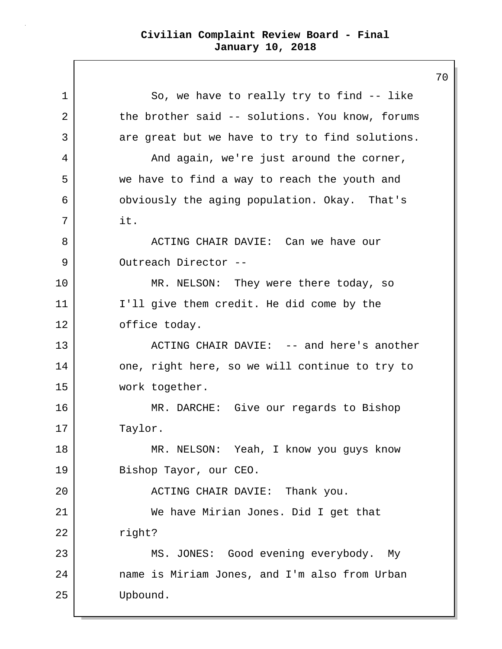1 So, we have to really try to find -- like 2 the brother said -- solutions. You know, forums 3 are great but we have to try to find solutions. 4 And again, we're just around the corner, 5 we have to find a way to reach the youth and 6 obviously the aging population. Okay. That's 7 it. 8 ACTING CHAIR DAVIE: Can we have our 9 Outreach Director --10 MR. NELSON: They were there today, so 11 | I'll give them credit. He did come by the 12 office today. 13 | ACTING CHAIR DAVIE: -- and here's another 14 one, right here, so we will continue to try to 15 work together. 16 MR. DARCHE: Give our regards to Bishop 17 Taylor. 18 MR. NELSON: Yeah, I know you guys know 19 Bishop Tayor, our CEO. 20 | ACTING CHAIR DAVIE: Thank you. 21 We have Mirian Jones. Did I get that 22 right? 23 MS. JONES: Good evening everybody. My 24 name is Miriam Jones, and I'm also from Urban 25 Upbound.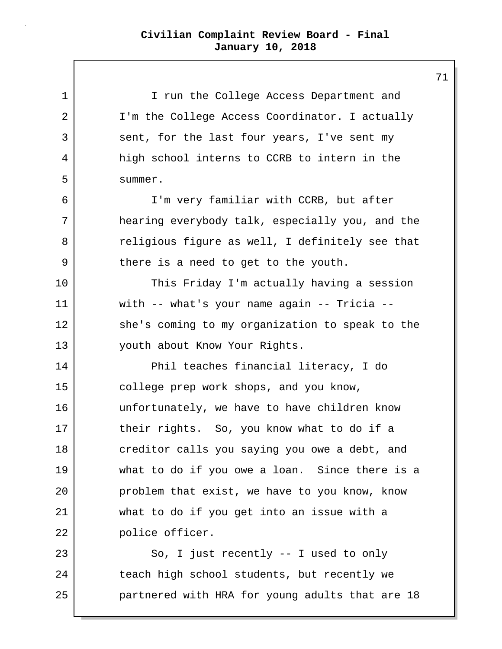1 I I run the College Access Department and 2 | I'm the College Access Coordinator. I actually 3 sent, for the last four years, I've sent my 4 high school interns to CCRB to intern in the 5 summer. 6 I'm very familiar with CCRB, but after 7 hearing everybody talk, especially you, and the 8 | The religious figure as well, I definitely see that 9 there is a need to get to the youth. 10 This Friday I'm actually having a session 11 with -- what's your name again -- Tricia -- 12 she's coming to my organization to speak to the 13 youth about Know Your Rights. 14 Phil teaches financial literacy, I do 15 college prep work shops, and you know, 16 unfortunately, we have to have children know 17 their rights. So, you know what to do if a 18 creditor calls you saying you owe a debt, and 19 what to do if you owe a loan. Since there is a 20 problem that exist, we have to you know, know 21 what to do if you get into an issue with a 22 police officer. 23 So, I just recently -- I used to only 24 teach high school students, but recently we 25 partnered with HRA for young adults that are 18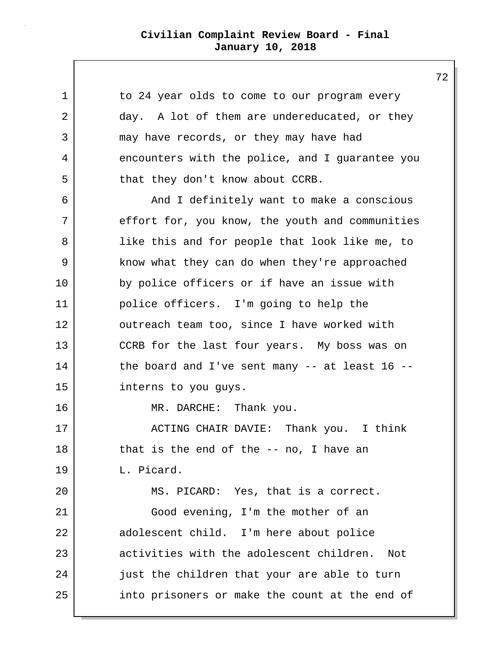| 1  | to 24 year olds to come to our program every     |
|----|--------------------------------------------------|
| 2  | day. A lot of them are undereducated, or they    |
| 3  | may have records, or they may have had           |
| 4  | encounters with the police, and I guarantee you  |
| 5  | that they don't know about CCRB.                 |
| 6  | And I definitely want to make a conscious        |
| 7  | effort for, you know, the youth and communities  |
| 8  | like this and for people that look like me, to   |
| 9  | know what they can do when they're approached    |
| 10 | by police officers or if have an issue with      |
| 11 | police officers. I'm going to help the           |
| 12 | outreach team too, since I have worked with      |
| 13 | CCRB for the last four years. My boss was on     |
| 14 | the board and I've sent many $-$ at least 16 $-$ |
| 15 | interns to you guys.                             |
| 16 | MR. DARCHE: Thank you.                           |
| 17 | ACTING CHAIR DAVIE: Thank you. I think           |
| 18 | that is the end of the $-$ no, I have an         |
| 19 | L. Picard.                                       |
| 20 | MS. PICARD: Yes, that is a correct.              |
| 21 | Good evening, I'm the mother of an               |
| 22 | adolescent child. I'm here about police          |
| 23 | activities with the adolescent children.<br>Not  |
| 24 | just the children that your are able to turn     |
| 25 | into prisoners or make the count at the end of   |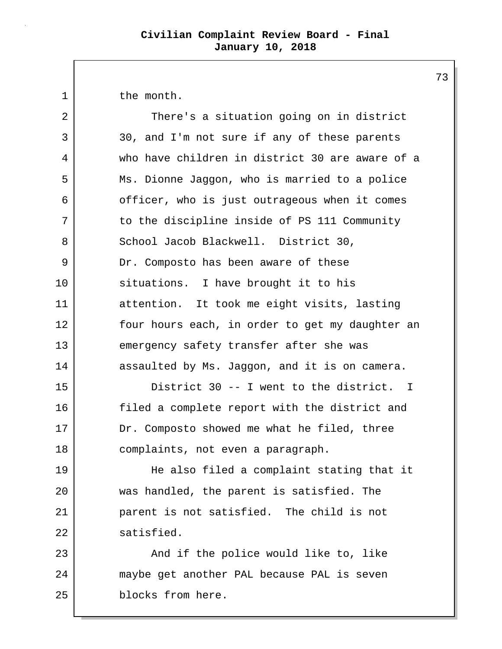1 the month.

| 2  | There's a situation going on in district        |
|----|-------------------------------------------------|
| 3  | 30, and I'm not sure if any of these parents    |
| 4  | who have children in district 30 are aware of a |
| 5  | Ms. Dionne Jaggon, who is married to a police   |
| 6  | officer, who is just outrageous when it comes   |
| 7  | to the discipline inside of PS 111 Community    |
| 8  | School Jacob Blackwell. District 30,            |
| 9  | Dr. Composto has been aware of these            |
| 10 | situations. I have brought it to his            |
| 11 | attention. It took me eight visits, lasting     |
| 12 | four hours each, in order to get my daughter an |
| 13 | emergency safety transfer after she was         |
| 14 | assaulted by Ms. Jaggon, and it is on camera.   |
| 15 | District 30 -- I went to the district. I        |
| 16 | filed a complete report with the district and   |
| 17 | Dr. Composto showed me what he filed, three     |
| 18 | complaints, not even a paragraph.               |
| 19 | He also filed a complaint stating that it       |
| 20 | was handled, the parent is satisfied. The       |
| 21 | parent is not satisfied. The child is not       |
| 22 | satisfied.                                      |
| 23 | And if the police would like to, like           |
| 24 | maybe get another PAL because PAL is seven      |
| 25 | blocks from here.                               |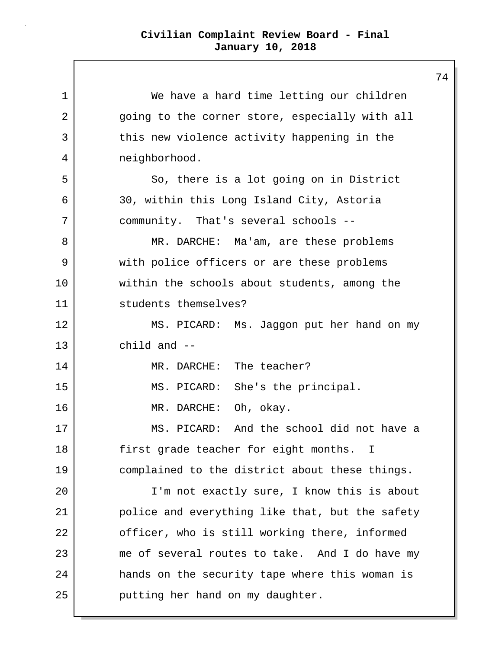| 1  | We have a hard time letting our children        |  |
|----|-------------------------------------------------|--|
| 2  | going to the corner store, especially with all  |  |
| 3  | this new violence activity happening in the     |  |
| 4  | neighborhood.                                   |  |
| 5  | So, there is a lot going on in District         |  |
| 6  | 30, within this Long Island City, Astoria       |  |
| 7  | community. That's several schools --            |  |
| 8  | MR. DARCHE: Ma'am, are these problems           |  |
| 9  | with police officers or are these problems      |  |
| 10 | within the schools about students, among the    |  |
| 11 | students themselves?                            |  |
| 12 | MS. PICARD: Ms. Jaggon put her hand on my       |  |
| 13 | child and $--$                                  |  |
| 14 | MR. DARCHE: The teacher?                        |  |
| 15 | MS. PICARD: She's the principal.                |  |
| 16 | MR. DARCHE: Oh, okay.                           |  |
| 17 | MS. PICARD: And the school did not have a       |  |
| 18 | first grade teacher for eight months. I         |  |
| 19 | complained to the district about these things.  |  |
| 20 | I'm not exactly sure, I know this is about      |  |
| 21 | police and everything like that, but the safety |  |
| 22 | officer, who is still working there, informed   |  |
| 23 | me of several routes to take. And I do have my  |  |
| 24 | hands on the security tape where this woman is  |  |
| 25 | putting her hand on my daughter.                |  |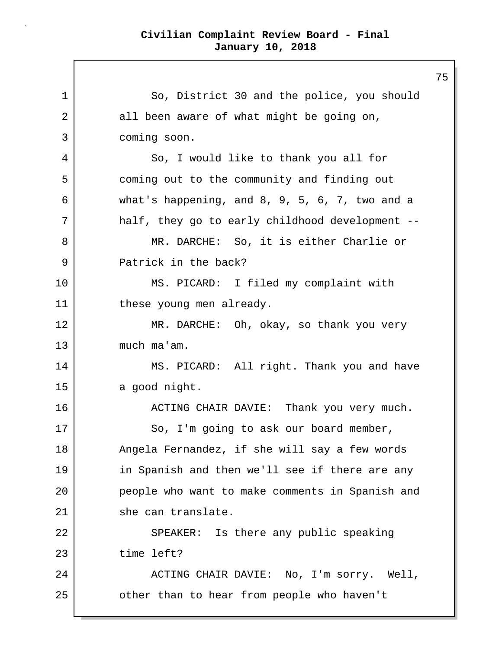1 So, District 30 and the police, you should 2 all been aware of what might be going on, 3 coming soon. 4 So, I would like to thank you all for 5 coming out to the community and finding out 6 what's happening, and 8, 9, 5, 6, 7, two and a 7 half, they go to early childhood development -- 8 | MR. DARCHE: So, it is either Charlie or 9 Patrick in the back? 10 MS. PICARD: I filed my complaint with 11 these young men already. 12 MR. DARCHE: Oh, okay, so thank you very 13 much ma'am. 14 MS. PICARD: All right. Thank you and have 15 a good night. 16 ACTING CHAIR DAVIE: Thank you very much. 17 So, I'm going to ask our board member, 18 | Angela Fernandez, if she will say a few words 19 in Spanish and then we'll see if there are any 20 people who want to make comments in Spanish and 21 she can translate. 22 SPEAKER: Is there any public speaking 23 time left? 24 ACTING CHAIR DAVIE: No, I'm sorry. Well, 25 | cther than to hear from people who haven't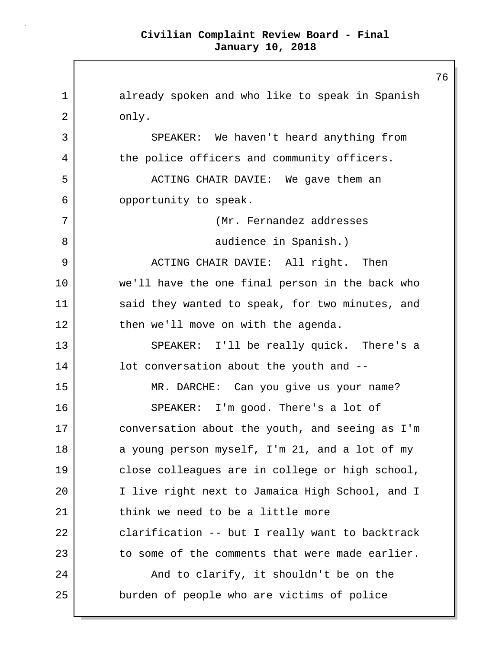1 already spoken and who like to speak in Spanish 2 only. 3 SPEAKER: We haven't heard anything from 4 the police officers and community officers. 5 | ACTING CHAIR DAVIE: We gave them an 6 opportunity to speak. 7 (Mr. Fernandez addresses 8 audience in Spanish.) 9 ACTING CHAIR DAVIE: All right. Then 10 we'll have the one final person in the back who 11 said they wanted to speak, for two minutes, and 12 then we'll move on with the agenda. 13 SPEAKER: I'll be really quick. There's a 14 **lot** conversation about the youth and --15 MR. DARCHE: Can you give us your name? 16 SPEAKER: I'm good. There's a lot of 17 conversation about the youth, and seeing as I'm 18 a young person myself, I'm 21, and a lot of my 19 | close colleagues are in college or high school, 20 I live right next to Jamaica High School, and I 21 think we need to be a little more 22 clarification -- but I really want to backtrack 23 to some of the comments that were made earlier. 24 And to clarify, it shouldn't be on the 25 burden of people who are victims of police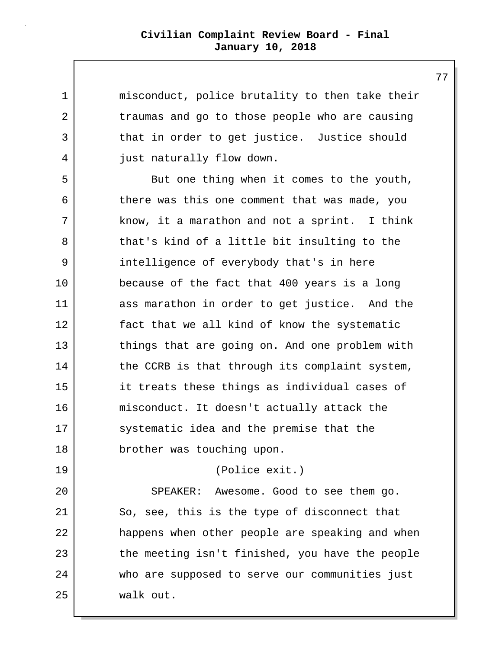| $\mathbf 1$ | misconduct, police brutality to then take their |
|-------------|-------------------------------------------------|
| 2           | traumas and go to those people who are causing  |
| 3           | that in order to get justice. Justice should    |
| 4           | just naturally flow down.                       |
| 5           | But one thing when it comes to the youth,       |
| 6           | there was this one comment that was made, you   |
| 7           | know, it a marathon and not a sprint. I think   |
| 8           | that's kind of a little bit insulting to the    |
| 9           | intelligence of everybody that's in here        |
| 10          | because of the fact that 400 years is a long    |
| 11          | ass marathon in order to get justice. And the   |
| 12          | fact that we all kind of know the systematic    |
| 13          | things that are going on. And one problem with  |
| 14          | the CCRB is that through its complaint system,  |
| 15          | it treats these things as individual cases of   |
| 16          | misconduct. It doesn't actually attack the      |
| 17          | systematic idea and the premise that the        |
| 18          | brother was touching upon.                      |
| 19          | (Police exit.)                                  |
| 20          | SPEAKER: Awesome. Good to see them go.          |
| 21          | So, see, this is the type of disconnect that    |
| 22          | happens when other people are speaking and when |
| 23          | the meeting isn't finished, you have the people |
| 24          | who are supposed to serve our communities just  |
| 25          | walk out.                                       |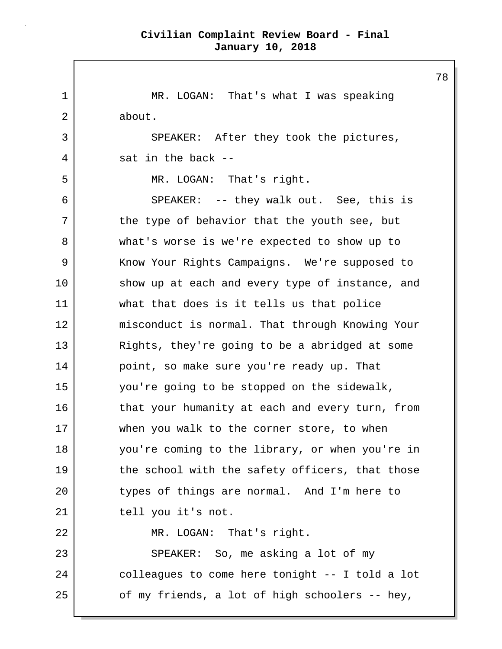1 MR. LOGAN: That's what I was speaking 2 about. 3 SPEAKER: After they took the pictures, 4 sat in the back --5 MR. LOGAN: That's right. 6 SPEAKER: -- they walk out. See, this is 7 the type of behavior that the youth see, but 8 what's worse is we're expected to show up to 9 | Know Your Rights Campaigns. We're supposed to 10 show up at each and every type of instance, and 11 what that does is it tells us that police 12 misconduct is normal. That through Knowing Your 13 | Rights, they're going to be a abridged at some 14 point, so make sure you're ready up. That 15 you're going to be stopped on the sidewalk, 16 that your humanity at each and every turn, from 17 when you walk to the corner store, to when 18 you're coming to the library, or when you're in 19 the school with the safety officers, that those 20 types of things are normal. And I'm here to 21 tell you it's not. 22 MR. LOGAN: That's right. 23 SPEAKER: So, me asking a lot of my 24 colleagues to come here tonight -- I told a lot  $25$  of my friends, a lot of high schoolers -- hey,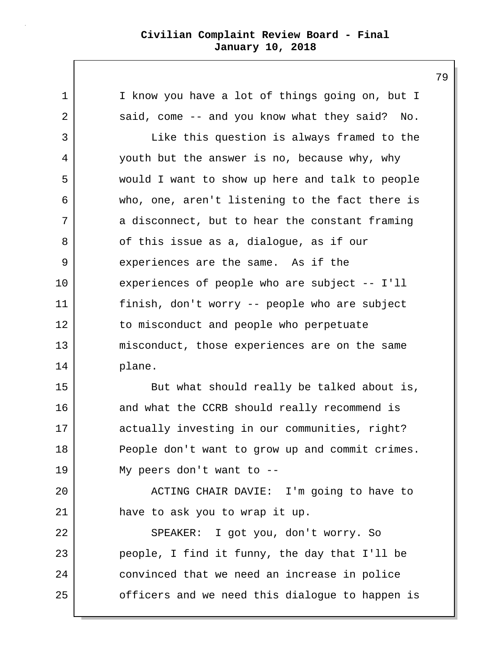1 I know you have a lot of things going on, but I 2 said, come -- and you know what they said? No. 3 Like this question is always framed to the 4 youth but the answer is no, because why, why 5 would I want to show up here and talk to people 6 who, one, aren't listening to the fact there is 7 a disconnect, but to hear the constant framing 8 of this issue as a, dialogue, as if our 9 experiences are the same. As if the 10 experiences of people who are subject -- I'll 11 finish, don't worry -- people who are subject 12 to misconduct and people who perpetuate 13 misconduct, those experiences are on the same 14 plane. 15 But what should really be talked about is, 16 and what the CCRB should really recommend is 17 actually investing in our communities, right? 18 People don't want to grow up and commit crimes. 19 My peers don't want to -- 20 | ACTING CHAIR DAVIE: I'm going to have to 21 have to ask you to wrap it up. 22 SPEAKER: I got you, don't worry. So 23 people, I find it funny, the day that I'll be 24 convinced that we need an increase in police 25 | cofficers and we need this dialogue to happen is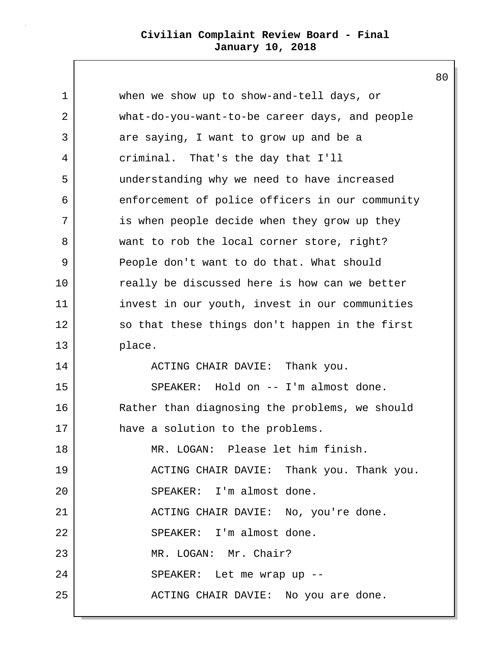1 when we show up to show-and-tell days, or 2 what-do-you-want-to-be career days, and people 3 are saying, I want to grow up and be a 4 criminal. That's the day that I'll 5 understanding why we need to have increased 6 enforcement of police officers in our community 7 is when people decide when they grow up they 8 want to rob the local corner store, right? 9 People don't want to do that. What should 10 really be discussed here is how can we better 11 invest in our youth, invest in our communities 12 so that these things don't happen in the first 13 place. 14 ACTING CHAIR DAVIE: Thank you. 15 SPEAKER: Hold on -- I'm almost done. 16 Rather than diagnosing the problems, we should 17 have a solution to the problems. 18 MR. LOGAN: Please let him finish. 19 ACTING CHAIR DAVIE: Thank you. Thank you. 20 | SPEAKER: I'm almost done. 21 ACTING CHAIR DAVIE: No, you're done. 22 SPEAKER: I'm almost done. 23 MR. LOGAN: Mr. Chair? 24 | SPEAKER: Let me wrap up --25 ACTING CHAIR DAVIE: No you are done.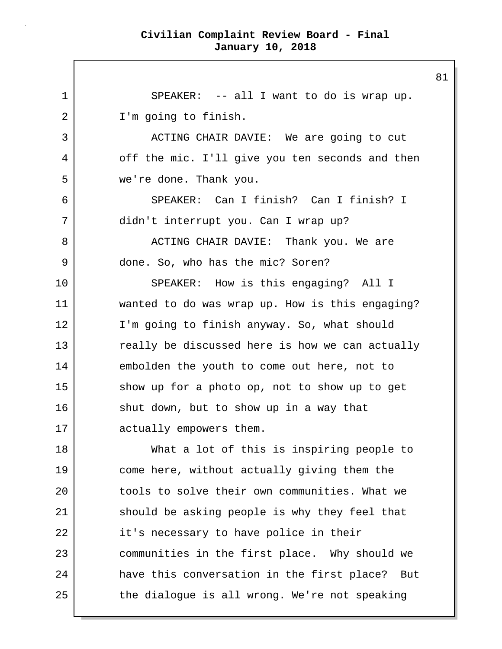1 SPEAKER: -- all I want to do is wrap up. 2 | I'm going to finish. 3 | ACTING CHAIR DAVIE: We are going to cut 4 off the mic. I'll give you ten seconds and then 5 we're done. Thank you. 6 SPEAKER: Can I finish? Can I finish? I 7 didn't interrupt you. Can I wrap up? 8 ACTING CHAIR DAVIE: Thank you. We are 9 done. So, who has the mic? Soren? 10 SPEAKER: How is this engaging? All I 11 wanted to do was wrap up. How is this engaging? 12 I'm going to finish anyway. So, what should 13 really be discussed here is how we can actually 14 embolden the youth to come out here, not to 15 show up for a photo op, not to show up to get 16 shut down, but to show up in a way that 17 actually empowers them. 18 What a lot of this is inspiring people to 19 come here, without actually giving them the 20 tools to solve their own communities. What we 21 should be asking people is why they feel that 22 it's necessary to have police in their 23 communities in the first place. Why should we 24 have this conversation in the first place? But 25 the dialogue is all wrong. We're not speaking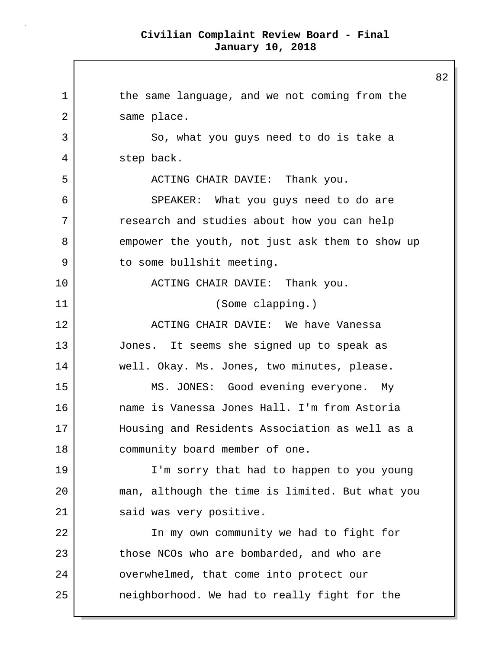1 the same language, and we not coming from the 2 same place. 3 So, what you guys need to do is take a 4 step back. 5 | ACTING CHAIR DAVIE: Thank you. 6 SPEAKER: What you guys need to do are 7 research and studies about how you can help 8 empower the youth, not just ask them to show up 9 to some bullshit meeting. 10 | ACTING CHAIR DAVIE: Thank you. 11 (Some clapping.) 12 ACTING CHAIR DAVIE: We have Vanessa 13 Jones. It seems she signed up to speak as 14 well. Okay. Ms. Jones, two minutes, please. 15 | MS. JONES: Good evening everyone. My 16 name is Vanessa Jones Hall. I'm from Astoria 17 Housing and Residents Association as well as a 18 community board member of one. 19 I'm sorry that had to happen to you young 20 man, although the time is limited. But what you 21 said was very positive. 22 | The my own community we had to fight for 23 those NCOs who are bombarded, and who are 24 | overwhelmed, that come into protect our 25 neighborhood. We had to really fight for the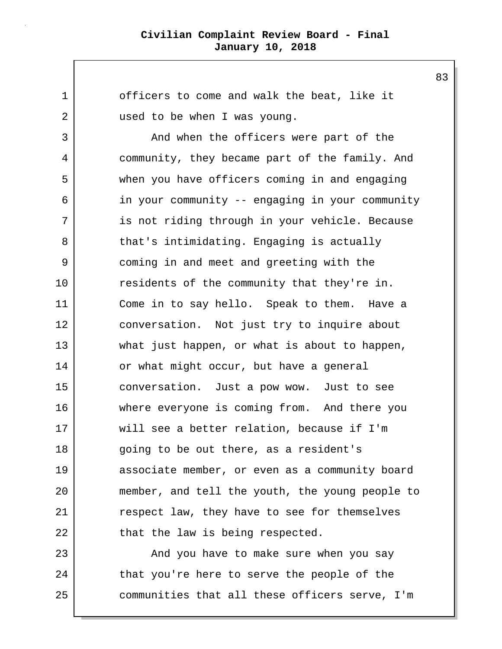1 officers to come and walk the beat, like it 2 used to be when I was young. 3 And when the officers were part of the 4 community, they became part of the family. And 5 when you have officers coming in and engaging 6 in your community -- engaging in your community 7 is not riding through in your vehicle. Because 8 that's intimidating. Engaging is actually 9 coming in and meet and greeting with the 10 residents of the community that they're in. 11 Come in to say hello. Speak to them. Have a 12 conversation. Not just try to inquire about 13 what just happen, or what is about to happen, 14 or what might occur, but have a general 15 conversation. Just a pow wow. Just to see 16 where everyone is coming from. And there you 17 will see a better relation, because if I'm 18 going to be out there, as a resident's 19 associate member, or even as a community board 20 member, and tell the youth, the young people to 21 respect law, they have to see for themselves 22 that the law is being respected. 23 | And you have to make sure when you say 24 that you're here to serve the people of the 25 communities that all these officers serve, I'm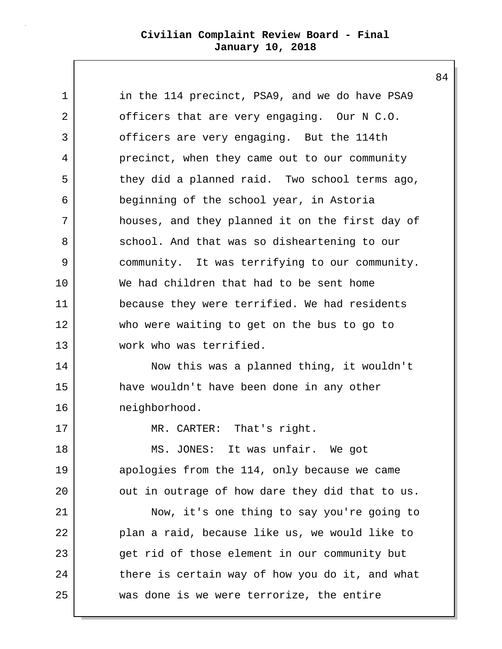| $\mathbf 1$    | in the 114 precinct, PSA9, and we do have PSA9  |
|----------------|-------------------------------------------------|
| $\overline{2}$ | officers that are very engaging. Our N C.O.     |
| 3              | officers are very engaging. But the 114th       |
| 4              | precinct, when they came out to our community   |
| 5              | they did a planned raid. Two school terms ago,  |
| 6              | beginning of the school year, in Astoria        |
| 7              | houses, and they planned it on the first day of |
| 8              | school. And that was so disheartening to our    |
| 9              | community. It was terrifying to our community.  |
| $10 \,$        | We had children that had to be sent home        |
| 11             | because they were terrified. We had residents   |
| 12             | who were waiting to get on the bus to go to     |
| 13             | work who was terrified.                         |
| 14             | Now this was a planned thing, it wouldn't       |
| 15             | have wouldn't have been done in any other       |
| 16             | neighborhood.                                   |
| 17             | MR. CARTER: That's right.                       |
| 18             | MS. JONES: It was unfair. We got                |
| 19             | apologies from the 114, only because we came    |
| 20             | out in outrage of how dare they did that to us. |
| 21             | Now, it's one thing to say you're going to      |
| 22             | plan a raid, because like us, we would like to  |
| 23             | get rid of those element in our community but   |
| 24             | there is certain way of how you do it, and what |
| 25             | was done is we were terrorize, the entire       |
|                |                                                 |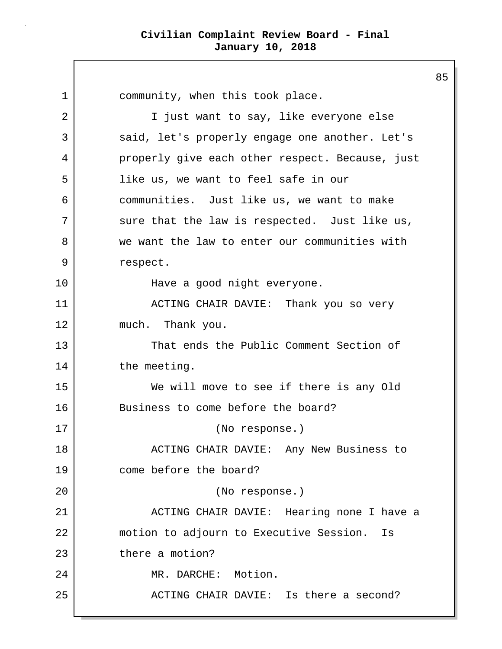1 community, when this took place. 2 | Tiust want to say, like everyone else 3 said, let's properly engage one another. Let's 4 properly give each other respect. Because, just 5 like us, we want to feel safe in our 6 communities. Just like us, we want to make 7 | sure that the law is respected. Just like us, 8 we want the law to enter our communities with 9 respect. 10 | Have a good night everyone. 11 ACTING CHAIR DAVIE: Thank you so very 12 much. Thank you. 13 That ends the Public Comment Section of 14 the meeting. 15 We will move to see if there is any Old 16 Business to come before the board? 17 (No response.) 18 | ACTING CHAIR DAVIE: Any New Business to 19 come before the board? 20 (No response.) 21 ACTING CHAIR DAVIE: Hearing none I have a 22 motion to adjourn to Executive Session. Is 23 there a motion? 24 MR. DARCHE: Motion. 25 ACTING CHAIR DAVIE: Is there a second?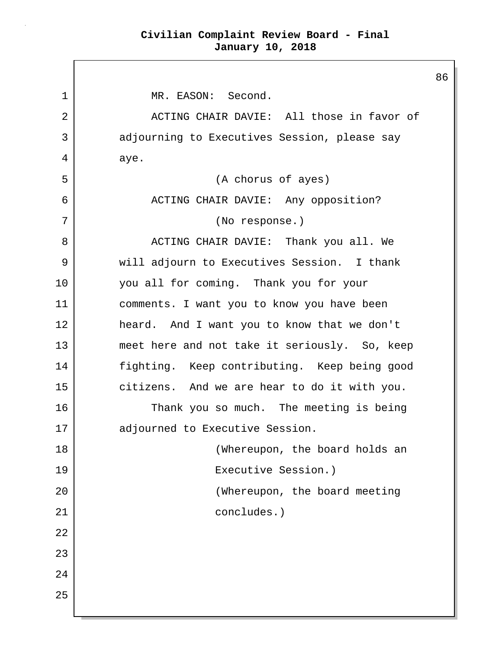86

1 | MR. EASON: Second. 2 ACTING CHAIR DAVIE: All those in favor of 3 adjourning to Executives Session, please say 4 aye. 5 (A chorus of ayes) 6 ACTING CHAIR DAVIE: Any opposition? 7 (No response.) 8 ACTING CHAIR DAVIE: Thank you all. We 9 will adjourn to Executives Session. I thank 10 you all for coming. Thank you for your 11 comments. I want you to know you have been 12 heard. And I want you to know that we don't 13 meet here and not take it seriously. So, keep 14 fighting. Keep contributing. Keep being good 15 citizens. And we are hear to do it with you. 16 Thank you so much. The meeting is being 17 | adjourned to Executive Session. 18 | Contract Contract (Whereupon, the board holds an 19 Executive Session.) 20 (Whereupon, the board meeting 21 concludes.) 22 23 24 25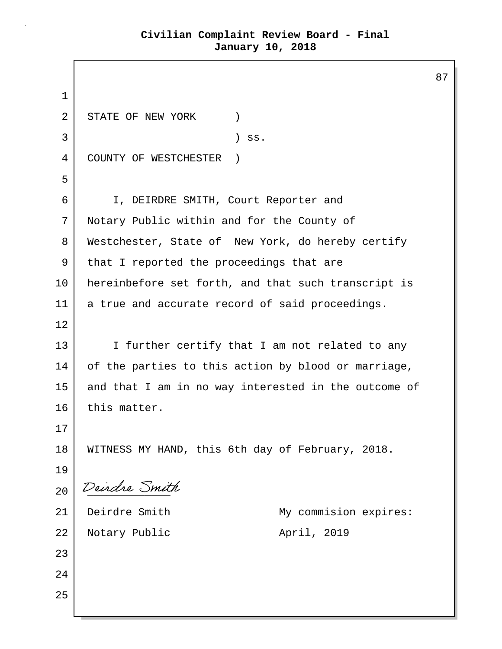87 1 2 STATE OF NEW YORK (2)  $3$  ) ss. 4 COUNTY OF WESTCHESTER ) 5 6 I, DEIRDRE SMITH, Court Reporter and 7 Notary Public within and for the County of 8 | Westchester, State of New York, do hereby certify 9 that I reported the proceedings that are 10 hereinbefore set forth, and that such transcript is 11 a true and accurate record of said proceedings. 12 13 I I further certify that I am not related to any 14 of the parties to this action by blood or marriage, 15 and that I am in no way interested in the outcome of 16 this matter. 17 18 | WITNESS MY HAND, this 6th day of February, 2018. 19 20 Deirdre Smith 21 Deirdre Smith My commision expires: 22 Notary Public April, 2019 23 24 25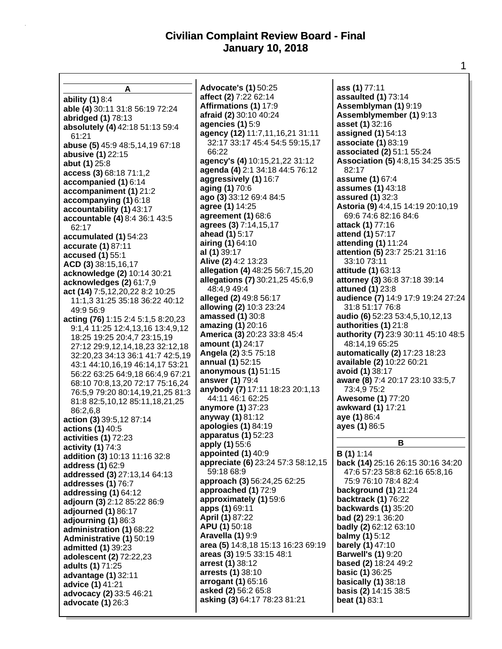**A ability (1)** 8:4 **able (4)** 30:11 31:8 56:19 72:24 **abridged (1)** 78:13 **absolutely (4)** 42:18 51:13 59:4 61:21 **abuse (5)** 45:9 48:5,14,19 67:18 **abusive (1)** 22:15 **abut (1)** 25:8 **access (3)** 68:18 71:1,2 **accompanied (1)** 6:14 **accompaniment (1)** 21:2 **accompanying (1)** 6:18 **accountability (1)** 43:17 **accountable (4)** 8:4 36:1 43:5 62:17 **accumulated (1)** 54:23 **accurate (1)** 87:11 **accused (1)** 55:1 **ACD (3)** 38:15,16,17 **acknowledge (2)** 10:14 30:21 **acknowledges (2)** 61:7,9 **act (14)** 7:5,12,20,22 8:2 10:25 11:1,3 31:25 35:18 36:22 40:12 49:9 56:9 **acting (76)** 1:15 2:4 5:1,5 8:20,23 9:1,4 11:25 12:4,13,16 13:4,9,12 18:25 19:25 20:4,7 23:15,19 27:12 29:9,12,14,18,23 32:12,18 32:20,23 34:13 36:1 41:7 42:5,19 43:1 44:10,16,19 46:14,17 53:21 56:22 63:25 64:9,18 66:4,9 67:21 68:10 70:8,13,20 72:17 75:16,24 76:5,9 79:20 80:14,19,21,25 81:3 81:8 82:5,10,12 85:11,18,21,25 86:2,6,8 **action (3)** 39:5,12 87:14 **actions (1)** 40:5 **activities (1)** 72:23 **activity (1)** 74:3 **addition (3)** 10:13 11:16 32:8 **address (1)** 62:9 **addressed (3)** 27:13,14 64:13 **addresses (1)** 76:7 **addressing (1)** 64:12 **adjourn (3)** 2:12 85:22 86:9 **adjourned (1)** 86:17 **adjourning (1)** 86:3 **administration (1)** 68:22 **Administrative (1)** 50:19 **admitted (1)** 39:23 **adolescent (2)** 72:22,23 **adults (1)** 71:25 **advantage (1)** 32:11 **advice (1)** 41:21 **advocacy (2)** 33:5 46:21 **advocate (1)** 26:3

**Advocate's (1)** 50:25 **affect (2)** 7:22 62:14 **Affirmations (1)** 17:9 **afraid (2)** 30:10 40:24 **agencies (1)** 5:9 **agency (12)** 11:7,11,16,21 31:11 32:17 33:17 45:4 54:5 59:15,17 66:22 **agency's (4)** 10:15,21,22 31:12 **agenda (4)** 2:1 34:18 44:5 76:12 **aggressively (1)** 16:7 **aging (1)** 70:6 **ago (3)** 33:12 69:4 84:5 **agree (1)** 14:25 **agreement (1)** 68:6 **agrees (3)** 7:14,15,17 **ahead (1)** 5:17 **airing (1)** 64:10 **al (1)** 39:17 **Alive (2)** 4:2 13:23 **allegation (4)** 48:25 56:7,15,20 **allegations (7)** 30:21,25 45:6,9 48:4,9 49:4 **alleged (2)** 49:8 56:17 **allowing (2)** 10:3 23:24 **amassed (1)** 30:8 **amazing (1)** 20:16 **America (3)** 20:23 33:8 45:4 **amount (1)** 24:17 **Angela (2)** 3:5 75:18 **annual (1)** 52:15 **anonymous (1)** 51:15 **answer (1)** 79:4 **anybody (7)** 17:11 18:23 20:1,13 44:11 46:1 62:25 **anymore (1)** 37:23 **anyway (1)** 81:12 **apologies (1)** 84:19 **apparatus (1)** 52:23 **apply (1)** 55:6 **appointed (1)** 40:9 **appreciate (6)** 23:24 57:3 58:12,15 59:18 68:9 **approach (3)** 56:24,25 62:25 **approached (1)** 72:9 **approximately (1)** 59:6 **apps (1)** 69:11 **April (1)** 87:22 **APU (1)** 50:18 **Aravella (1)** 9:9 **area (5)** 14:8,18 15:13 16:23 69:19 **areas (3)** 19:5 33:15 48:1 **arrest (1)** 38:12 **arrests (1)** 38:10 **arrogant (1)** 65:16 **asked (2)** 56:2 65:8 **asking (3)** 64:17 78:23 81:21

**ass (1)** 77:11 **assaulted (1)** 73:14 **Assemblyman (1)** 9:19 **Assemblymember (1)** 9:13 **asset (1)** 32:16 **assigned (1)** 54:13 **associate (1)** 83:19 **associated (2)** 51:1 55:24 **Association (5)** 4:8,15 34:25 35:5 82:17 **assume (1)** 67:4 **assumes (1)** 43:18 **assured (1)** 32:3 **Astoria (9)** 4:4,15 14:19 20:10,19 69:6 74:6 82:16 84:6 **attack (1)** 77:16 **attend (1)** 57:17 **attending (1)** 11:24 **attention (5)** 23:7 25:21 31:16 33:10 73:11 **attitude (1)** 63:13 **attorney (3)** 36:8 37:18 39:14 **attuned (1)** 23:8 **audience (7)** 14:9 17:9 19:24 27:24 31:8 51:17 76:8 **audio (6)** 52:23 53:4,5,10,12,13 **authorities (1)** 21:8 **authority (7)** 23:9 30:11 45:10 48:5 48:14,19 65:25 **automatically (2)** 17:23 18:23 **available (2)** 10:22 60:21 **avoid (1)** 38:17 **aware (8)** 7:4 20:17 23:10 33:5,7 73:4,9 75:2 **Awesome (1)** 77:20 **awkward (1)** 17:21 **aye (1)** 86:4 **ayes (1)** 86:5

#### **B**

**B (1)** 1:14 **back (14)** 25:16 26:15 30:16 34:20 47:6 57:23 58:8 62:16 65:8,16 75:9 76:10 78:4 82:4 **background (1)** 21:24 **backtrack (1)** 76:22 **backwards (1)** 35:20 **bad (2)** 29:1 36:20 **badly (2)** 62:12 63:10 **balmy (1)** 5:12 **barely (1)** 47:10 **Barwell's (1)** 9:20 **based (2)** 18:24 49:2 **basic (1)** 36:25 **basically (1)** 38:18 **basis (2)** 14:15 38:5 **beat (1)** 83:1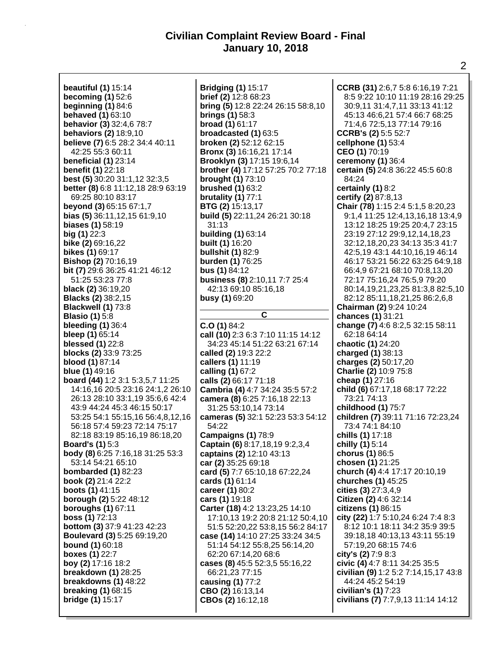**beautiful (1)** 15:14 **becoming (1)** 52:6 **beginning (1)** 84:6 **behaved (1)** 63:10 **behavior (3)** 32:4,6 78:7 **behaviors (2)** 18:9,10 **believe (7)** 6:5 28:2 34:4 40:11 42:25 55:3 60:11 **beneficial (1)** 23:14 **benefit (1)** 22:18 **best (5)** 30:20 31:1,12 32:3,5 **better (8)** 6:8 11:12,18 28:9 63:19 69:25 80:10 83:17 **beyond (3)** 65:15 67:1,7 **bias (5)** 36:11,12,15 61:9,10 **biases (1)** 58:19 **big (1)** 22:3 **bike (2)** 69:16,22 **bikes (1)** 69:17 **Bishop (2)** 70:16,19 **bit (7)** 29:6 36:25 41:21 46:12 51:25 53:23 77:8 **black (2)** 36:19,20 **Blacks (2)** 38:2,15 **Blackwell (1)** 73:8 **Blasio (1)** 5:8 **bleeding (1)** 36:4 **bleep (1)** 65:14 **blessed (1)** 22:8 **blocks (2)** 33:9 73:25 **blood (1)** 87:14 **blue (1)** 49:16 **board (44)** 1:2 3:1 5:3,5,7 11:25 14:16,16 20:5 23:16 24:1,2 26:10 26:13 28:10 33:1,19 35:6,6 42:4 43:9 44:24 45:3 46:15 50:17 53:25 54:1 55:15,16 56:4,8,12,16 56:18 57:4 59:23 72:14 75:17 82:18 83:19 85:16,19 86:18,20 **Board's (1)** 5:3 **body (8)** 6:25 7:16,18 31:25 53:3 53:14 54:21 65:10 **bombarded (1)** 82:23 **book (2)** 21:4 22:2 **boots (1)** 41:15 **borough (2)** 5:22 48:12 **boroughs (1)** 67:11 **boss (1)** 72:13 **bottom (3)** 37:9 41:23 42:23 **Boulevard (3)** 5:25 69:19,20 **bound (1)** 60:18 **boxes (1)** 22:7 **boy (2)** 17:16 18:2 **breakdown (1)** 28:25 **breakdowns (1)** 48:22 **breaking (1)** 68:15 **bridge (1)** 15:17

**Bridging (1)** 15:17 **brief (2)** 12:8 68:23 **bring (5)** 12:8 22:24 26:15 58:8,10 **brings (1)** 58:3 **broad (1)** 61:17 **broadcasted (1)** 63:5 **broken (2)** 52:12 62:15 **Bronx (3)** 16:16,21 17:14 **Brooklyn (3)** 17:15 19:6,14 **brother (4)** 17:12 57:25 70:2 77:18 **brought (1)** 73:10 **brushed (1)** 63:2 **brutality (1)** 77:1 **BTG (2)** 15:13,17 **build (5)** 22:11,24 26:21 30:18 31:13 **building (1)** 63:14 **built (1)** 16:20 **bullshit (1)** 82:9 **burden (1)** 76:25 **bus (1)** 84:12 **business (8)** 2:10,11 7:7 25:4 42:13 69:10 85:16,18 **busy (1)** 69:20 **C C.O (1)** 84:2 **call (10)** 2:3 6:3 7:10 11:15 14:12 34:23 45:14 51:22 63:21 67:14 **called (2)** 19:3 22:2 **callers (1)** 11:19 **calling (1)** 67:2 **calls (2)** 66:17 71:18 **Cambria (4)** 4:7 34:24 35:5 57:2 **camera (8)** 6:25 7:16,18 22:13 31:25 53:10,14 73:14 **cameras (5)** 32:1 52:23 53:3 54:12 54:22 **Campaigns (1)** 78:9 **Captain (6)** 8:17,18,19 9:2,3,4 **captains (2)** 12:10 43:13 **car (2)** 35:25 69:18 **card (5)** 7:7 65:10,18 67:22,24 **cards (1)** 61:14 **career (1)** 80:2 **cars (1)** 19:18 **Carter (18)** 4:2 13:23,25 14:10 17:10,13 19:2 20:8 21:12 50:4,10 51:5 52:20,22 53:8,15 56:2 84:17 **case (14)** 14:10 27:25 33:24 34:5 51:14 54:12 55:8,25 56:14,20 62:20 67:14,20 68:6 **cases (8)** 45:5 52:3,5 55:16,22 66:21,23 77:15 **causing (1)** 77:2 **CBO (2)** 16:13,14 **CBOs (2)** 16:12,18

**CCRB (31)** 2:6,7 5:8 6:16,19 7:21 8:5 9:22 10:10 11:19 28:16 29:25 30:9,11 31:4,7,11 33:13 41:12 45:13 46:6,21 57:4 66:7 68:25 71:4,6 72:5,13 77:14 79:16 **CCRB's (2)** 5:5 52:7 **cellphone (1)** 53:4 **CEO (1)** 70:19 **ceremony (1)** 36:4 **certain (5)** 24:8 36:22 45:5 60:8 84:24 **certainly (1)** 8:2 **certify (2)** 87:8,13 **Chair (78)** 1:15 2:4 5:1,5 8:20,23 9:1,4 11:25 12:4,13,16,18 13:4,9 13:12 18:25 19:25 20:4,7 23:15 23:19 27:12 29:9,12,14,18,23 32:12,18,20,23 34:13 35:3 41:7 42:5,19 43:1 44:10,16,19 46:14 46:17 53:21 56:22 63:25 64:9,18 66:4,9 67:21 68:10 70:8,13,20 72:17 75:16,24 76:5,9 79:20 80:14,19,21,23,25 81:3,8 82:5,10 82:12 85:11,18,21,25 86:2,6,8 **Chairman (2)** 9:24 10:24 **chances (1)** 31:21 **change (7)** 4:6 8:2,5 32:15 58:11 62:18 64:14 **chaotic (1)** 24:20 **charged (1)** 38:13 **charges (2)** 50:17,20 **Charlie (2)** 10:9 75:8 **cheap (1)** 27:16 **child (6)** 67:17,18 68:17 72:22 73:21 74:13 **childhood (1)** 75:7 **children (7)** 39:11 71:16 72:23,24 73:4 74:1 84:10 **chills (1)** 17:18 **chilly (1)** 5:14 **chorus (1)** 86:5 **chosen (1)** 21:25 **church (4)** 4:4 17:17 20:10,19 **churches (1)** 45:25 **cities (3)** 27:3,4,9 **Citizen (2)** 4:6 32:14 **citizens (1)** 86:15 **city (22)** 1:7 5:10,24 6:24 7:4 8:3 8:12 10:1 18:11 34:2 35:9 39:5 39:18,18 40:13,13 43:11 55:19 57:19,20 68:15 74:6 **city's (2)** 7:9 8:3 **civic (4)** 4:7 8:11 34:25 35:5 **civilian (9)** 1:2 5:2 7:14,15,17 43:8 44:24 45:2 54:19 **civilian's (1)** 7:23 **civilians (7)** 7:7,9,13 11:14 14:12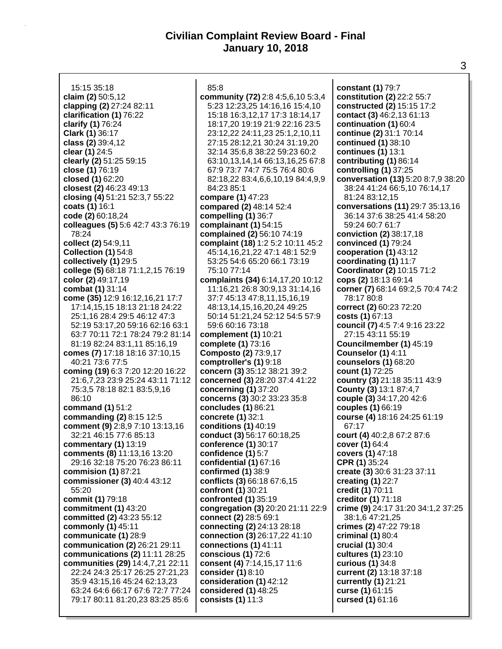15:15 35:18 **claim (2)** 50:5,12 **clapping (2)** 27:24 82:11 **clarification (1)** 76:22 **clarify (1)** 76:24 **Clark (1)** 36:17 **class (2)** 39:4,12 **clear (1)** 24:5 **clearly (2)** 51:25 59:15 **close (1)** 76:19 **closed (1)** 62:20 **closest (2)** 46:23 49:13 **closing (4)** 51:21 52:3,7 55:22 **coats (1)** 16:1 **code (2)** 60:18,24 **colleagues (5)** 5:6 42:7 43:3 76:19 78:24 **collect (2)** 54:9,11 **Collection (1)** 54:8 **collectively (1)** 29:5 **college (5)** 68:18 71:1,2,15 76:19 **color (2)** 49:17,19 **combat (1)** 31:14 **come (35)** 12:9 16:12,16,21 17:7 17:14,15,15 18:13 21:18 24:22 25:1,16 28:4 29:5 46:12 47:3 52:19 53:17,20 59:16 62:16 63:1 63:7 70:11 72:1 78:24 79:2 81:14 81:19 82:24 83:1,11 85:16,19 **comes (7)** 17:18 18:16 37:10,15 40:21 73:6 77:5 **coming (19)** 6:3 7:20 12:20 16:22 21:6,7,23 23:9 25:24 43:11 71:12 75:3,5 78:18 82:1 83:5,9,16 86:10 **command (1)** 51:2 **commanding (2)** 8:15 12:5 **comment (9)** 2:8,9 7:10 13:13,16 32:21 46:15 77:6 85:13 **commentary (1)** 13:19 **comments (8)** 11:13,16 13:20 29:16 32:18 75:20 76:23 86:11 **commision (1)** 87:21 **commissioner (3)** 40:4 43:12 55:20 **commit (1)** 79:18 **commitment (1)** 43:20 **committed (2)** 43:23 55:12 **commonly (1)** 45:11 **communicate (1)** 28:9 **communication (2)** 26:21 29:11 **communications (2)** 11:11 28:25 **communities (29)** 14:4,7,21 22:11 22:24 24:3 25:17 26:25 27:21,23 35:9 43:15,16 45:24 62:13,23 63:24 64:6 66:17 67:6 72:7 77:24 79:17 80:11 81:20,23 83:25 85:6

85:8 **community (72)** 2:8 4:5,6,10 5:3,4 5:23 12:23,25 14:16,16 15:4,10 15:18 16:3,12,17 17:3 18:14,17 18:17,20 19:19 21:9 22:16 23:5 23:12,22 24:11,23 25:1,2,10,11 27:15 28:12,21 30:24 31:19,20 32:14 35:6,8 38:22 59:23 60:2 63:10,13,14,14 66:13,16,25 67:8 67:9 73:7 74:7 75:5 76:4 80:6 82:18,22 83:4,6,6,10,19 84:4,9,9 84:23 85:1 **compare (1)** 47:23 **compared (2)** 48:14 52:4 **compelling (1)** 36:7 **complainant (1)** 54:15 **complained (2)** 56:10 74:19 **complaint (18)** 1:2 5:2 10:11 45:2 45:14,16,21,22 47:1 48:1 52:9 53:25 54:6 65:20 66:1 73:19 75:10 77:14 **complaints (34)** 6:14,17,20 10:12 11:16,21 26:8 30:9,13 31:14,16 37:7 45:13 47:8,11,15,16,19 48:13,14,15,16,20,24 49:25 50:14 51:21,24 52:12 54:5 57:9 59:6 60:16 73:18 **complement (1)** 10:21 **complete (1)** 73:16 **Composto (2)** 73:9,17 **comptroller's (1)** 9:18 **concern (3)** 35:12 38:21 39:2 **concerned (3)** 28:20 37:4 41:22 **concerning (1)** 37:20 **concerns (3)** 30:2 33:23 35:8 **concludes (1)** 86:21 **concrete (1)** 32:1 **conditions (1)** 40:19 **conduct (3)** 56:17 60:18,25 **conference (1)** 30:17 **confidence (1)** 5:7 **confidential (1)** 67:16 **confirmed (1)** 38:9 **conflicts (3)** 66:18 67:6,15 **confront (1)** 30:21 **confronted (1)** 35:19 **congregation (3)** 20:20 21:11 22:9 **connect (2)** 28:5 69:1 **connecting (2)** 24:13 28:18 **connection (3)** 26:17,22 41:10 **connections (1)** 41:11 **conscious (1)** 72:6 **consent (4)** 7:14,15,17 11:6 **consider (1)** 8:10 **consideration (1)** 42:12 **considered (1)** 48:25 **consists (1)** 11:3

**constant (1)** 79:7 **constitution (2)** 22:2 55:7 **constructed (2)** 15:15 17:2 **contact (3)** 46:2,13 61:13 **continuation (1)** 60:4 **continue (2)** 31:1 70:14 **continued (1)** 38:10 **continues (1)** 13:1 **contributing (1)** 86:14 **controlling (1)** 37:25 **conversation (13)** 5:20 8:7,9 38:20 38:24 41:24 66:5,10 76:14,17 81:24 83:12,15 **conversations (11)** 29:7 35:13,16 36:14 37:6 38:25 41:4 58:20 59:24 60:7 61:7 **conviction (2)** 38:17,18 **convinced (1)** 79:24 **cooperation (1)** 43:12 **coordinating (1)** 11:7 **Coordinator (2)** 10:15 71:2 **cops (2)** 18:13 69:14 **corner (7)** 68:14 69:2,5 70:4 74:2 78:17 80:8 **correct (2)** 60:23 72:20 **costs (1)** 67:13 **council (7)** 4:5 7:4 9:16 23:22 27:15 43:11 55:19 **Councilmember (1)** 45:19 **Counselor (1)** 4:11 **counselors (1)** 68:20 **count (1)** 72:25 **country (3)** 21:18 35:11 43:9 **County (3)** 13:1 87:4,7 **couple (3)** 34:17,20 42:6 **couples (1)** 66:19 **course (4)** 18:16 24:25 61:19 67:17 **court (4)** 40:2,8 67:2 87:6 **cover (1)** 64:4 **covers (1)** 47:18 **CPR (1)** 35:24 **create (3)** 30:6 31:23 37:11 **creating (1)** 22:7 **credit (1)** 70:11 **creditor (1)** 71:18 **crime (9)** 24:17 31:20 34:1,2 37:25 38:1,6 47:21,25 **crimes (2)** 47:22 79:18 **criminal (1)** 80:4 **crucial (1)** 30:4 **cultures (1)** 23:10 **curious (1)** 34:8 **current (2)** 13:18 37:18 **currently (1)** 21:21 **curse (1)** 61:15 **cursed (1)** 61:16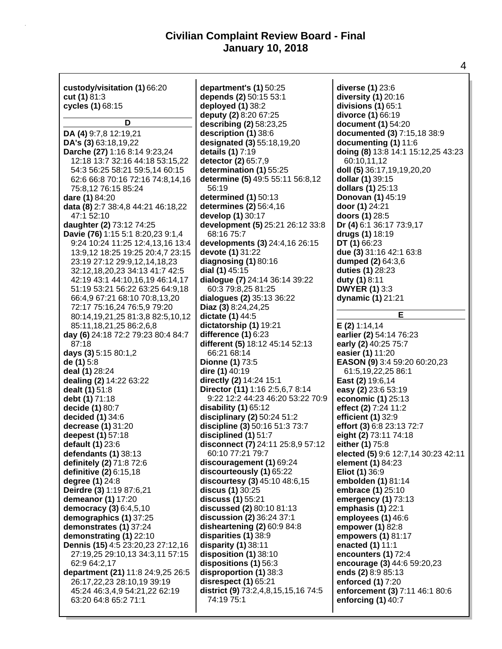| custody/visitation (1) 66:20<br>cut (1) $81:3$<br>cycles (1) 68:15                                                               | department's (1) 50:25<br>depends (2) 50:15 53:1<br>deployed (1) 38:2<br>deputy (2) 8:20 67:25 | diverse (1) 23:6<br>diversity (1) 20:16<br>divisions $(1)$ 65:1<br>divorce (1) 66:19 |
|----------------------------------------------------------------------------------------------------------------------------------|------------------------------------------------------------------------------------------------|--------------------------------------------------------------------------------------|
| D                                                                                                                                | describing (2) 58:23,25                                                                        | document (1) 54:20                                                                   |
| DA (4) 9:7,8 12:19,21                                                                                                            | description (1) 38:6                                                                           | documented (3) 7:15,18 38:9                                                          |
| DA's (3) 63:18,19,22                                                                                                             | designated (3) 55:18,19,20                                                                     | documenting (1) 11:6                                                                 |
| Darche (27) 1:16 8:14 9:23,24                                                                                                    | details (1) 7:19                                                                               | doing (8) 13:8 14:1 15:12,25 43:23                                                   |
| 12:18 13:7 32:16 44:18 53:15,22                                                                                                  | detector (2) 65:7,9                                                                            | 60:10,11,12                                                                          |
| 54:3 56:25 58:21 59:5,14 60:15                                                                                                   | determination (1) 55:25                                                                        | doll (5) 36:17,19,19,20,20                                                           |
| 62:6 66:8 70:16 72:16 74:8,14,16                                                                                                 | determine (5) 49:5 55:11 56:8,12                                                               | dollar (1) 39:15                                                                     |
| 75:8,12 76:15 85:24                                                                                                              | 56:19                                                                                          | dollars (1) 25:13                                                                    |
| dare (1) 84:20                                                                                                                   | determined (1) 50:13                                                                           | Donovan (1) 45:19                                                                    |
| data (8) 2:7 38:4,8 44:21 46:18,22                                                                                               | determines (2) 56:4,16                                                                         | door (1) 24:21                                                                       |
| 47:1 52:10                                                                                                                       | develop (1) 30:17                                                                              | doors (1) 28:5                                                                       |
| daughter (2) 73:12 74:25                                                                                                         | development (5) 25:21 26:12 33:8                                                               | Dr (4) 6:1 36:17 73:9,17                                                             |
| Davie (76) 1:15 5:1 8:20,23 9:1,4                                                                                                | 68:16 75:7                                                                                     | drugs (1) 18:19                                                                      |
| 9:24 10:24 11:25 12:4,13,16 13:4                                                                                                 | developments (3) 24:4,16 26:15                                                                 | DT (1) 66:23                                                                         |
| 13:9,12 18:25 19:25 20:4,7 23:15                                                                                                 | devote (1) 31:22                                                                               | due (3) 31:16 42:1 63:8                                                              |
| 23:19 27:12 29:9,12,14,18,23                                                                                                     | diagnosing $(1)$ 80:16                                                                         | dumped (2) 64:3,6                                                                    |
| 32:12,18,20,23 34:13 41:7 42:5                                                                                                   | dial (1) 45:15                                                                                 | duties (1) 28:23                                                                     |
| 42:19 43:1 44:10,16,19 46:14,17                                                                                                  | dialogue (7) 24:14 36:14 39:22                                                                 | duty (1) 8:11                                                                        |
| 51:19 53:21 56:22 63:25 64:9,18                                                                                                  | 60:3 79:8,25 81:25                                                                             | <b>DWYER (1) 3:3</b>                                                                 |
| 66:4,9 67:21 68:10 70:8,13,20                                                                                                    | dialogues (2) 35:13 36:22                                                                      | dynamic (1) 21:21                                                                    |
| 72:17 75:16,24 76:5,9 79:20<br>80:14,19,21,25 81:3,8 82:5,10,12<br>85:11,18,21,25 86:2,6,8<br>day (6) 24:18 72:2 79:23 80:4 84:7 | Diaz (3) 8:24, 24, 25<br>dictate (1) 44:5<br>dictatorship (1) 19:21<br>difference (1) 6:23     | Е<br>E(2) 1:14,14<br>earlier (2) 54:14 76:23                                         |
| 87:18                                                                                                                            | different (5) 18:12 45:14 52:13                                                                | early (2) 40:25 75:7                                                                 |
| days (3) 5:15 80:1,2                                                                                                             | 66:21 68:14                                                                                    | easier (1) 11:20                                                                     |
| de (1) 5:8                                                                                                                       | <b>Dionne (1) 73:5</b>                                                                         | EASON (9) 3:4 59:20 60:20,23                                                         |
| deal (1) 28:24                                                                                                                   | dire (1) 40:19                                                                                 | 61:5,19,22,25 86:1                                                                   |
| dealing (2) 14:22 63:22                                                                                                          | directly (2) 14:24 15:1                                                                        | East (2) 19:6,14                                                                     |
| dealt (1) 51:8                                                                                                                   | Director (11) 1:16 2:5,6,7 8:14                                                                | easy (2) 23:6 53:19                                                                  |
| debt (1) 71:18                                                                                                                   | 9:22 12:2 44:23 46:20 53:22 70:9                                                               | economic (1) 25:13                                                                   |
| decide (1) 80:7                                                                                                                  | disability (1) 65:12                                                                           | effect (2) 7:24 11:2                                                                 |
| decided (1) 34:6                                                                                                                 | disciplinary (2) 50:24 51:2                                                                    | efficient (1) 32:9                                                                   |
| decrease (1) 31:20                                                                                                               | discipline (3) 50:16 51:3 73:7                                                                 | effort (3) 6:8 23:13 72:7                                                            |
| deepest (1) 57:18                                                                                                                | disciplined (1) 51:7                                                                           | eight (2) 73:11 74:18                                                                |
| default (1) 23:6                                                                                                                 | disconnect (7) 24:11 25:8,9 57:12                                                              | either (1) 75:8                                                                      |
| defendants (1) 38:13                                                                                                             | 60:10 77:21 79:7                                                                               | elected (5) 9:6 12:7,14 30:23 42:11                                                  |
| definitely (2) 71:8 72:6                                                                                                         | discouragement (1) 69:24                                                                       | element (1) 84:23                                                                    |
| definitive (2) 6:15,18                                                                                                           | discourteously (1) 65:22                                                                       | <b>Eliot (1) 36:9</b>                                                                |
| degree (1) 24:8                                                                                                                  | discourtesy (3) 45:10 48:6,15                                                                  | embolden (1) 81:14                                                                   |
| Deirdre (3) 1:19 87:6,21                                                                                                         | discus (1) 30:25                                                                               | embrace (1) 25:10                                                                    |
| demeanor (1) 17:20                                                                                                               | discuss (1) 55:21                                                                              | emergency (1) 73:13                                                                  |
| democracy (3) 6:4,5,10                                                                                                           | discussed (2) 80:10 81:13                                                                      | emphasis $(1)$ 22:1                                                                  |
| demographics (1) 37:25                                                                                                           | discussion (2) 36:24 37:1                                                                      | employees (1) 46:6                                                                   |
| demonstrates (1) 37:24                                                                                                           | disheartening (2) 60:9 84:8                                                                    | empower (1) 82:8                                                                     |
| demonstrating (1) 22:10                                                                                                          | disparities (1) 38:9                                                                           | empowers (1) 81:17                                                                   |
| Dennis (15) 4:5 23:20,23 27:12,16                                                                                                | disparity $(1)$ 38:11                                                                          | enacted (1) 11:1                                                                     |
| 27:19,25 29:10,13 34:3,11 57:15                                                                                                  | disposition (1) 38:10                                                                          | encounters (1) 72:4                                                                  |
| 62:9 64:2,17                                                                                                                     | dispositions (1) 56:3                                                                          | encourage (3) 44:6 59:20,23                                                          |
| department (21) 11:8 24:9,25 26:5                                                                                                | disproportion (1) 38:3                                                                         | ends (2) 8:9 85:13                                                                   |
| 26:17,22,23 28:10,19 39:19                                                                                                       | disrespect (1) 65:21                                                                           | enforced (1) 7:20                                                                    |
| 45:24 46:3,4,9 54:21,22 62:19                                                                                                    | district (9) 73:2,4,8,15,15,16 74:5                                                            | enforcement (3) 7:11 46:1 80:6                                                       |
| 63:20 64:8 65:2 71:1                                                                                                             | 74:19 75:1                                                                                     | enforcing $(1)$ 40:7                                                                 |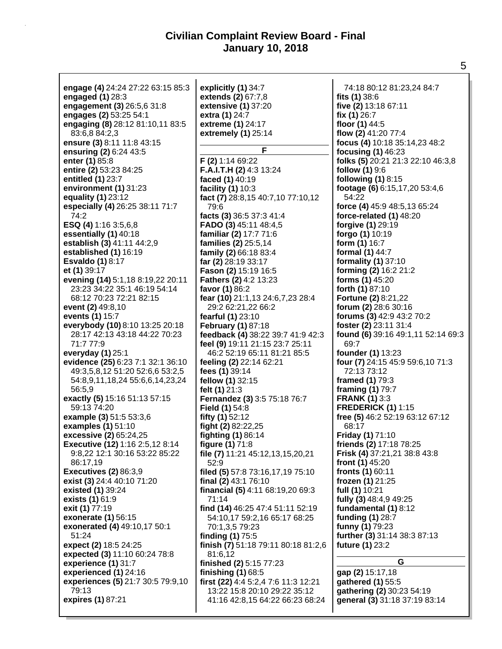| engage (4) 24:24 27:22 63:15 85:3 | explicitly (1) 34:7                 | 74:18 80:12 81:23,24 84:7          |
|-----------------------------------|-------------------------------------|------------------------------------|
| engaged $(1)$ 28:3                | extends (2) 67:7,8                  | fits $(1)$ 38:6                    |
|                                   |                                     |                                    |
| engagement (3) 26:5,6 31:8        | extensive (1) 37:20                 | five (2) 13:18 67:11               |
| engages (2) 53:25 54:1            | extra (1) 24:7                      | fix $(1)$ 26:7                     |
| engaging (8) 28:12 81:10,11 83:5  | extreme (1) 24:17                   | floor (1) 44:5                     |
| 83:6,8 84:2,3                     | extremely (1) 25:14                 | flow (2) 41:20 77:4                |
| ensure (3) 8:11 11:8 43:15        |                                     | focus (4) 10:18 35:14,23 48:2      |
| ensuring (2) 6:24 43:5            | F                                   | focusing (1) 46:23                 |
| enter (1) 85:8                    | $F(2)$ 1:14 69:22                   | folks (5) 20:21 21:3 22:10 46:3,8  |
| entire (2) 53:23 84:25            | <b>F.A.I.T.H (2)</b> 4:3 13:24      | <b>follow (1)</b> 9:6              |
| entitled (1) 23:7                 | faced (1) 40:19                     | following (1) 8:15                 |
| environment (1) 31:23             | facility (1) 10:3                   | footage (6) 6:15,17,20 53:4,6      |
| equality (1) 23:12                | fact (7) 28:8,15 40:7,10 77:10,12   | 54:22                              |
|                                   |                                     |                                    |
| especially (4) 26:25 38:11 71:7   | 79:6                                | force (4) 45:9 48:5,13 65:24       |
| 74:2                              | facts (3) 36:5 37:3 41:4            | force-related (1) 48:20            |
| ESQ (4) 1:16 3:5,6,8              | FADO (3) 45:11 48:4,5               | forgive (1) 29:19                  |
| essentially (1) 40:18             | familiar (2) 17:7 71:6              | forgo (1) 10:19                    |
| establish (3) 41:11 44:2,9        | families (2) 25:5,14                | form (1) 16:7                      |
| established (1) 16:19             | family (2) 66:18 83:4               | formal (1) 44:7                    |
| <b>Esvaldo (1) 8:17</b>           | far (2) 28:19 33:17                 | formality (1) 37:10                |
| et (1) 39:17                      | Fason (2) 15:19 16:5                | forming (2) 16:2 21:2              |
| evening (14) 5:1,18 8:19,22 20:11 | Fathers (2) 4:2 13:23               | forms (1) 45:20                    |
| 23:23 34:22 35:1 46:19 54:14      | favor (1) 86:2                      | forth (1) 87:10                    |
| 68:12 70:23 72:21 82:15           | fear (10) 21:1,13 24:6,7,23 28:4    | <b>Fortune (2) 8:21,22</b>         |
| event (2) 49:8,10                 | 29:2 62:21,22 66:2                  | forum (2) 28:6 30:16               |
| events (1) 15:7                   | fearful (1) 23:10                   | forums (3) 42:9 43:2 70:2          |
| everybody (10) 8:10 13:25 20:18   |                                     |                                    |
|                                   | February (1) 87:18                  | foster (2) 23:11 31:4              |
| 28:17 42:13 43:18 44:22 70:23     | feedback (4) 38:22 39:7 41:9 42:3   | found (6) 39:16 49:1,11 52:14 69:3 |
| 71:7 77:9                         | feel (9) 19:11 21:15 23:7 25:11     | 69:7                               |
| everyday (1) 25:1                 | 46:2 52:19 65:11 81:21 85:5         | founder (1) 13:23                  |
| evidence (25) 6:23 7:1 32:1 36:10 | feeling (2) 22:14 62:21             | four (7) 24:15 45:9 59:6,10 71:3   |
| 49:3,5,8,12 51:20 52:6,6 53:2,5   | fees (1) 39:14                      | 72:13 73:12                        |
| 54:8,9,11,18,24 55:6,6,14,23,24   | fellow (1) 32:15                    | framed (1) 79:3                    |
| 56:5,9                            | felt (1) 21:3                       | framing (1) 79:7                   |
| exactly (5) 15:16 51:13 57:15     | Fernandez (3) 3:5 75:18 76:7        | <b>FRANK (1) 3:3</b>               |
| 59:13 74:20                       | <b>Field (1)</b> 54:8               | <b>FREDERICK (1) 1:15</b>          |
| example (3) 51:5 53:3,6           | fifty (1) 52:12                     | free (5) 46:2 52:19 63:12 67:12    |
| examples (1) 51:10                | fight (2) 82:22,25                  | 68:17                              |
| excessive (2) 65:24,25            | <b>fighting (1) 86:14</b>           | <b>Friday (1) 71:10</b>            |
| Executive (12) 1:16 2:5,12 8:14   | figure $(1)$ 71:8                   | friends (2) 17:18 78:25            |
| 9:8,22 12:1 30:16 53:22 85:22     | file (7) 11:21 45:12,13,15,20,21    | Frisk (4) 37:21,21 38:8 43:8       |
| 86:17,19                          | 52:9                                | front $(1)$ 45:20                  |
| <b>Executives (2) 86:3,9</b>      | filed (5) 57:8 73:16,17,19 75:10    | fronts (1) 60:11                   |
| exist (3) 24:4 40:10 71:20        | final (2) 43:1 76:10                | frozen (1) 21:25                   |
|                                   |                                     | full (1) 10:21                     |
| existed (1) 39:24                 | financial (5) 4:11 68:19,20 69:3    |                                    |
| exists (1) 61:9                   | 71:14                               | fully (3) 48:4,9 49:25             |
| exit (1) 77:19                    | find (14) 46:25 47:4 51:11 52:19    | fundamental (1) 8:12               |
| exonerate (1) 56:15               | 54:10,17 59:2,16 65:17 68:25        | funding (1) 28:7                   |
| exonerated (4) 49:10,17 50:1      | 70:1,3,5 79:23                      | funny (1) 79:23                    |
| 51:24                             | finding (1) 75:5                    | further (3) 31:14 38:3 87:13       |
| expect (2) 18:5 24:25             | finish (7) 51:18 79:11 80:18 81:2,6 | future (1) 23:2                    |
| expected (3) 11:10 60:24 78:8     | 81:6,12                             |                                    |
| experience (1) 31:7               | finished (2) 5:15 77:23             | G                                  |
| experienced (1) 24:16             | finishing $(1)$ 68:5                | gap (2) 15:17,18                   |
| experiences (5) 21:7 30:5 79:9,10 | first (22) 4:4 5:2,4 7:6 11:3 12:21 | gathered (1) 55:5                  |
| 79:13                             | 13:22 15:8 20:10 29:22 35:12        | gathering (2) 30:23 54:19          |
| expires (1) 87:21                 | 41:16 42:8,15 64:22 66:23 68:24     | general (3) 31:18 37:19 83:14      |
|                                   |                                     |                                    |
|                                   |                                     |                                    |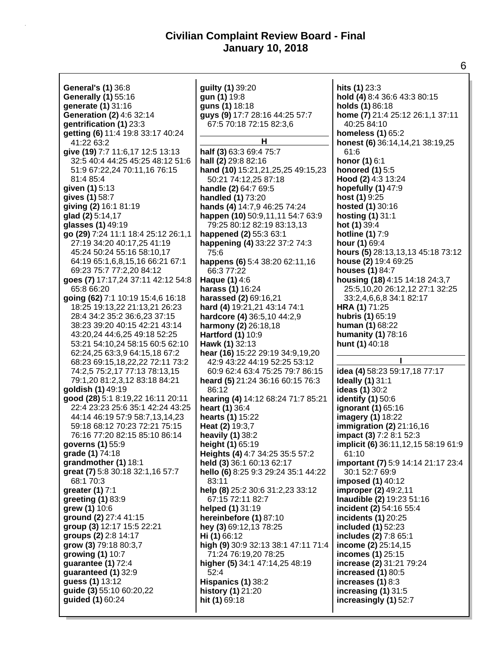| General's (1) 36:8                  | guilty (1) 39:20                    | hits (1) 23:3                       |
|-------------------------------------|-------------------------------------|-------------------------------------|
|                                     |                                     |                                     |
| <b>Generally (1)</b> 55:16          | gun (1) 19:8                        | hold (4) 8:4 36:6 43:3 80:15        |
| generate (1) 31:16                  | guns (1) 18:18                      | holds (1) 86:18                     |
|                                     |                                     |                                     |
| Generation (2) 4:6 32:14            | guys (9) 17:7 28:16 44:25 57:7      | home (7) 21:4 25:12 26:1,1 37:11    |
| gentrification (1) 23:3             | 67:5 70:18 72:15 82:3,6             | 40:25 84:10                         |
| getting (6) 11:4 19:8 33:17 40:24   |                                     | <b>homeless (1) 65:2</b>            |
|                                     | н                                   |                                     |
| 41:22 63:2                          |                                     | honest (6) 36:14, 14, 21 38:19, 25  |
| give (19) 7:7 11:6,17 12:5 13:13    | half (3) 63:3 69:4 75:7             | 61:6                                |
| 32:5 40:4 44:25 45:25 48:12 51:6    | hall (2) 29:8 82:16                 | <b>honor (1) 6:1</b>                |
|                                     |                                     |                                     |
| 51:9 67:22,24 70:11,16 76:15        | hand (10) 15:21,21,25,25 49:15,23   | <b>honored (1)</b> 5:5              |
| 81:4 85:4                           | 50:21 74:12,25 87:18                | Hood (2) 4:3 13:24                  |
|                                     |                                     |                                     |
| given (1) 5:13                      | handle (2) 64:7 69:5                | hopefully $(1)$ 47:9                |
| gives (1) 58:7                      | handled (1) 73:20                   | host (1) 9:25                       |
| giving (2) 16:1 81:19               | hands (4) 14:7,9 46:25 74:24        | hosted (1) 30:16                    |
|                                     |                                     |                                     |
| glad (2) 5:14,17                    | happen (10) 50:9,11,11 54:7 63:9    | <b>hosting (1) 31:1</b>             |
| glasses (1) 49:19                   | 79:25 80:12 82:19 83:13,13          | hot (1) 39:4                        |
| go (29) 7:24 11:1 18:4 25:12 26:1,1 | happened (2) 55:3 63:1              | <b>hotline (1) 7:9</b>              |
|                                     |                                     |                                     |
| 27:19 34:20 40:17,25 41:19          | happening (4) 33:22 37:2 74:3       | hour (1) 69:4                       |
| 45:24 50:24 55:16 58:10,17          | 75:6                                | hours (5) 28:13,13,13 45:18 73:12   |
|                                     |                                     |                                     |
| 64:19 65:1,6,8,15,16 66:21 67:1     | happens (6) 5:4 38:20 62:11,16      | house (2) 19:4 69:25                |
| 69:23 75:7 77:2,20 84:12            | 66:3 77:22                          | houses (1) 84:7                     |
| goes (7) 17:17,24 37:11 42:12 54:8  | Haque (1) 4:6                       | housing (18) 4:15 14:18 24:3,7      |
|                                     |                                     |                                     |
| 65:8 66:20                          | harass (1) 16:24                    | 25:5,10,20 26:12,12 27:1 32:25      |
| going (62) 7:1 10:19 15:4,6 16:18   | harassed (2) 69:16,21               | 33:2,4,6,6,8 34:1 82:17             |
| 18:25 19:13,22 21:13,21 26:23       | hard (4) 19:21, 21 43:14 74:1       | HRA (1) 71:25                       |
|                                     |                                     |                                     |
| 28:4 34:2 35:2 36:6,23 37:15        | hardcore (4) 36:5,10 44:2,9         | hubris (1) 65:19                    |
| 38:23 39:20 40:15 42:21 43:14       | harmony (2) 26:18,18                | <b>human (1) 68:22</b>              |
| 43:20,24 44:6,25 49:18 52:25        | Hartford (1) 10:9                   | humanity (1) 78:16                  |
|                                     |                                     |                                     |
| 53:21 54:10,24 58:15 60:5 62:10     | Hawk (1) 32:13                      | hunt (1) 40:18                      |
|                                     |                                     |                                     |
|                                     |                                     |                                     |
| 62:24,25 63:3,9 64:15,18 67:2       | hear (16) 15:22 29:19 34:9,19,20    |                                     |
| 68:23 69:15,18,22,22 72:11 73:2     | 42:9 43:22 44:19 52:25 53:12        |                                     |
| 74:2,5 75:2,17 77:13 78:13,15       | 60:9 62:4 63:4 75:25 79:7 86:15     | idea (4) 58:23 59:17,18 77:17       |
|                                     |                                     |                                     |
| 79:1,20 81:2,3,12 83:18 84:21       | heard (5) 21:24 36:16 60:15 76:3    | <b>Ideally (1) 31:1</b>             |
| goldish (1) 49:19                   | 86:12                               | <b>ideas (1)</b> 30:2               |
| good (28) 5:1 8:19,22 16:11 20:11   |                                     |                                     |
|                                     | hearing (4) 14:12 68:24 71:7 85:21  | <b>identify (1)</b> 50:6            |
| 22:4 23:23 25:6 35:1 42:24 43:25    | heart (1) 36:4                      | ignorant (1) 65:16                  |
| 44:14 46:19 57:9 58:7,13,14,23      | hearts (1) 15:22                    | imagery (1) 18:22                   |
|                                     |                                     |                                     |
| 59:18 68:12 70:23 72:21 75:15       | Heat (2) 19:3,7                     | <b>immigration (2)</b> 21:16,16     |
| 76:16 77:20 82:15 85:10 86:14       | heavily (1) 38:2                    | impact (3) 7:2 8:1 52:3             |
| governs (1) 55:9                    | height (1) 65:19                    | implicit (6) 36:11,12,15 58:19 61:9 |
|                                     |                                     | 61:10                               |
| grade (1) 74:18                     | Heights (4) 4:7 34:25 35:5 57:2     |                                     |
| grandmother (1) 18:1                | held (3) 36:1 60:13 62:17           | important (7) 5:9 14:14 21:17 23:4  |
| great (7) 5:8 30:18 32:1,16 57:7    | hello (6) 8:25 9:3 29:24 35:1 44:22 | 30:1 52:7 69:9                      |
| 68:1 70:3                           | 83:11                               |                                     |
|                                     |                                     | imposed (1) 40:12                   |
| greater (1) 7:1                     | help (8) 25:2 30:6 31:2,23 33:12    | improper (2) 49:2,11                |
| greeting (1) 83:9                   | 67:15 72:11 82:7                    | Inaudible (2) 19:23 51:16           |
|                                     |                                     |                                     |
| grew (1) 10:6                       | helped (1) 31:19                    | incident (2) 54:16 55:4             |
| ground (2) 27:4 41:15               | hereinbefore (1) 87:10              | incidents (1) 20:25                 |
| group (3) 12:17 15:5 22:21          | hey (3) 69:12, 13 78:25             | included (1) 52:23                  |
|                                     |                                     |                                     |
| groups (2) 2:8 14:17                | Hi(1) 66:12                         | includes (2) 7:8 65:1               |
| grow (3) 79:18 80:3,7               | high (9) 30:9 32:13 38:1 47:11 71:4 | income (2) 25:14,15                 |
| growing (1) 10:7                    | 71:24 76:19,20 78:25                | incomes (1) 25:15                   |
|                                     |                                     |                                     |
| guarantee (1) 72:4                  | higher (5) 34:1 47:14,25 48:19      | increase (2) 31:21 79:24            |
| guaranteed (1) 32:9                 | 52:4                                | increased (1) 80:5                  |
| guess (1) 13:12                     | Hispanics (1) 38:2                  |                                     |
|                                     |                                     | increases (1) 8:3                   |
| guide (3) 55:10 60:20,22            | history (1) 21:20                   | increasing $(1)$ 31:5               |
| guided (1) 60:24                    | hit (1) 69:18                       | increasingly (1) 52:7               |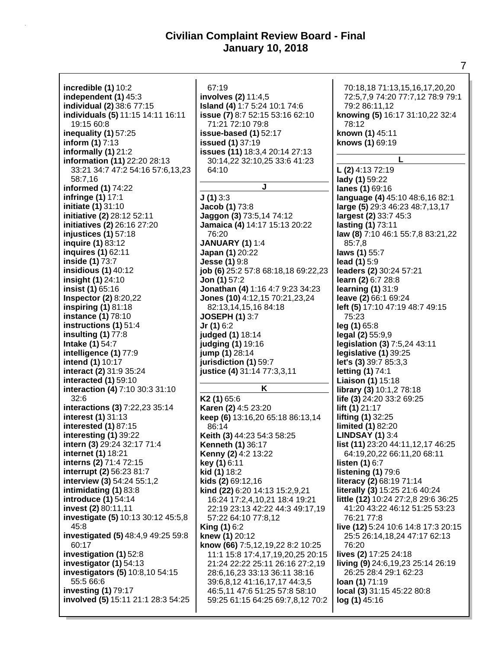**incredible (1)** 10:2 **independent (1)** 45:3 **individual (2)** 38:6 77:15 **individuals (5)** 11:15 14:11 16:11 19:15 60:8 **inequality (1)** 57:25 **inform (1)** 7:13 **informally (1)** 21:2 **information (11)** 22:20 28:13 33:21 34:7 47:2 54:16 57:6,13,23 58:7,16 **informed (1)** 74:22 **infringe (1)** 17:1 **initiate (1)** 31:10 **initiative (2)** 28:12 52:11 **initiatives (2)** 26:16 27:20 **injustices (1)** 57:18 **inquire (1)** 83:12 **inquires (1)** 62:11 **inside (1)** 73:7 **insidious (1)** 40:12 **insight (1)** 24:10 **insist (1)** 65:16 **Inspector (2)** 8:20,22 **inspiring (1)** 81:18 **instance (1)** 78:10 **instructions (1)** 51:4 **insulting (1)** 77:8 **Intake (1)** 54:7 **intelligence (1)** 77:9 **intend (1)** 10:17 **interact (2)** 31:9 35:24 **interacted (1)** 59:10 **interaction (4)** 7:10 30:3 31:10 32:6 **interactions (3)** 7:22,23 35:14 **interest (1)** 31:13 **interested (1)** 87:15 **interesting (1)** 39:22 **intern (3)** 29:24 32:17 71:4 **internet (1)** 18:21 **interns (2)** 71:4 72:15 **interrupt (2)** 56:23 81:7 **interview (3)** 54:24 55:1,2 **intimidating (1)** 83:8 **introduce (1)** 54:14 **invest (2)** 80:11,11 **investigate (5)** 10:13 30:12 45:5,8 45:8 **investigated (5)** 48:4,9 49:25 59:8 60:17 **investigation (1)** 52:8 **investigator (1)** 54:13 **investigators (5)** 10:8,10 54:15 55:5 66:6 **investing (1)** 79:17 **involved (5)** 15:11 21:1 28:3 54:25

67:19 **involves (2)** 11:4,5 **Island (4)** 1:7 5:24 10:1 74:6 **issue (7)** 8:7 52:15 53:16 62:10 71:21 72:10 79:8 **issue-based (1)** 52:17 **issued (1)** 37:19 **issues (11)** 18:3,4 20:14 27:13 30:14,22 32:10,25 33:6 41:23 64:10 **J J (1)** 3:3 **Jacob (1)** 73:8 **Jaggon (3)** 73:5,14 74:12 **Jamaica (4)** 14:17 15:13 20:22 76:20 **JANUARY (1)** 1:4 **Japan (1)** 20:22 **Jesse (1)** 9:8 **job (6)** 25:2 57:8 68:18,18 69:22,23 **Jon (1)** 57:2 **Jonathan (4)** 1:16 4:7 9:23 34:23 **Jones (10)** 4:12,15 70:21,23,24 82:13,14,15,16 84:18 **JOSEPH (1)** 3:7 **Jr (1)** 6:2 **judged (1)** 18:14 **judging (1)** 19:16 **jump (1)** 28:14 **jurisdiction (1)** 59:7 **justice (4)** 31:14 77:3,3,11 **K K2 (1)** 65:6 **Karen (2)** 4:5 23:20 **keep (6)** 13:16,20 65:18 86:13,14

86:14 **Keith (3)** 44:23 54:3 58:25 **Kenneth (1)** 36:17 **Kenny (2)** 4:2 13:22 **key (1)** 6:11 **kid (1)** 18:2 **kids (2)** 69:12,16 **kind (22)** 6:20 14:13 15:2,9,21 16:24 17:2,4,10,21 18:4 19:21 22:19 23:13 42:22 44:3 49:17,19 57:22 64:10 77:8,12 **King (1)** 6:2 **knew (1)** 20:12 **know (66)** 7:5,12,19,22 8:2 10:25 11:1 15:8 17:4,17,19,20,25 20:15 21:24 22:22 25:11 26:16 27:2,19 28:6,16,23 33:13 36:11 38:16 39:6,8,12 41:16,17,17 44:3,5 46:5,11 47:6 51:25 57:8 58:10 59:25 61:15 64:25 69:7,8,12 70:2

70:18,18 71:13,15,16,17,20,20 72:5,7,9 74:20 77:7,12 78:9 79:1 79:2 86:11,12 **knowing (5)** 16:17 31:10,22 32:4 78:12 **known (1)** 45:11 **knows (1)** 69:19 **L L (2)** 4:13 72:19 **lady (1)** 59:22 **lanes (1)** 69:16 **language (4)** 45:10 48:6,16 82:1 **large (5)** 29:3 46:23 48:7,13,17 **largest (2)** 33:7 45:3 **lasting (1)** 73:11 **law (8)** 7:10 46:1 55:7,8 83:21,22 85:7,8 **laws (1)** 55:7 **lead (1)** 5:9 **leaders (2)** 30:24 57:21 **learn (2)** 6:7 28:8 **learning (1)** 31:9 **leave (2)** 66:1 69:24 **left (5)** 17:10 47:19 48:7 49:15 75:23 **leg (1)** 65:8 **legal (2)** 55:9,9 **legislation (3)** 7:5,24 43:11 **legislative (1)** 39:25 **let's (3)** 39:7 85:3,3 **letting (1)** 74:1 **Liaison (1)** 15:18 **library (3)** 10:1,2 78:18 **life (3)** 24:20 33:2 69:25 **lift (1)** 21:17 **lifting (1)** 32:25 **limited (1)** 82:20 **LINDSAY (1)** 3:4 **list (11)** 23:20 44:11,12,17 46:25 64:19,20,22 66:11,20 68:11 **listen (1)** 6:7 **listening (1)** 79:6 **literacy (2)** 68:19 71:14 **literally (3)** 15:25 21:6 40:24 **little (12)** 10:24 27:2,8 29:6 36:25 41:20 43:22 46:12 51:25 53:23 76:21 77:8 **live (12)** 5:24 10:6 14:8 17:3 20:15 25:5 26:14,18,24 47:17 62:13 76:20 **lives (2)** 17:25 24:18 **living (9)** 24:6,19,23 25:14 26:19 26:25 28:4 29:1 62:23 **loan (1)** 71:19 **local (3)** 31:15 45:22 80:8 **log (1)** 45:16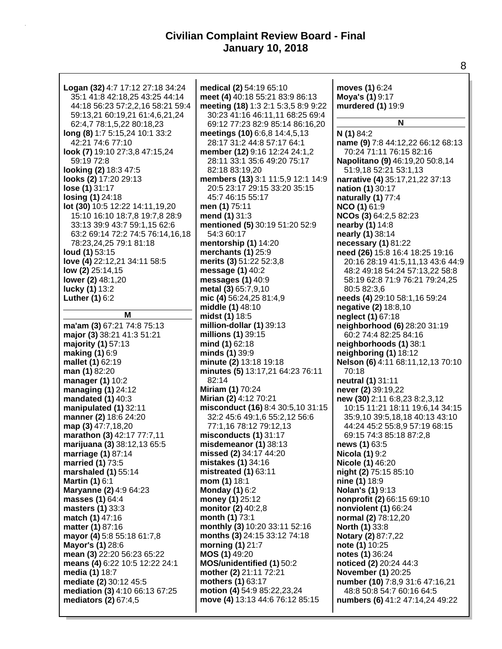| Logan (32) 4:7 17:12 27:18 34:24   | medical (2) 54:19 65:10             | moves (1) 6:24                    |
|------------------------------------|-------------------------------------|-----------------------------------|
| 35:1 41:8 42:18,25 43:25 44:14     | meet (4) 40:18 55:21 83:9 86:13     | Moya's (1) 9:17                   |
| 44:18 56:23 57:2,2,16 58:21 59:4   | meeting (18) 1:3 2:1 5:3,5 8:9 9:22 | murdered (1) 19:9                 |
| 59:13,21 60:19,21 61:4,6,21,24     | 30:23 41:16 46:11,11 68:25 69:4     |                                   |
| 62:4,7 78:1,5,22 80:18,23          | 69:12 77:23 82:9 85:14 86:16,20     | N                                 |
|                                    |                                     |                                   |
| long (8) 1:7 5:15,24 10:1 33:2     | meetings (10) 6:6,8 14:4,5,13       | N (1) 84:2                        |
| 42:21 74:6 77:10                   | 28:17 31:2 44:8 57:17 64:1          | name (9) 7:8 44:12,22 66:12 68:13 |
| look (7) 19:10 27:3,8 47:15,24     | member (12) 9:16 12:24 24:1,2       | 70:24 71:11 76:15 82:16           |
| 59:19 72:8                         | 28:11 33:1 35:6 49:20 75:17         | Napolitano (9) 46:19,20 50:8,14   |
| looking (2) 18:3 47:5              | 82:18 83:19,20                      | 51:9,18 52:21 53:1,13             |
| looks (2) 17:20 29:13              | members (13) 3:1 11:5,9 12:1 14:9   | narrative (4) 35:17,21,22 37:13   |
| lose (1) 31:17                     | 20:5 23:17 29:15 33:20 35:15        | nation (1) 30:17                  |
| losing (1) 24:18                   | 45:7 46:15 55:17                    | naturally (1) 77:4                |
| lot (30) 10:5 12:22 14:11,19,20    | men (1) 75:11                       | NCO (1) 61:9                      |
| 15:10 16:10 18:7,8 19:7,8 28:9     | mend (1) 31:3                       | NCOs (3) 64:2,5 82:23             |
| 33:13 39:9 43:7 59:1,15 62:6       | mentioned (5) 30:19 51:20 52:9      | nearby (1) 14:8                   |
| 63:2 69:14 72:2 74:5 76:14,16,18   | 54:3 60:17                          | nearly (1) 38:14                  |
| 78:23,24,25 79:1 81:18             | mentorship (1) 14:20                | necessary (1) 81:22               |
| loud (1) 53:15                     | merchants (1) 25:9                  | need (26) 15:8 16:4 18:25 19:16   |
| love (4) 22:12,21 34:11 58:5       | merits (3) 51:22 52:3,8             | 20:16 28:19 41:5,11,13 43:6 44:9  |
| low (2) 25:14,15                   | message (1) 40:2                    | 48:2 49:18 54:24 57:13,22 58:8    |
| lower (2) 48:1,20                  | messages (1) 40:9                   | 58:19 62:8 71:9 76:21 79:24,25    |
| lucky (1) 13:2                     | metal (3) 65:7,9,10                 | 80:5 82:3,6                       |
|                                    | mic (4) 56:24,25 81:4,9             |                                   |
| Luther (1) 6:2                     |                                     | needs (4) 29:10 58:1,16 59:24     |
| M                                  | middle (1) 48:10                    | negative (2) 18:8,10              |
|                                    | midst (1) 18:5                      | neglect (1) 67:18                 |
| ma'am (3) 67:21 74:8 75:13         | million-dollar (1) 39:13            | neighborhood (6) 28:20 31:19      |
| major (3) 38:21 41:3 51:21         | millions (1) 39:15                  | 60:2 74:4 82:25 84:16             |
| majority (1) 57:13                 | mind (1) 62:18                      | neighborhoods (1) 38:1            |
| making (1) 6:9                     | minds (1) 39:9                      | neighboring (1) 18:12             |
| mallet (1) 62:19                   | minute (2) 13:18 19:18              | Nelson (6) 4:11 68:11,12,13 70:10 |
| man (1) 82:20                      | minutes (5) 13:17,21 64:23 76:11    | 70:18                             |
| manager (1) 10:2                   | 82:14                               | neutral (1) 31:11                 |
| managing (1) 24:12                 | <b>Miriam (1) 70:24</b>             | never (2) 39:19,22                |
| mandated (1) 40:3                  | Mirian (2) 4:12 70:21               | new (30) 2:11 6:8,23 8:2,3,12     |
| manipulated (1) 32:11              | misconduct (16) 8:4 30:5,10 31:15   | 10:15 11:21 18:11 19:6,14 34:15   |
| manner (2) 18:6 24:20              | 32:2 45:6 49:1,6 55:2,12 56:6       | 35:9,10 39:5,18,18 40:13 43:10    |
| map (3) 47:7,18,20                 | 77:1,16 78:12 79:12,13              | 44:24 45:2 55:8,9 57:19 68:15     |
| marathon (3) 42:17 77:7,11         | misconducts (1) 31:17               | 69:15 74:3 85:18 87:2,8           |
| <b>marijuana (3)</b> 38:12,13 65:5 | misdemeanor $(1)$ 38:13             | news (1) 63:5                     |
| marriage (1) 87:14                 | missed (2) 34:17 44:20              | <b>Nicola (1) 9:2</b>             |
| married (1) 73:5                   | mistakes (1) 34:16                  | <b>Nicole (1) 46:20</b>           |
| marshaled (1) 55:14                | mistreated (1) 63:11                | night (2) 75:15 85:10             |
| <b>Martin (1) 6:1</b>              | mom (1) 18:1                        | nine (1) 18:9                     |
| Maryanne (2) 4:9 64:23             | <b>Monday (1) 6:2</b>               | <b>Nolan's (1)</b> 9:13           |
| masses (1) 64:4                    | money (1) 25:12                     | nonprofit (2) 66:15 69:10         |
| masters (1) 33:3                   | monitor (2) 40:2,8                  | nonviolent (1) 66:24              |
| match (1) 47:16                    | month (1) 73:1                      | normal (2) 78:12,20               |
| matter (1) 87:16                   | monthly (3) 10:20 33:11 52:16       | <b>North (1) 33:8</b>             |
| mayor (4) 5:8 55:18 61:7,8         | months (3) 24:15 33:12 74:18        | <b>Notary (2)</b> 87:7,22         |
| <b>Mayor's (1) 28:6</b>            | morning (1) 21:7                    | note (1) 10:25                    |
| mean (3) 22:20 56:23 65:22         | MOS (1) 49:20                       | notes (1) 36:24                   |
|                                    | MOS/unidentified (1) 50:2           |                                   |
| means (4) 6:22 10:5 12:22 24:1     |                                     | noticed (2) 20:24 44:3            |
| <b>media (1) 18:7</b>              | mother (2) 21:11 72:21              | November (1) 20:25                |
| mediate (2) 30:12 45:5             | mothers (1) 63:17                   | number (10) 7:8,9 31:6 47:16,21   |
| mediation (3) 4:10 66:13 67:25     | motion (4) 54:9 85:22,23,24         | 48:8 50:8 54:7 60:16 64:5         |
| mediators (2) 67:4,5               | move (4) 13:13 44:6 76:12 85:15     | numbers (6) 41:2 47:14,24 49:22   |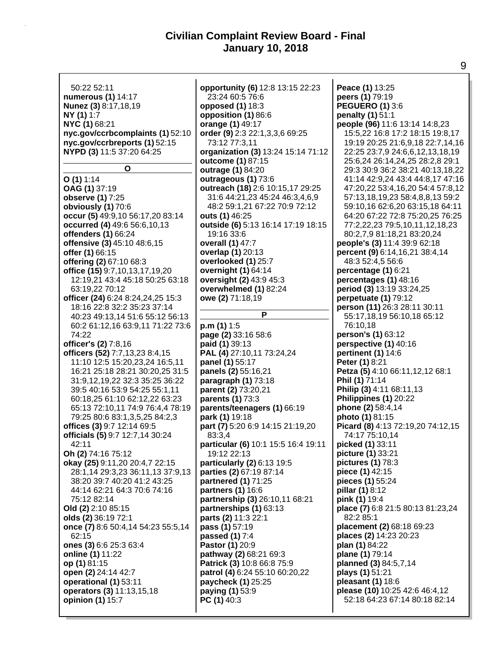50:22 52:11 **numerous (1)** 14:17 **Nunez (3)** 8:17,18,19 **NY (1)** 1:7 **NYC (1)** 68:21 **nyc.gov/ccrbcomplaints (1)** 52:10 **nyc.gov/ccrbreports (1)** 52:15 **NYPD (3)** 11:5 37:20 64:25 **O O (1)** 1:14 **OAG (1)** 37:19 **observe (1)** 7:25 **obviously (1)** 70:6 **occur (5)** 49:9,10 56:17,20 83:14 **occurred (4)** 49:6 56:6,10,13 **offenders (1)** 66:24 **offensive (3)** 45:10 48:6,15 **offer (1)** 66:15 **offering (2)** 67:10 68:3 **office (15)** 9:7,10,13,17,19,20 12:19,21 43:4 45:18 50:25 63:18 63:19,22 70:12 **officer (24)** 6:24 8:24,24,25 15:3 18:16 22:8 32:2 35:23 37:14 40:23 49:13,14 51:6 55:12 56:13 60:2 61:12,16 63:9,11 71:22 73:6 74:22 **officer's (2)** 7:8,16 **officers (52)** 7:7,13,23 8:4,15 11:10 12:5 15:20,23,24 16:5,11 16:21 25:18 28:21 30:20,25 31:5 31:9,12,19,22 32:3 35:25 36:22 39:5 40:16 53:9 54:25 55:1,11 60:18,25 61:10 62:12,22 63:23 65:13 72:10,11 74:9 76:4,4 78:19 79:25 80:6 83:1,3,5,25 84:2,3 **offices (3)** 9:7 12:14 69:5 **officials (5)** 9:7 12:7,14 30:24 42:11 **Oh (2)** 74:16 75:12 **okay (25)** 9:11,20 20:4,7 22:15 28:1,14 29:3,23 36:11,13 37:9,13 38:20 39:7 40:20 41:2 43:25 44:14 62:21 64:3 70:6 74:16 75:12 82:14 **Old (2)** 2:10 85:15 **olds (2)** 36:19 72:1 **once (7)** 8:6 50:4,14 54:23 55:5,14 62:15 **ones (3)** 6:6 25:3 63:4 **online (1)** 11:22 **op (1)** 81:15 **open (2)** 24:14 42:7 **operational (1)** 53:11 **operators (3)** 11:13,15,18 **opinion (1)** 15:7 **opportunity (6)** 12:8 13:15 22:23 23:24 60:5 76:6 **opposed (1)** 18:3 **opposition (1)** 86:6 **orange (1)** 49:17 **order (9)** 2:3 22:1,3,3,6 69:25 73:12 77:3,11 **organization (3)** 13:24 15:14 71:12 **outcome (1)** 87:15 **outrage (1)** 84:20 **outrageous (1)** 73:6 **outreach (18)** 2:6 10:15,17 29:25 31:6 44:21,23 45:24 46:3,4,6,9 48:2 59:1,21 67:22 70:9 72:12 **outs (1)** 46:25 **outside (6)** 5:13 16:14 17:19 18:15 19:16 33:6 **overall (1)** 47:7 **overlap (1)** 20:13 **overlooked (1)** 25:7 **overnight (1)** 64:14 **oversight (2)** 43:9 45:3 **overwhelmed (1)** 82:24 **owe (2)** 71:18,19 **P p.m (1)** 1:5 **page (2)** 33:16 58:6 **paid (1)** 39:13 **PAL (4)** 27:10,11 73:24,24 **panel (1)** 55:17 **panels (2)** 55:16,21 **paragraph (1)** 73:18 **parent (2)** 73:20,21 **parents (1)** 73:3 **parents/teenagers (1)** 66:19 **park (1)** 19:18 **part (7)** 5:20 6:9 14:15 21:19,20 83:3,4 **particular (6)** 10:1 15:5 16:4 19:11 19:12 22:13 **particularly (2)** 6:13 19:5 **parties (2)** 67:19 87:14 **partnered (1)** 71:25 **partners (1)** 16:6 **partnership (3)** 26:10,11 68:21 **partnerships (1)** 63:13 **parts (2)** 11:3 22:1 **pass (1)** 57:19 **passed (1)** 7:4 **Pastor (1)** 20:9 **pathway (2)** 68:21 69:3 **Patrick (3)** 10:8 66:8 75:9 **patrol (4)** 6:24 55:10 60:20,22 **paycheck (1)** 25:25 **paying (1)** 53:9 **PC (1)** 40:3 **Peace (1)** 13:25 **peers (1)** 79:19 **PEGUERO (1)** 3:6 **penalty (1)** 51:1 **people (96)** 11:6 13:14 14:8,23 15:5,22 16:8 17:2 18:15 19:8,17 19:19 20:25 21:6,9,18 22:7,14,16 22:25 23:7,9 24:6,6,12,13,18,19 25:6,24 26:14,24,25 28:2,8 29:1 29:3 30:9 36:2 38:21 40:13,18,22 41:14 42:9,24 43:4 44:8,17 47:16 47:20,22 53:4,16,20 54:4 57:8,12 57:13,18,19,23 58:4,8,8,13 59:2 59:10,16 62:6,20 63:15,18 64:11 64:20 67:22 72:8 75:20,25 76:25 77:2,22,23 79:5,10,11,12,18,23 80:2,7,9 81:18,21 83:20,24 **people's (3)** 11:4 39:9 62:18 **percent (9)** 6:14,16,21 38:4,14 48:3 52:4,5 56:6 **percentage (1)** 6:21 **percentages (1)** 48:16 **period (3)** 13:19 33:24,25 **perpetuate (1)** 79:12 **person (11)** 26:3 28:11 30:11 55:17,18,19 56:10,18 65:12 76:10,18 **person's (1)** 63:12 **perspective (1)** 40:16 **pertinent (1)** 14:6 **Peter (1)** 8:21 **Petza (5)** 4:10 66:11,12,12 68:1 **Phil (1)** 71:14 **Philip (3)** 4:11 68:11,13 **Philippines (1)** 20:22 **phone (2)** 58:4,14 **photo (1)** 81:15 **Picard (8)** 4:13 72:19,20 74:12,15 74:17 75:10,14 **picked (1)** 33:11 **picture (1)** 33:21 **pictures (1)** 78:3 **piece (1)** 42:15 **pieces (1)** 55:24 **pillar (1)** 8:12 **pink (1)** 19:4 **place (7)** 6:8 21:5 80:13 81:23,24 82:2 85:1 **placement (2)** 68:18 69:23 **places (2)** 14:23 20:23 **plan (1)** 84:22 **plane (1)** 79:14 **planned (3)** 84:5,7,14 **plays (1)** 51:21 **pleasant (1)** 18:6 **please (10)** 10:25 42:6 46:4,12 52:18 64:23 67:14 80:18 82:14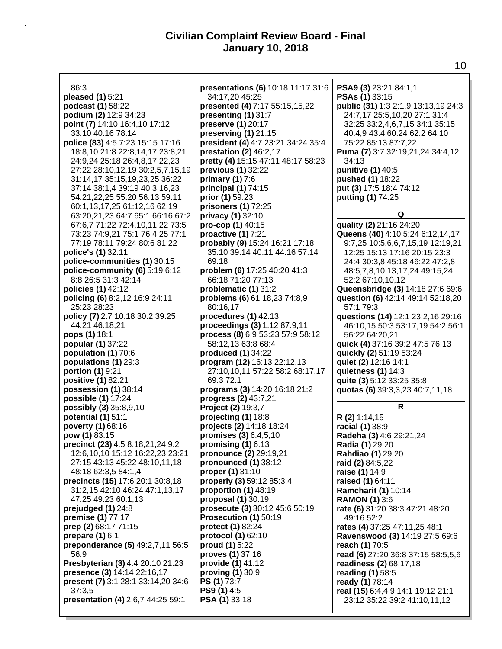| 86:3                                  | presentations (6) 10:18 11:17 31:6 | PSA9 (3) 23:21 84:1,1               |
|---------------------------------------|------------------------------------|-------------------------------------|
| pleased (1) 5:21                      | 34:17,20 45:25                     | <b>PSAs (1)</b> 33:15               |
| podcast (1) 58:22                     | presented (4) 7:17 55:15,15,22     | public (31) 1:3 2:1,9 13:13,19 24:3 |
| podium (2) 12:9 34:23                 | presenting (1) 31:7                | 24:7,17 25:5,10,20 27:1 31:4        |
|                                       |                                    |                                     |
| point (7) 14:10 16:4,10 17:12         | preserve (1) 20:17                 | 32:25 33:2,4,6,7,15 34:1 35:15      |
| 33:10 40:16 78:14                     | preserving (1) 21:15               | 40:4,9 43:4 60:24 62:2 64:10        |
| police (83) 4:5 7:23 15:15 17:16      | president (4) 4:7 23:21 34:24 35:4 | 75:22 85:13 87:7,22                 |
| 18:8,10 21:8 22:8,14,17 23:8,21       | prestation (2) 46:2,17             | Puma (7) 3:7 32:19,21,24 34:4,12    |
| 24:9,24 25:18 26:4,8,17,22,23         | pretty (4) 15:15 47:11 48:17 58:23 | 34:13                               |
| 27:22 28:10,12,19 30:2,5,7,15,19      | previous (1) 32:22                 | punitive (1) 40:5                   |
| 31:14,17 35:15,19,23,25 36:22         | primary $(1)$ 7:6                  | pushed (1) 18:22                    |
|                                       | principal (1) 74:15                | put (3) 17:5 18:4 74:12             |
| 37:14 38:1,4 39:19 40:3,16,23         |                                    |                                     |
| 54:21,22,25 55:20 56:13 59:11         | prior (1) 59:23                    | putting (1) 74:25                   |
| 60:1,13,17,25 61:12,16 62:19          | prisoners (1) 72:25                |                                     |
| 63:20,21,23 64:7 65:1 66:16 67:2      | privacy (1) 32:10                  | Q                                   |
| 67:6,7 71:22 72:4,10,11,22 73:5       | pro-cop (1) 40:15                  | quality (2) 21:16 24:20             |
| 73:23 74:9,21 75:1 76:4,25 77:1       | proactive (1) 7:21                 | Queens (40) 4:10 5:24 6:12,14,17    |
| 77:19 78:11 79:24 80:6 81:22          | probably (9) 15:24 16:21 17:18     | 9:7,25 10:5,6,6,7,15,19 12:19,21    |
| police's (1) 32:11                    | 35:10 39:14 40:11 44:16 57:14      | 12:25 15:13 17:16 20:15 23:3        |
|                                       |                                    |                                     |
| police-communities (1) 30:15          | 69:18                              | 24:4 30:3,8 45:18 46:22 47:2,8      |
| police-community (6) 5:19 6:12        | problem (6) 17:25 40:20 41:3       | 48:5,7,8,10,13,17,24 49:15,24       |
| 8:8 26:5 31:3 42:14                   | 66:18 71:20 77:13                  | 52:2 67:10,10,12                    |
| policies (1) 42:12                    | problematic (1) 31:2               | Queensbridge (3) 14:18 27:6 69:6    |
| policing (6) 8:2,12 16:9 24:11        | problems (6) 61:18,23 74:8,9       | question (6) 42:14 49:14 52:18,20   |
| 25:23 28:23                           | 80:16,17                           | 57:1 79:3                           |
| policy (7) 2:7 10:18 30:2 39:25       | procedures (1) 42:13               | questions (14) 12:1 23:2,16 29:16   |
| 44:21 46:18,21                        | proceedings (3) 1:12 87:9,11       | 46:10,15 50:3 53:17,19 54:2 56:1    |
|                                       |                                    |                                     |
| pops (1) 18:1                         | process (8) 6:9 53:23 57:9 58:12   | 56:22 64:20,21                      |
| popular (1) 37:22                     | 58:12,13 63:8 68:4                 | quick (4) 37:16 39:2 47:5 76:13     |
| population (1) 70:6                   | produced (1) 34:22                 | quickly (2) 51:19 53:24             |
| populations (1) 29:3                  | program (12) 16:13 22:12,13        | quiet (2) 12:16 14:1                |
| portion (1) 9:21                      | 27:10,10,11 57:22 58:2 68:17,17    | quietness $(1)$ 14:3                |
| positive (1) 82:21                    | 69:3 72:1                          | quite (3) 5:12 33:25 35:8           |
| possession (1) 38:14                  | programs (3) 14:20 16:18 21:2      | quotas (6) 39:3,3,23 40:7,11,18     |
| possible (1) 17:24                    | progress (2) 43:7,21               |                                     |
|                                       |                                    | R                                   |
| possibly (3) 35:8,9,10                | Project (2) 19:3,7                 |                                     |
| potential (1) 51:1                    | projecting (1) 18:8                | R (2) 1:14,15                       |
| poverty (1) 68:16                     | projects (2) 14:18 18:24           | racial (1) 38:9                     |
| pow (1) 83:15                         | promises (3) 6:4,5,10              | Radeha (3) 4:6 29:21,24             |
| precinct (23) 4:5 8:18,21,24 9:2      | promising $(1)$ 6:13               | Radia (1) 29:20                     |
| 12:6, 10, 10 15: 12 16: 22, 23 23: 21 | pronounce (2) 29:19,21             | Rahdiao (1) 29:20                   |
| 27:15 43:13 45:22 48:10,11,18         | pronounced (1) 38:12               | raid (2) 84:5,22                    |
| 48:18 62:3,5 84:1,4                   | proper (1) 31:10                   | raise (1) 14:9                      |
| precincts (15) 17:6 20:1 30:8,18      |                                    |                                     |
|                                       | properly (3) 59:12 85:3,4          | raised (1) 64:11                    |
| 31:2,15 42:10 46:24 47:1,13,17        | proportion (1) 48:19               | <b>Ramcharit (1) 10:14</b>          |
| 47:25 49:23 60:1,13                   | proposal (1) 30:19                 | <b>RAMON (1) 3:6</b>                |
| prejudged (1) 24:8                    | prosecute (3) 30:12 45:6 50:19     | rate (6) 31:20 38:3 47:21 48:20     |
| premise (1) 77:17                     | Prosecution (1) 50:19              | 49:16 52:2                          |
| prep (2) 68:17 71:15                  | protect (1) 82:24                  | rates (4) 37:25 47:11,25 48:1       |
| prepare $(1)$ 6:1                     | protocol (1) 62:10                 | Ravenswood (3) 14:19 27:5 69:6      |
| preponderance (5) 49:2,7,11 56:5      | proud (1) 5:22                     |                                     |
|                                       |                                    | reach (1) 70:5                      |
| 56:9                                  | proves (1) 37:16                   | read (6) 27:20 36:8 37:15 58:5,5,6  |
| Presbyterian (3) 4:4 20:10 21:23      | provide (1) 41:12                  | readiness (2) 68:17,18              |
| presence (3) 14:14 22:16,17           | proving (1) 30:9                   | reading (1) 58:5                    |
| present (7) 3:1 28:1 33:14,20 34:6    | PS (1) 73:7                        | ready (1) 78:14                     |
| 37:3,5                                | <b>PS9 (1)</b> 4:5                 | real (15) 6:4,4,9 14:1 19:12 21:1   |
| presentation (4) 2:6,7 44:25 59:1     | <b>PSA (1)</b> 33:18               | 23:12 35:22 39:2 41:10,11,12        |
|                                       |                                    |                                     |
|                                       |                                    |                                     |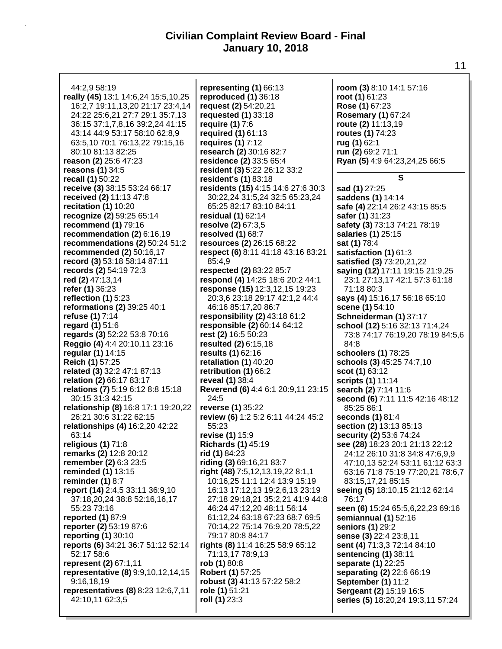| 44:2,9 58:19                                             | representing (1) 66:13                       | room (3) 8:10 14:1 57:16          |
|----------------------------------------------------------|----------------------------------------------|-----------------------------------|
| really (45) 13:1 14:6,24 15:5,10,25                      | reproduced (1) 36:18                         | root (1) 61:23                    |
| 16:2,7 19:11,13,20 21:17 23:4,14                         | request (2) 54:20,21                         | Rose (1) 67:23                    |
| 24:22 25:6,21 27:7 29:1 35:7,13                          | requested $(1)$ 33:18                        | Rosemary (1) 67:24                |
| 36:15 37:1,7,8,16 39:2,24 41:15                          | require $(1)$ 7:6                            | route (2) 11:13,19                |
| 43:14 44:9 53:17 58:10 62:8,9                            | required (1) 61:13                           | routes (1) 74:23                  |
| 63:5, 10 70:1 76:13, 22 79:15, 16                        | requires $(1)$ 7:12                          | rug (1) 62:1                      |
| 80:10 81:13 82:25                                        | research (2) 30:16 82:7                      | run (2) 69:2 71:1                 |
| reason (2) 25:6 47:23                                    | residence (2) 33:5 65:4                      | Ryan (5) 4:9 64:23,24,25 66:5     |
| reasons (1) 34:5                                         | resident (3) 5:22 26:12 33:2                 |                                   |
| recall (1) 50:22                                         | resident's (1) 83:18                         | S                                 |
| receive (3) 38:15 53:24 66:17                            | residents (15) 4:15 14:6 27:6 30:3           | sad (1) 27:25                     |
| received (2) 11:13 47:8                                  | 30:22,24 31:5,24 32:5 65:23,24               | saddens (1) 14:14                 |
| recitation $(1)$ 10:20                                   | 65:25 82:17 83:10 84:11                      | safe (4) 22:14 26:2 43:15 85:5    |
| recognize (2) 59:25 65:14                                | residual (1) 62:14                           | safer (1) 31:23                   |
| recommend (1) 79:16                                      | resolve (2) 67:3,5                           |                                   |
| recommendation (2) 6:16,19                               | resolved (1) 68:7                            | safety (3) 73:13 74:21 78:19      |
| recommendations (2) 50:24 51:2                           |                                              | salaries (1) 25:15                |
|                                                          | resources (2) 26:15 68:22                    | sat (1) 78:4                      |
| recommended (2) 50:16,17<br>record (3) 53:18 58:14 87:11 | respect (6) 8:11 41:18 43:16 83:21<br>85:4,9 | satisfaction (1) 61:3             |
|                                                          |                                              | satisfied (3) 73:20,21,22         |
| records (2) 54:19 72:3                                   | respected (2) 83:22 85:7                     | saying (12) 17:11 19:15 21:9,25   |
| red (2) 47:13,14                                         | respond (4) 14:25 18:6 20:2 44:1             | 23:1 27:13,17 42:1 57:3 61:18     |
| refer (1) 36:23                                          | response (15) 12:3,12,15 19:23               | 71:18 80:3                        |
| reflection $(1)$ 5:23                                    | 20:3,6 23:18 29:17 42:1,2 44:4               | says (4) 15:16,17 56:18 65:10     |
| reformations (2) 39:25 40:1                              | 46:16 85:17,20 86:7                          | scene (1) 54:10                   |
| refuse (1) 7:14                                          | responsibility (2) 43:18 61:2                | Schneiderman (1) 37:17            |
| regard (1) 51:6                                          | responsible (2) 60:14 64:12                  | school (12) 5:16 32:13 71:4,24    |
| regards (3) 52:22 53:8 70:16                             | rest (2) 16:5 50:23                          | 73:8 74:17 76:19,20 78:19 84:5,6  |
| Reggio (4) 4:4 20:10, 11 23:16                           | resulted (2) 6:15,18                         | 84:8                              |
| regular (1) 14:15                                        | results (1) 62:16                            | schoolers (1) 78:25               |
| Reich (1) 57:25                                          | retaliation $(1)$ 40:20                      | schools (3) 45:25 74:7,10         |
| related (3) 32:2 47:1 87:13                              | retribution (1) 66:2                         | scot (1) 63:12                    |
| relation (2) 66:17 83:17                                 | reveal (1) 38:4                              | scripts (1) 11:14                 |
| relations (7) 5:19 6:12 8:8 15:18                        | Reverend (6) 4:4 6:1 20:9,11 23:15           | search (2) 7:14 11:6              |
| 30:15 31:3 42:15                                         | 24:5                                         | second (6) 7:11 11:5 42:16 48:12  |
| relationship (8) 16:8 17:1 19:20,22                      | reverse (1) 35:22                            | 85:25 86:1                        |
| 26:21 30:6 31:22 62:15                                   | review (6) 1:2 5:2 6:11 44:24 45:2           | seconds (1) 81:4                  |
| relationships (4) 16:2,20 42:22                          | 55:23                                        | section (2) 13:13 85:13           |
| 63:14                                                    | revise (1) 15:9                              | security (2) 53:6 74:24           |
| religious $(1)$ 71:8                                     | <b>Richards (1) 45:19</b>                    | see (28) 18:23 20:1 21:13 22:12   |
| remarks (2) 12:8 20:12                                   | rid (1) 84:23                                | 24:12 26:10 31:8 34:8 47:6,9,9    |
| remember (2) 6:3 23:5                                    | riding (3) 69:16,21 83:7                     | 47:10,13 52:24 53:11 61:12 63:3   |
| reminded (1) 13:15                                       | right (48) 7:5, 12, 13, 19, 22 8:1, 1        | 63:16 71:8 75:19 77:20,21 78:6,7  |
| reminder $(1)$ 8:7                                       | 10:16,25 11:1 12:4 13:9 15:19                | 83:15,17,21 85:15                 |
| report (14) 2:4,5 33:11 36:9,10                          | 16:13 17:12,13 19:2,6,13 23:19               | seeing (5) 18:10,15 21:12 62:14   |
| 37:18,20,24 38:8 52:16,16,17                             | 27:18 29:18,21 35:2,21 41:9 44:8             | 76:17                             |
| 55:23 73:16                                              | 46:24 47:12,20 48:11 56:14                   | seen (6) 15:24 65:5,6,22,23 69:16 |
| reported $(1)$ 87:9                                      | 61:12,24 63:18 67:23 68:7 69:5               | semiannual $(1)$ 52:16            |
| reporter (2) 53:19 87:6                                  | 70:14,22 75:14 76:9,20 78:5,22               | seniors (1) 29:2                  |
| reporting (1) 30:10                                      | 79:17 80:8 84:17                             | sense (3) 22:4 23:8,11            |
| reports (6) 34:21 36:7 51:12 52:14                       | rights (8) 11:4 16:25 58:9 65:12             | sent (4) 71:3,3 72:14 84:10       |
| 52:17 58:6                                               | 71:13,17 78:9,13                             | sentencing (1) 38:11              |
| represent (2) 67:1,11                                    | rob (1) 80:8                                 | separate (1) 22:25                |
| representative (8) 9:9,10,12,14,15                       | Robert (1) 57:25                             | separating (2) 22:6 66:19         |
| 9:16,18,19                                               | robust (3) 41:13 57:22 58:2                  | September (1) 11:2                |
| representatives (8) 8:23 12:6,7,11                       | role (1) 51:21                               | Sergeant (2) 15:19 16:5           |
| 42:10,11 62:3,5                                          | roll (1) 23:3                                | series (5) 18:20,24 19:3,11 57:24 |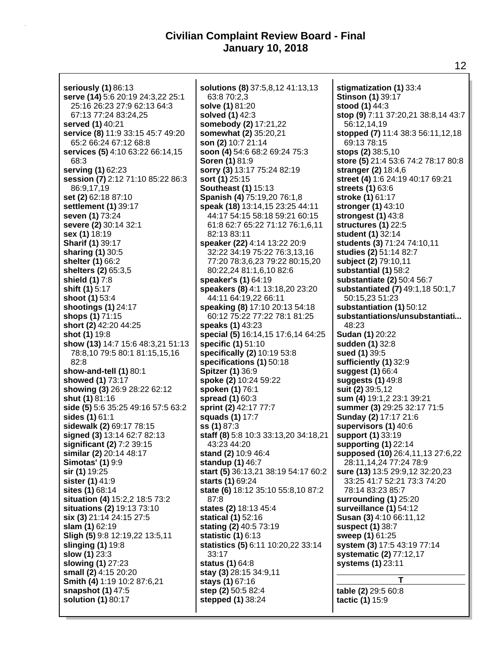**seriously (1)** 86:13 **serve (14)** 5:6 20:19 24:3,22 25:1 25:16 26:23 27:9 62:13 64:3 67:13 77:24 83:24,25 **served (1)** 40:21 **service (8)** 11:9 33:15 45:7 49:20 65:2 66:24 67:12 68:8 **services (5)** 4:10 63:22 66:14,15 68:3 **serving (1)** 62:23 **session (7)** 2:12 71:10 85:22 86:3 86:9,17,19 **set (2)** 62:18 87:10 **settlement (1)** 39:17 **seven (1)** 73:24 **severe (2)** 30:14 32:1 **sex (1)** 18:19 **Sharif (1)** 39:17 **sharing (1)** 30:5 **shelter (1)** 66:2 **shelters (2)** 65:3,5 **shield (1)** 7:8 **shift (1)** 5:17 **shoot (1)** 53:4 **shootings (1)** 24:17 **shops (1)** 71:15 **short (2)** 42:20 44:25 **shot (1)** 19:8 **show (13)** 14:7 15:6 48:3,21 51:13 78:8,10 79:5 80:1 81:15,15,16 82:8 **show-and-tell (1)** 80:1 **showed (1)** 73:17 **showing (3)** 26:9 28:22 62:12 **shut (1)** 81:16 **side (5)** 5:6 35:25 49:16 57:5 63:2 **sides (1)** 61:1 **sidewalk (2)** 69:17 78:15 **signed (3)** 13:14 62:7 82:13 **significant (2)** 7:2 39:15 **similar (2)** 20:14 48:17 **Simotas' (1)** 9:9 **sir (1)** 19:25 **sister (1)** 41:9 **sites (1)** 68:14 **situation (4)** 15:2,2 18:5 73:2 **situations (2)** 19:13 73:10 **six (3)** 21:14 24:15 27:5 **slam (1)** 62:19 **Sligh (5)** 9:8 12:19,22 13:5,11 **slinging (1)** 19:8 **slow (1)** 23:3 **slowing (1)** 27:23 **small (2)** 4:15 20:20 **Smith (4)** 1:19 10:2 87:6,21 **snapshot (1)** 47:5 **solution (1)** 80:17

**solutions (8)** 37:5,8,12 41:13,13 63:8 70:2,3 **solve (1)** 81:20 **solved (1)** 42:3 **somebody (2)** 17:21,22 **somewhat (2)** 35:20,21 **son (2)** 10:7 21:14 **soon (4)** 54:6 68:2 69:24 75:3 **Soren (1)** 81:9 **sorry (3)** 13:17 75:24 82:19 **sort (1)** 25:15 **Southeast (1)** 15:13 **Spanish (4)** 75:19,20 76:1,8 **speak (18)** 13:14,15 23:25 44:11 44:17 54:15 58:18 59:21 60:15 61:8 62:7 65:22 71:12 76:1,6,11 82:13 83:11 **speaker (22)** 4:14 13:22 20:9 32:22 34:19 75:22 76:3,13,16 77:20 78:3,6,23 79:22 80:15,20 80:22,24 81:1,6,10 82:6 **speaker's (1)** 64:19 **speakers (8)** 4:1 13:18,20 23:20 44:11 64:19,22 66:11 **speaking (8)** 17:10 20:13 54:18 60:12 75:22 77:22 78:1 81:25 **speaks (1)** 43:23 **special (5)** 16:14,15 17:6,14 64:25 **specific (1)** 51:10 **specifically (2)** 10:19 53:8 **specifications (1)** 50:18 **Spitzer (1)** 36:9 **spoke (2)** 10:24 59:22 **spoken (1)** 76:1 **spread (1)** 60:3 **sprint (2)** 42:17 77:7 **squads (1)** 17:7 **ss (1)** 87:3 **staff (8)** 5:8 10:3 33:13,20 34:18,21 43:23 44:20 **stand (2)** 10:9 46:4 **standup (1)** 46:7 **start (5)** 36:13,21 38:19 54:17 60:2 **starts (1)** 69:24 **state (6)** 18:12 35:10 55:8,10 87:2 87:8 **states (2)** 18:13 45:4 **statical (1)** 52:16 **stating (2)** 40:5 73:19 **statistic (1)** 6:13 **statistics (5)** 6:11 10:20,22 33:14 33:17 **status (1)** 64:8 **stay (3)** 28:15 34:9,11 **stays (1)** 67:16 **step (2)** 50:5 82:4 **stepped (1)** 38:24

**stigmatization (1)** 33:4 **Stinson (1)** 39:17 **stood (1)** 44:3 **stop (9)** 7:11 37:20,21 38:8,14 43:7 56:12,14,19 **stopped (7)** 11:4 38:3 56:11,12,18 69:13 78:15 **stops (2)** 38:5,10 **store (5)** 21:4 53:6 74:2 78:17 80:8 **stranger (2)** 18:4,6 **street (4)** 1:6 24:19 40:17 69:21 **streets (1)** 63:6 **stroke (1)** 61:17 **stronger (1)** 43:10 **strongest (1)** 43:8 **structures (1)** 22:5 **student (1)** 32:14 **students (3)** 71:24 74:10,11 **studies (2)** 51:14 82:7 **subject (2)** 79:10,11 **substantial (1)** 58:2 **substantiate (2)** 50:4 56:7 **substantiated (7)** 49:1,18 50:1,7 50:15,23 51:23 **substantiation (1)** 50:12 **substantiations/unsubstantiati...** 48:23 **Sudan (1)** 20:22 **sudden (1)** 32:8 **sued (1)** 39:5 **sufficiently (1)** 32:9 **suggest (1)** 66:4 **suggests (1)** 49:8 **suit (2)** 39:5,12 **sum (4)** 19:1,2 23:1 39:21 **summer (3)** 29:25 32:17 71:5 **Sunday (2)** 17:17 21:6 **supervisors (1)** 40:6 **support (1)** 33:19 **supporting (1)** 22:14 **supposed (10)** 26:4,11,13 27:6,22 28:11,14,24 77:24 78:9 **sure (13)** 13:5 29:9,12 32:20,23 33:25 41:7 52:21 73:3 74:20 78:14 83:23 85:7 **surrounding (1)** 25:20 **surveillance (1)** 54:12 **Susan (3)** 4:10 66:11,12 **suspect (1)** 38:7 **sweep (1)** 61:25 **system (3)** 17:5 43:19 77:14 **systematic (2)** 77:12,17 **systems (1)** 23:11 **T**

**table (2)** 29:5 60:8 **tactic (1)** 15:9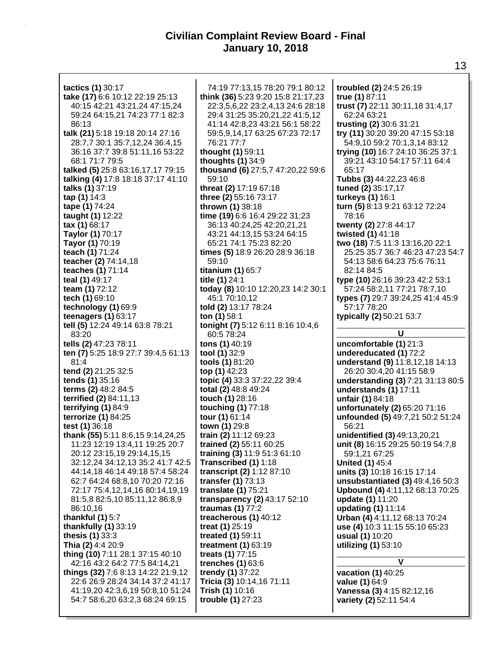**tactics (1)** 30:17 **take (17)** 6:6 10:12 22:19 25:13 40:15 42:21 43:21,24 47:15,24 59:24 64:15,21 74:23 77:1 82:3 86:13 **talk (21)** 5:18 19:18 20:14 27:16 28:7,7 30:1 35:7,12,24 36:4,15 36:16 37:7 39:8 51:11,16 53:22 68:1 71:7 79:5 **talked (5)** 25:8 63:16,17,17 79:15 **talking (4)** 17:8 18:18 37:17 41:10 **talks (1)** 37:19 **tap (1)** 14:3 **tape (1)** 74:24 **taught (1)** 12:22 **tax (1)** 68:17 **Taylor (1)** 70:17 **Tayor (1)** 70:19 **teach (1)** 71:24 **teacher (2)** 74:14,18 **teaches (1)** 71:14 **teal (1)** 49:17 **team (1)** 72:12 **tech (1)** 69:10 **technology (1)** 69:9 **teenagers (1)** 63:17 **tell (5)** 12:24 49:14 63:8 78:21 83:20 **tells (2)** 47:23 78:11 **ten (7)** 5:25 18:9 27:7 39:4,5 61:13 81:4 **tend (2)** 21:25 32:5 **tends (1)** 35:16 **terms (2)** 48:2 84:5 **terrified (2)** 84:11,13 **terrifying (1)** 84:9 **terrorize (1)** 84:25 **test (1)** 36:18 **thank (55)** 5:11 8:6,15 9:14,24,25 11:23 12:19 13:4,11 19:25 20:7 20:12 23:15,19 29:14,15,15 32:12,24 34:12,13 35:2 41:7 42:5 44:14,18 46:14 49:18 57:4 58:24 62:7 64:24 68:8,10 70:20 72:16 72:17 75:4,12,14,16 80:14,19,19 81:5,8 82:5,10 85:11,12 86:8,9 86:10,16 **thankful (1)** 5:7 **thankfully (1)** 33:19 **thesis (1)** 33:3 **Thia (2)** 4:4 20:9 **thing (10)** 7:11 28:1 37:15 40:10 42:16 43:2 64:2 77:5 84:14,21 **things (32)** 7:6 8:13 14:22 21:9,12 22:6 26:9 28:24 34:14 37:2 41:17 41:19,20 42:3,6,19 50:8,10 51:24 54:7 58:6,20 63:2,3 68:24 69:15

74:19 77:13,15 78:20 79:1 80:12 **think (36)** 5:23 9:20 15:8 21:17,23 22:3,5,6,22 23:2,4,13 24:6 28:18 29:4 31:25 35:20,21,22 41:5,12 41:14 42:8,23 43:21 56:1 58:22 59:5,9,14,17 63:25 67:23 72:17 76:21 77:7 **thought (1)** 59:11 **thoughts (1)** 34:9 **thousand (6)** 27:5,7 47:20,22 59:6 59:10 **threat (2)** 17:19 67:18 **three (2)** 55:16 73:17 **thrown (1)** 38:18 **time (19)** 6:6 16:4 29:22 31:23 36:13 40:24,25 42:20,21,21 43:21 44:13,15 53:24 64:15 65:21 74:1 75:23 82:20 **times (5)** 18:9 26:20 28:9 36:18 59:10 **titanium (1)** 65:7 **title (1)** 24:1 **today (8)** 10:10 12:20,23 14:2 30:1 45:1 70:10,12 **told (2)** 13:17 78:24 **ton (1)** 58:1 **tonight (7)** 5:12 6:11 8:16 10:4,6 60:5 78:24 **tons (1)** 40:19 **tool (1)** 32:9 **tools (1)** 81:20 **top (1)** 42:23 **topic (4)** 33:3 37:22,22 39:4 **total (2)** 48:8 49:24 **touch (1)** 28:16 **touching (1)** 77:18 **tour (1)** 61:14 **town (1)** 29:8 **train (2)** 11:12 69:23 **trained (2)** 55:11 60:25 **training (3)** 11:9 51:3 61:10 **Transcribed (1)** 1:18 **transcript (2)** 1:12 87:10 **transfer (1)** 73:13 **translate (1)** 75:21 **transparency (2)** 43:17 52:10 **traumas (1)** 77:2 **treacherous (1)** 40:12 **treat (1)** 25:19 **treated (1)** 59:11 **treatment (1)** 63:19 **treats (1)** 77:15 **trenches (1)** 63:6 **trendy (1)** 37:22 **Tricia (3)** 10:14,16 71:11 **Trish (1)** 10:16 **trouble (1)** 27:23

**troubled (2)** 24:5 26:19 **true (1)** 87:11 **trust (7)** 22:11 30:11,18 31:4,17 62:24 63:21 **trusting (2)** 30:6 31:21 **try (11)** 30:20 39:20 47:15 53:18 54:9,10 59:2 70:1,3,14 83:12 **trying (10)** 16:7 24:10 36:25 37:1 39:21 43:10 54:17 57:11 64:4 65:17 **Tubbs (3)** 44:22,23 46:8 **tuned (2)** 35:17,17 **turkeys (1)** 16:1 **turn (5)** 8:13 9:21 63:12 72:24 78:16 **twenty (2)** 27:8 44:17 **twisted (1)** 41:18 **two (18)** 7:5 11:3 13:16,20 22:1 25:25 35:7 36:7 46:23 47:23 54:7 54:13 58:6 64:23 75:6 76:11 82:14 84:5 **type (10)** 26:16 39:23 42:2 53:1 57:24 58:2,11 77:21 78:7,10 **types (7)** 29:7 39:24,25 41:4 45:9 57:17 78:20 **typically (2)** 50:21 53:7 **U uncomfortable (1)** 21:3

**undereducated (1)** 72:2 **understand (9)** 11:8,12,18 14:13 26:20 30:4,20 41:15 58:9 **understanding (3)** 7:21 31:13 80:5 **understands (1)** 17:11 **unfair (1)** 84:18 **unfortunately (2)** 65:20 71:16 **unfounded (5)** 49:7,21 50:2 51:24 56:21 **unidentified (3)** 49:13,20,21 **unit (8)** 16:15 29:25 50:19 54:7,8 59:1,21 67:25 **United (1)** 45:4 **units (3)** 10:18 16:15 17:14 **unsubstantiated (3)** 49:4,16 50:3 **Upbound (4)** 4:11,12 68:13 70:25 **update (1)** 11:20 **updating (1)** 11:14 **Urban (4)** 4:11,12 68:13 70:24 **use (4)** 10:3 11:15 55:10 65:23 **usual (1)** 10:20 **utilizing (1)** 53:10

#### **V**

**vacation (1)** 40:25 **value (1)** 64:9 **Vanessa (3)** 4:15 82:12,16 **variety (2)** 52:11 54:4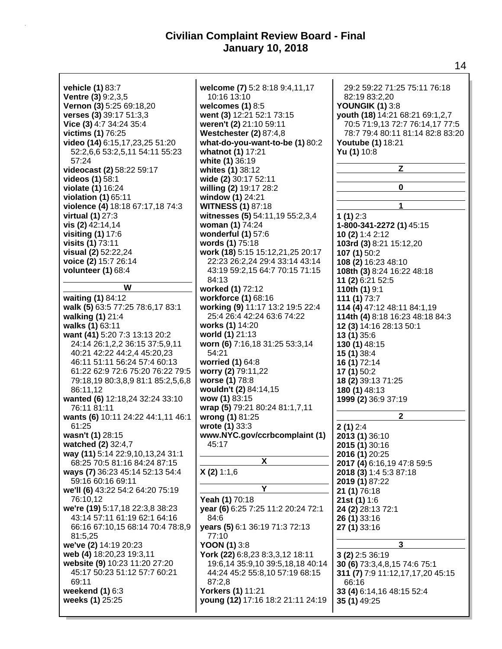| vehicle (1) 83:7                   | welcome (7) 5:2 8:18 9:4,11,17     | 29:2 59:22 71:25 75:11 76:18     |
|------------------------------------|------------------------------------|----------------------------------|
| <b>Ventre (3)</b> 9:2,3,5          | 10:16 13:10                        | 82:19 83:2,20                    |
| Vernon (3) 5:25 69:18,20           | welcomes $(1)$ 8:5                 | <b>YOUNGIK (1) 3:8</b>           |
| verses (3) 39:17 51:3,3            | went (3) 12:21 52:1 73:15          | youth (18) 14:21 68:21 69:1,2,7  |
| Vice (3) 4:7 34:24 35:4            | weren't (2) 21:10 59:11            | 70:5 71:9,13 72:7 76:14,17 77:5  |
|                                    |                                    |                                  |
| victims (1) 76:25                  | <b>Westchester (2) 87:4,8</b>      | 78:7 79:4 80:11 81:14 82:8 83:20 |
| video (14) 6:15,17,23,25 51:20     | what-do-you-want-to-be (1) 80:2    | Youtube (1) 18:21                |
| 52:2,6,6 53:2,5,11 54:11 55:23     | whatnot (1) 17:21                  | Yu (1) 10:8                      |
| 57:24                              | white (1) 36:19                    |                                  |
| videocast (2) 58:22 59:17          | whites (1) 38:12                   | Z                                |
| videos (1) 58:1                    | wide (2) 30:17 52:11               |                                  |
| violate (1) 16:24                  | willing (2) 19:17 28:2             | 0                                |
| violation (1) 65:11                | window (1) 24:21                   |                                  |
| violence (4) 18:18 67:17,18 74:3   | <b>WITNESS (1) 87:18</b>           | 1                                |
| virtual (1) 27:3                   | witnesses (5) 54:11,19 55:2,3,4    | 1 $(1)$ 2:3                      |
| vis (2) 42:14,14                   | woman (1) 74:24                    | 1-800-341-2272 (1) 45:15         |
| visiting (1) 17:6                  | wonderful $(1)$ 57:6               | 10 (2) 1:4 2:12                  |
| visits (1) 73:11                   | words (1) 75:18                    | 103rd (3) 8:21 15:12,20          |
| visual (2) 52:22,24                | work (18) 5:15 15:12,21,25 20:17   | 107 $(1)$ 50:2                   |
| voice (2) 15:7 26:14               | 22:23 26:2,24 29:4 33:14 43:14     | 108 (2) 16:23 48:10              |
| volunteer (1) 68:4                 | 43:19 59:2,15 64:7 70:15 71:15     | 108th (3) 8:24 16:22 48:18       |
|                                    | 84:13                              |                                  |
| W                                  | worked (1) 72:12                   | 11 (2) 6:21 52:5                 |
|                                    |                                    | 110th (1) 9:1                    |
| waiting (1) 84:12                  | workforce (1) 68:16                | 111 $(1)$ 73:7                   |
| walk (5) 63:5 77:25 78:6,17 83:1   | working (9) 11:17 13:2 19:5 22:4   | 114 (4) 47:12 48:11 84:1,19      |
| walking (1) 21:4                   | 25:4 26:4 42:24 63:6 74:22         | 114th (4) 8:18 16:23 48:18 84:3  |
| walks (1) 63:11                    | works (1) 14:20                    | 12 (3) 14:16 28:13 50:1          |
| want (41) 5:20 7:3 13:13 20:2      | world (1) 21:13                    | 13(1)35:6                        |
| 24:14 26:1,2,2 36:15 37:5,9,11     | worn (6) 7:16,18 31:25 53:3,14     | 130 (1) 48:15                    |
| 40:21 42:22 44:2,4 45:20,23        | 54:21                              | 15 (1) 38:4                      |
| 46:11 51:11 56:24 57:4 60:13       | worried (1) 64:8                   | 16 (1) 72:14                     |
| 61:22 62:9 72:6 75:20 76:22 79:5   | worry (2) 79:11,22                 | 17 $(1)$ 50:2                    |
| 79:18,19 80:3,8,9 81:1 85:2,5,6,8  | worse (1) 78:8                     | 18 (2) 39:13 71:25               |
| 86:11,12                           | wouldn't (2) 84:14,15              | 180 (1) 48:13                    |
| wanted (6) 12:18,24 32:24 33:10    | wow (1) 83:15                      | 1999 (2) 36:9 37:19              |
| 76:11 81:11                        | wrap (5) 79:21 80:24 81:1,7,11     |                                  |
| wants (6) 10:11 24:22 44:1,11 46:1 | wrong (1) 81:25                    | 2                                |
| 61:25                              | wrote (1) 33:3                     | 2(1)2:4                          |
| wasn't (1) 28:15                   | www.NYC.gov/ccrbcomplaint (1)      |                                  |
|                                    |                                    | 2013 (1) 36:10                   |
| watched (2) 32:4,7                 | 45:17                              | 2015 (1) 30:16                   |
| way (11) 5:14 22:9,10,13,24 31:1   | X                                  | 2016 (1) 20:25                   |
| 68:25 70:5 81:16 84:24 87:15       |                                    | 2017 (4) 6:16,19 47:8 59:5       |
| ways (7) 36:23 45:14 52:13 54:4    | X(2)1:1,6                          | 2018 (3) 1:4 5:3 87:18           |
| 59:16 60:16 69:11                  |                                    | 2019 (1) 87:22                   |
| we'll (6) 43:22 54:2 64:20 75:19   | Y                                  | 21 (1) 76:18                     |
| 76:10,12                           | Yeah (1) 70:18                     | 21st (1) 1:6                     |
| we're (19) 5:17,18 22:3,8 38:23    | year (6) 6:25 7:25 11:2 20:24 72:1 | 24 (2) 28:13 72:1                |
| 43:14 57:11 61:19 62:1 64:16       | 84:6                               | 26 (1) 33:16                     |
| 66:16 67:10,15 68:14 70:4 78:8,9   | years (5) 6:1 36:19 71:3 72:13     | 27 (1) 33:16                     |
| 81:5,25                            | 77:10                              |                                  |
| we've (2) 14:19 20:23              | <b>YOON (1)</b> $3:8$              | 3                                |
| web (4) 18:20,23 19:3,11           | York (22) 6:8,23 8:3,3,12 18:11    | $3(2)$ 2:5 36:19                 |
| website (9) 10:23 11:20 27:20      | 19:6,14 35:9,10 39:5,18,18 40:14   | 30 (6) 73:3,4,8,15 74:6 75:1     |
| 45:17 50:23 51:12 57:7 60:21       | 44:24 45:2 55:8,10 57:19 68:15     | 311 (7) 7:9 11:12,17,17,20 45:15 |
| 69:11                              | 87:2,8                             | 66:16                            |
| weekend $(1)$ 6:3                  | Yorkers (1) 11:21                  | 33 (4) 6:14, 16 48:15 52:4       |
| weeks (1) 25:25                    | young (12) 17:16 18:2 21:11 24:19  | <b>35 (1)</b> 49:25              |
|                                    |                                    |                                  |